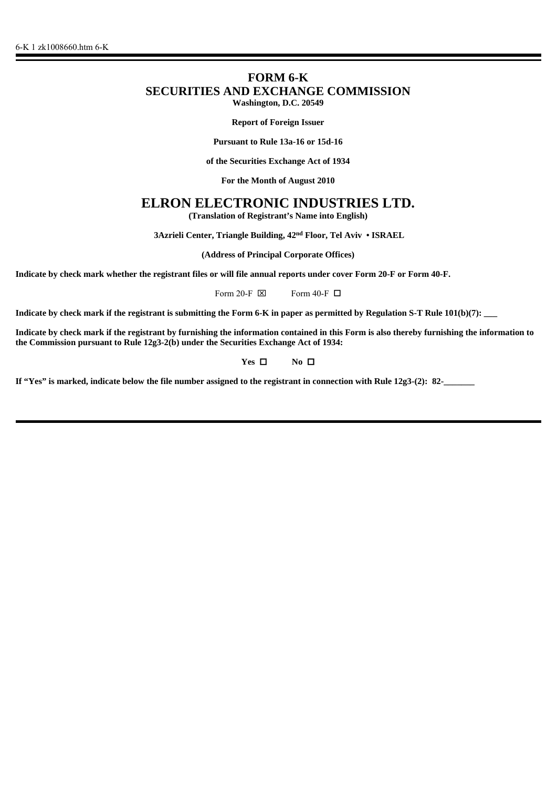# **FORM 6-K SECURITIES AND EXCHANGE COMMISSION Washington, D.C. 20549**

**Report of Foreign Issuer**

**Pursuant to Rule 13a-16 or 15d-16**

**of the Securities Exchange Act of 1934**

**For the Month of August 2010**

# **ELRON ELECTRONIC INDUSTRIES LTD.**

**(Translation of Registrant's Name into English)**

 **3Azrieli Center, Triangle Building, 42nd Floor, Tel Aviv • ISRAEL**

**(Address of Principal Corporate Offices)**

**Indicate by check mark whether the registrant files or will file annual reports under cover Form 20-F or Form 40-F.**

Form 20-F  $\boxtimes$  Form 40-F  $\Box$ 

**Indicate by check mark if the registrant is submitting the Form 6-K in paper as permitted by Regulation S-T Rule 101(b)(7): \_\_\_**

**Indicate by check mark if the registrant by furnishing the information contained in this Form is also thereby furnishing the information to the Commission pursuant to Rule 12g3-2(b) under the Securities Exchange Act of 1934:**

## **Yes □** No **□**

**If "Yes" is marked, indicate below the file number assigned to the registrant in connection with Rule 12g3-(2): 82-\_\_\_\_\_\_\_**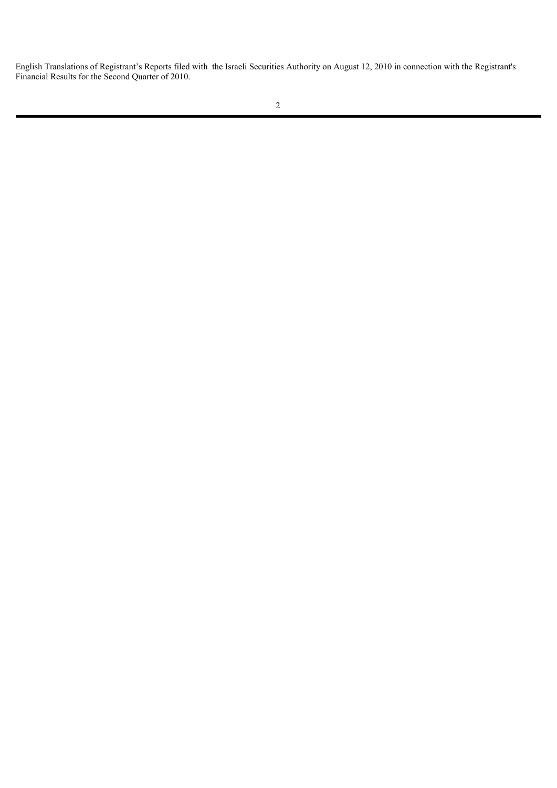English Translations of Registrant's Reports filed with the Israeli Securities Authority on August 12, 2010 in connection with the Registrant's Financial Results for the Second Quarter of 2010.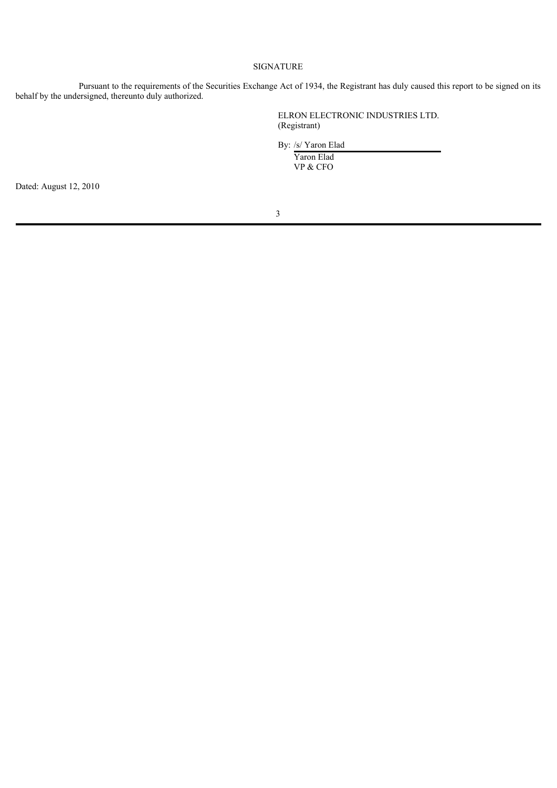## SIGNATURE

Pursuant to the requirements of the Securities Exchange Act of 1934, the Registrant has duly caused this report to be signed on its behalf by the undersigned, thereunto duly authorized.

> ELRON ELECTRONIC INDUSTRIES LTD. (Registrant)

By: /s/ Yaron Elad

Yaron Elad<br>VP & CFO VP & CFO

Dated: August 12, 2010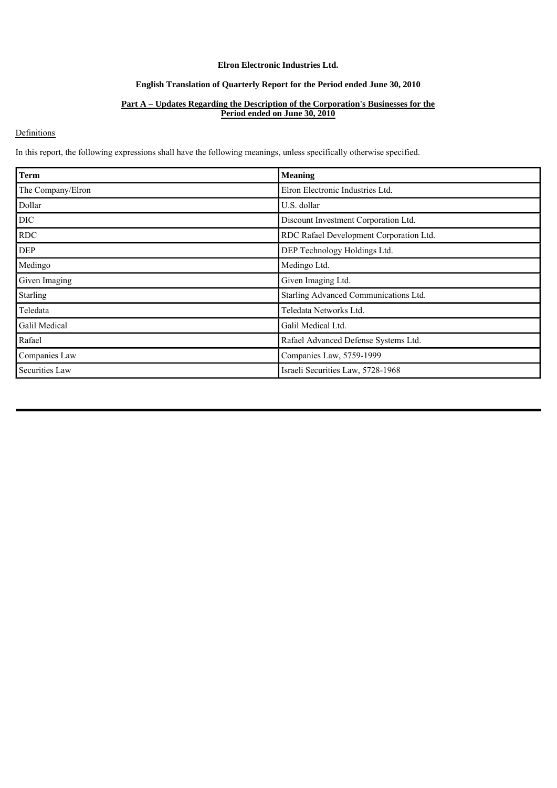## **Elron Electronic Industries Ltd.**

## **English Translation of Quarterly Report for the Period ended June 30, 2010**

## **Part A – Updates Regarding the Description of the Corporation's Businesses for the Period ended on June 30, 2010**

## **Definitions**

In this report, the following expressions shall have the following meanings, unless specifically otherwise specified.

| <b>Term</b>       | <b>Meaning</b>                          |
|-------------------|-----------------------------------------|
| The Company/Elron | Elron Electronic Industries Ltd.        |
| Dollar            | U.S. dollar                             |
| DIC               | Discount Investment Corporation Ltd.    |
| <b>RDC</b>        | RDC Rafael Development Corporation Ltd. |
| <b>DEP</b>        | DEP Technology Holdings Ltd.            |
| Medingo           | Medingo Ltd.                            |
| Given Imaging     | Given Imaging Ltd.                      |
| <b>Starling</b>   | Starling Advanced Communications Ltd.   |
| Teledata          | Teledata Networks Ltd.                  |
| Galil Medical     | Galil Medical Ltd.                      |
| Rafael            | Rafael Advanced Defense Systems Ltd.    |
| Companies Law     | Companies Law, 5759-1999                |
| Securities Law    | Israeli Securities Law, 5728-1968       |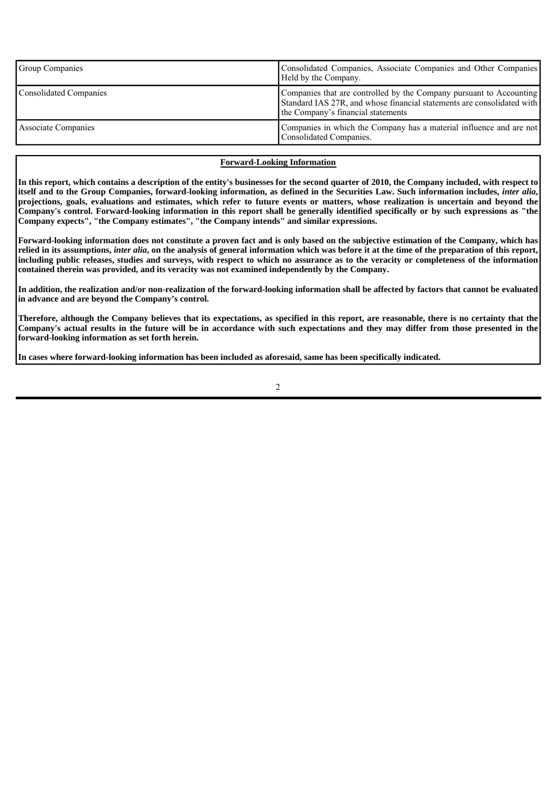| <b>Group Companies</b> | Consolidated Companies, Associate Companies and Other Companies<br>Held by the Company.                                                                                             |
|------------------------|-------------------------------------------------------------------------------------------------------------------------------------------------------------------------------------|
| Consolidated Companies | Companies that are controlled by the Company pursuant to Accounting<br>Standard IAS 27R, and whose financial statements are consolidated with<br>the Company's financial statements |
| Associate Companies    | Companies in which the Company has a material influence and are not<br>Consolidated Companies.                                                                                      |

## **Forward-Looking Information**

**In this report, which contains a description of the entity's businesses for the second quarter of 2010, the Company included, with respect to itself and to the Group Companies, forward-looking information, as defined in the Securities Law. Such information includes,** *inter alia***, projections, goals, evaluations and estimates, which refer to future events or matters, whose realization is uncertain and beyond the Company's control. Forward-looking information in this report shall be generally identified specifically or by such expressions as "the Company expects", "the Company estimates", "the Company intends" and similar expressions.**

**Forward-looking information does not constitute a proven fact and is only based on the subjective estimation of the Company, which has relied in its assumptions,** *inter alia***, on the analysis of general information which was before it at the time of the preparation of this report, including public releases, studies and surveys, with respect to which no assurance as to the veracity or completeness of the information contained therein was provided, and its veracity was not examined independently by the Company.**

**In addition, the realization and/or non-realization of the forward-looking information shall be affected by factors that cannot be evaluated in advance and are beyond the Company's control.**

**Therefore, although the Company believes that its expectations, as specified in this report, are reasonable, there is no certainty that the Company's actual results in the future will be in accordance with such expectations and they may differ from those presented in the forward-looking information as set forth herein.**

**In cases where forward-looking information has been included as aforesaid, same has been specifically indicated.**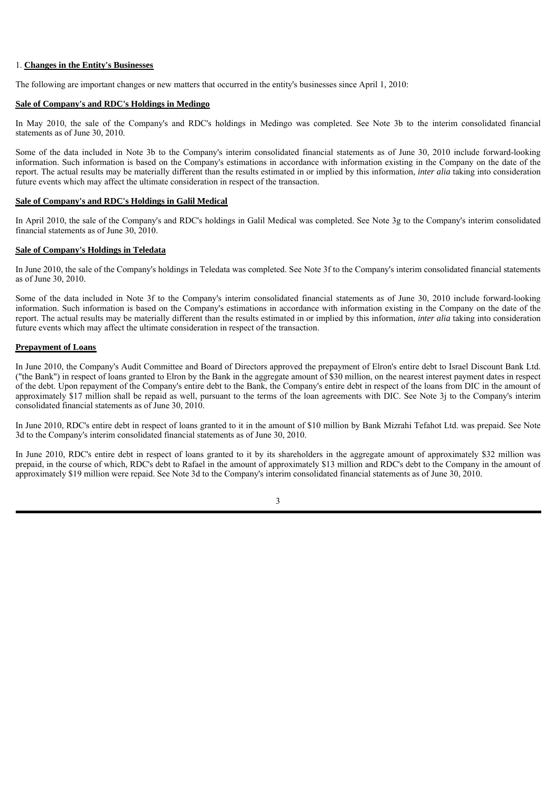#### 1. **Changes in the Entity's Businesses**

The following are important changes or new matters that occurred in the entity's businesses since April 1, 2010:

#### **Sale of Company's and RDC's Holdings in Medingo**

In May 2010, the sale of the Company's and RDC's holdings in Medingo was completed. See Note 3b to the interim consolidated financial statements as of June 30, 2010.

Some of the data included in Note 3b to the Company's interim consolidated financial statements as of June 30, 2010 include forward-looking information. Such information is based on the Company's estimations in accordance with information existing in the Company on the date of the report. The actual results may be materially different than the results estimated in or implied by this information, *inter alia* taking into consideration future events which may affect the ultimate consideration in respect of the transaction.

#### **Sale of Company's and RDC's Holdings in Galil Medical**

In April 2010, the sale of the Company's and RDC's holdings in Galil Medical was completed. See Note 3g to the Company's interim consolidated financial statements as of June 30, 2010.

## **Sale of Company's Holdings in Teledata**

In June 2010, the sale of the Company's holdings in Teledata was completed. See Note 3f to the Company's interim consolidated financial statements as of June 30, 2010.

Some of the data included in Note 3f to the Company's interim consolidated financial statements as of June 30, 2010 include forward-looking information. Such information is based on the Company's estimations in accordance with information existing in the Company on the date of the report. The actual results may be materially different than the results estimated in or implied by this information, *inter alia* taking into consideration future events which may affect the ultimate consideration in respect of the transaction.

## **Prepayment of Loans**

In June 2010, the Company's Audit Committee and Board of Directors approved the prepayment of Elron's entire debt to Israel Discount Bank Ltd. ("the Bank") in respect of loans granted to Elron by the Bank in the aggregate amount of \$30 million, on the nearest interest payment dates in respect of the debt. Upon repayment of the Company's entire debt to the Bank, the Company's entire debt in respect of the loans from DIC in the amount of approximately \$17 million shall be repaid as well, pursuant to the terms of the loan agreements with DIC. See Note 3j to the Company's interim consolidated financial statements as of June 30, 2010.

In June 2010, RDC's entire debt in respect of loans granted to it in the amount of \$10 million by Bank Mizrahi Tefahot Ltd. was prepaid. See Note 3d to the Company's interim consolidated financial statements as of June 30, 2010.

In June 2010, RDC's entire debt in respect of loans granted to it by its shareholders in the aggregate amount of approximately \$32 million was prepaid, in the course of which, RDC's debt to Rafael in the amount of approximately \$13 million and RDC's debt to the Company in the amount of approximately \$19 million were repaid. See Note 3d to the Company's interim consolidated financial statements as of June 30, 2010.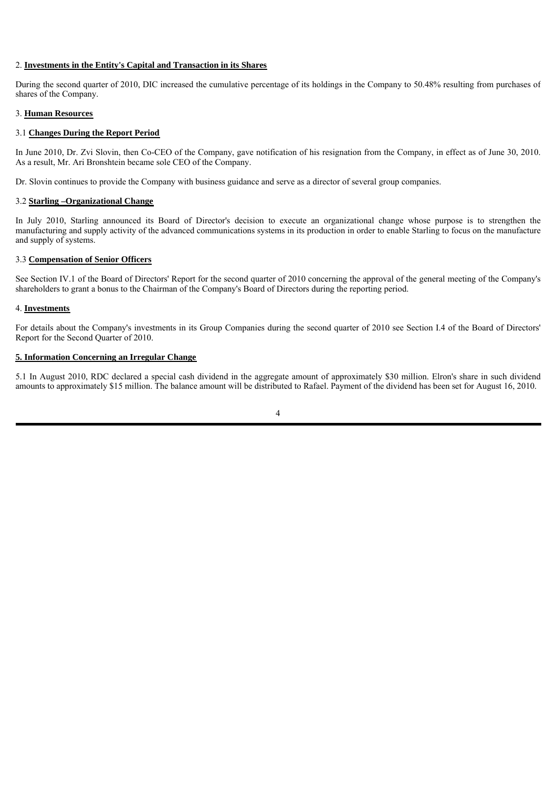## 2. **Investments in the Entity's Capital and Transaction in its Shares**

During the second quarter of 2010, DIC increased the cumulative percentage of its holdings in the Company to 50.48% resulting from purchases of shares of the Company.

#### 3. **Human Resources**

## 3.1 **Changes During the Report Period**

In June 2010, Dr. Zvi Slovin, then Co-CEO of the Company, gave notification of his resignation from the Company, in effect as of June 30, 2010. As a result, Mr. Ari Bronshtein became sole CEO of the Company.

Dr. Slovin continues to provide the Company with business guidance and serve as a director of several group companies.

## 3.2 **Starling –Organizational Change**

In July 2010, Starling announced its Board of Director's decision to execute an organizational change whose purpose is to strengthen the manufacturing and supply activity of the advanced communications systems in its production in order to enable Starling to focus on the manufacture and supply of systems.

## 3.3 **Compensation of Senior Officers**

See Section IV.1 of the Board of Directors' Report for the second quarter of 2010 concerning the approval of the general meeting of the Company's shareholders to grant a bonus to the Chairman of the Company's Board of Directors during the reporting period.

## 4. **Investments**

For details about the Company's investments in its Group Companies during the second quarter of 2010 see Section I.4 of the Board of Directors' Report for the Second Quarter of 2010.

## **5. Information Concerning an Irregular Change**

5.1 In August 2010, RDC declared a special cash dividend in the aggregate amount of approximately \$30 million. Elron's share in such dividend amounts to approximately \$15 million. The balance amount will be distributed to Rafael. Payment of the dividend has been set for August 16, 2010.

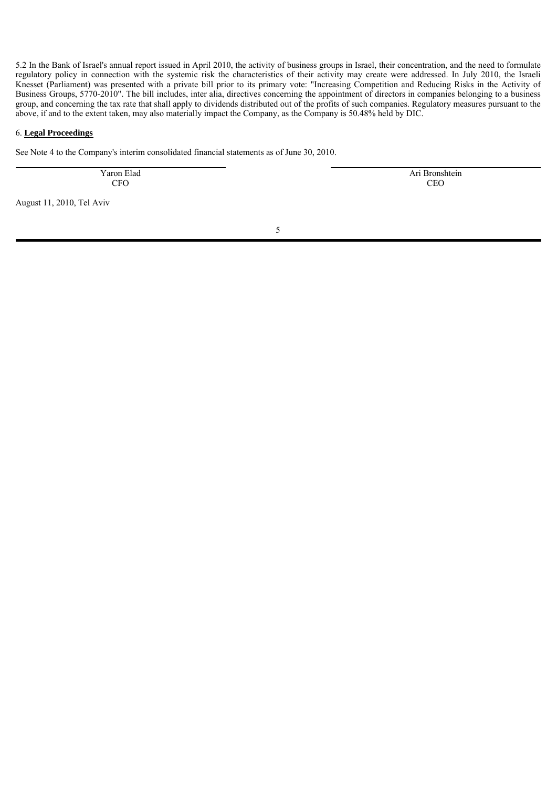5.2 In the Bank of Israel's annual report issued in April 2010, the activity of business groups in Israel, their concentration, and the need to formulate regulatory policy in connection with the systemic risk the characteristics of their activity may create were addressed. In July 2010, the Israeli Knesset (Parliament) was presented with a private bill prior to its primary vote: "Increasing Competition and Reducing Risks in the Activity of Business Groups, 5770-2010". The bill includes, inter alia, directives concerning the appointment of directors in companies belonging to a business group, and concerning the tax rate that shall apply to dividends distributed out of the profits of such companies. Regulatory measures pursuant to the above, if and to the extent taken, may also materially impact the Company, as the Company is 50.48% held by DIC.

#### 6. **Legal Proceedings**

See Note 4 to the Company's interim consolidated financial statements as of June 30, 2010.

Yaron Elad CFO

 Ari Bronshtein **CEO** 

August 11, 2010, Tel Aviv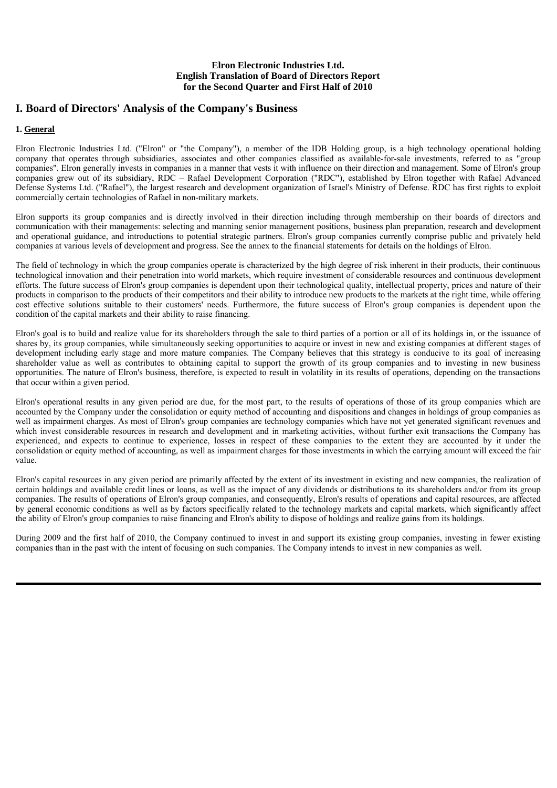# **I. Board of Directors' Analysis of the Company's Business**

## **1. General**

Elron Electronic Industries Ltd. ("Elron" or "the Company"), a member of the IDB Holding group, is a high technology operational holding company that operates through subsidiaries, associates and other companies classified as available-for-sale investments, referred to as "group companies". Elron generally invests in companies in a manner that vests it with influence on their direction and management. Some of Elron's group companies grew out of its subsidiary, RDC – Rafael Development Corporation ("RDC"), established by Elron together with Rafael Advanced Defense Systems Ltd. ("Rafael"), the largest research and development organization of Israel's Ministry of Defense. RDC has first rights to exploit commercially certain technologies of Rafael in non-military markets.

Elron supports its group companies and is directly involved in their direction including through membership on their boards of directors and communication with their managements: selecting and manning senior management positions, business plan preparation, research and development and operational guidance, and introductions to potential strategic partners. Elron's group companies currently comprise public and privately held companies at various levels of development and progress. See the annex to the financial statements for details on the holdings of Elron.

The field of technology in which the group companies operate is characterized by the high degree of risk inherent in their products, their continuous technological innovation and their penetration into world markets, which require investment of considerable resources and continuous development efforts. The future success of Elron's group companies is dependent upon their technological quality, intellectual property, prices and nature of their products in comparison to the products of their competitors and their ability to introduce new products to the markets at the right time, while offering cost effective solutions suitable to their customers' needs. Furthermore, the future success of Elron's group companies is dependent upon the condition of the capital markets and their ability to raise financing.

Elron's goal is to build and realize value for its shareholders through the sale to third parties of a portion or all of its holdings in, or the issuance of shares by, its group companies, while simultaneously seeking opportunities to acquire or invest in new and existing companies at different stages of development including early stage and more mature companies. The Company believes that this strategy is conducive to its goal of increasing shareholder value as well as contributes to obtaining capital to support the growth of its group companies and to investing in new business opportunities. The nature of Elron's business, therefore, is expected to result in volatility in its results of operations, depending on the transactions that occur within a given period.

Elron's operational results in any given period are due, for the most part, to the results of operations of those of its group companies which are accounted by the Company under the consolidation or equity method of accounting and dispositions and changes in holdings of group companies as well as impairment charges. As most of Elron's group companies are technology companies which have not yet generated significant revenues and which invest considerable resources in research and development and in marketing activities, without further exit transactions the Company has experienced, and expects to continue to experience, losses in respect of these companies to the extent they are accounted by it under the consolidation or equity method of accounting, as well as impairment charges for those investments in which the carrying amount will exceed the fair value.

Elron's capital resources in any given period are primarily affected by the extent of its investment in existing and new companies, the realization of certain holdings and available credit lines or loans, as well as the impact of any dividends or distributions to its shareholders and/or from its group companies. The results of operations of Elron's group companies, and consequently, Elron's results of operations and capital resources, are affected by general economic conditions as well as by factors specifically related to the technology markets and capital markets, which significantly affect the ability of Elron's group companies to raise financing and Elron's ability to dispose of holdings and realize gains from its holdings.

During 2009 and the first half of 2010, the Company continued to invest in and support its existing group companies, investing in fewer existing companies than in the past with the intent of focusing on such companies. The Company intends to invest in new companies as well.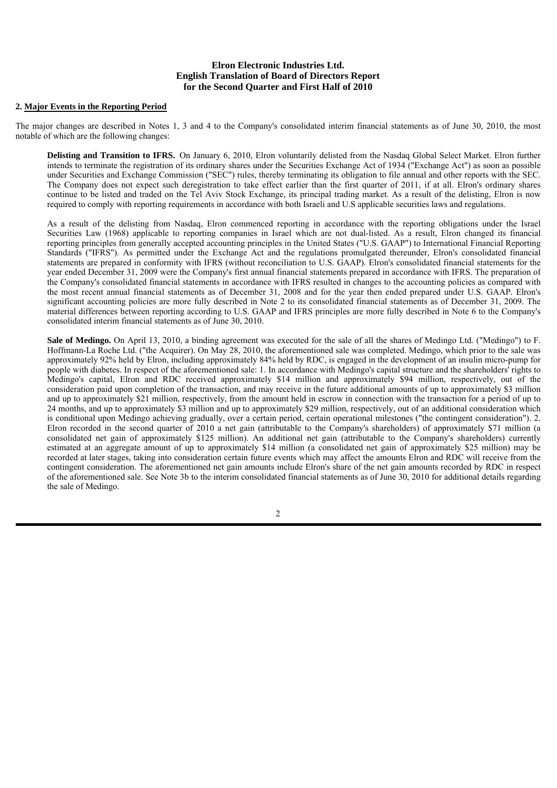#### **2. Major Events in the Reporting Period**

The major changes are described in Notes 1, 3 and 4 to the Company's consolidated interim financial statements as of June 30, 2010, the most notable of which are the following changes:

**Delisting and Transition to IFRS.** On January 6, 2010, Elron voluntarily delisted from the Nasdaq Global Select Market. Elron further intends to terminate the registration of its ordinary shares under the Securities Exchange Act of 1934 ("Exchange Act") as soon as possible under Securities and Exchange Commission ("SEC") rules, thereby terminating its obligation to file annual and other reports with the SEC. The Company does not expect such deregistration to take effect earlier than the first quarter of 2011, if at all. Elron's ordinary shares continue to be listed and traded on the Tel Aviv Stock Exchange, its principal trading market. As a result of the delisting, Elron is now required to comply with reporting requirements in accordance with both Israeli and U.S applicable securities laws and regulations.

As a result of the delisting from Nasdaq, Elron commenced reporting in accordance with the reporting obligations under the Israel Securities Law (1968) applicable to reporting companies in Israel which are not dual-listed. As a result, Elron changed its financial reporting principles from generally accepted accounting principles in the United States ("U.S. GAAP") to International Financial Reporting Standards ("IFRS"). As permitted under the Exchange Act and the regulations promulgated thereunder, Elron's consolidated financial statements are prepared in conformity with IFRS (without reconciliation to U.S. GAAP). Elron's consolidated financial statements for the year ended December 31, 2009 were the Company's first annual financial statements prepared in accordance with IFRS. The preparation of the Company's consolidated financial statements in accordance with IFRS resulted in changes to the accounting policies as compared with the most recent annual financial statements as of December 31, 2008 and for the year then ended prepared under U.S. GAAP. Elron's significant accounting policies are more fully described in Note 2 to its consolidated financial statements as of December 31, 2009. The material differences between reporting according to U.S. GAAP and IFRS principles are more fully described in Note 6 to the Company's consolidated interim financial statements as of June 30, 2010.

**Sale of Medingo.** On April 13, 2010, a binding agreement was executed for the sale of all the shares of Medingo Ltd. ("Medingo") to F. Hoffmann-La Roche Ltd. ("the Acquirer). On May 28, 2010, the aforementioned sale was completed. Medingo, which prior to the sale was approximately 92% held by Elron, including approximately 84% held by RDC, is engaged in the development of an insulin micro-pump for people with diabetes. In respect of the aforementioned sale: 1. In accordance with Medingo's capital structure and the shareholders' rights to Medingo's capital, Elron and RDC received approximately \$14 million and approximately \$94 million, respectively, out of the consideration paid upon completion of the transaction, and may receive in the future additional amounts of up to approximately \$3 million and up to approximately \$21 million, respectively, from the amount held in escrow in connection with the transaction for a period of up to 24 months, and up to approximately \$3 million and up to approximately \$29 million, respectively, out of an additional consideration which is conditional upon Medingo achieving gradually, over a certain period, certain operational milestones ("the contingent consideration"). 2. Elron recorded in the second quarter of 2010 a net gain (attributable to the Company's shareholders) of approximately \$71 million (a consolidated net gain of approximately \$125 million). An additional net gain (attributable to the Company's shareholders) currently estimated at an aggregate amount of up to approximately \$14 million (a consolidated net gain of approximately \$25 million) may be recorded at later stages, taking into consideration certain future events which may affect the amounts Elron and RDC will receive from the contingent consideration. The aforementioned net gain amounts include Elron's share of the net gain amounts recorded by RDC in respect of the aforementioned sale. See Note 3b to the interim consolidated financial statements as of June 30, 2010 for additional details regarding the sale of Medingo.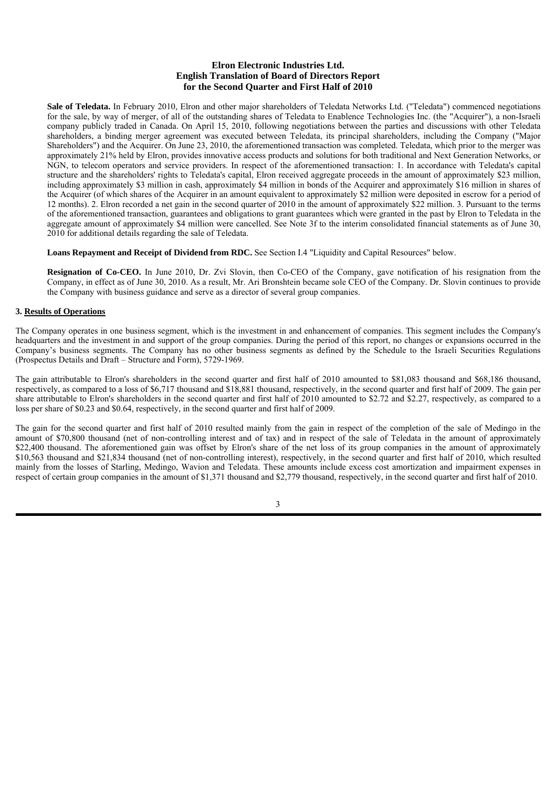Sale of Teledata. In February 2010, Elron and other major shareholders of Teledata Networks Ltd. ("Teledata") commenced negotiations for the sale, by way of merger, of all of the outstanding shares of Teledata to Enablence Technologies Inc. (the "Acquirer"), a non-Israeli company publicly traded in Canada. On April 15, 2010, following negotiations between the parties and discussions with other Teledata shareholders, a binding merger agreement was executed between Teledata, its principal shareholders, including the Company ("Major Shareholders") and the Acquirer. On June 23, 2010, the aforementioned transaction was completed. Teledata, which prior to the merger was approximately 21% held by Elron, provides innovative access products and solutions for both traditional and Next Generation Networks, or NGN, to telecom operators and service providers. In respect of the aforementioned transaction: 1. In accordance with Teledata's capital structure and the shareholders' rights to Teledata's capital, Elron received aggregate proceeds in the amount of approximately \$23 million, including approximately \$3 million in cash, approximately \$4 million in bonds of the Acquirer and approximately \$16 million in shares of the Acquirer (of which shares of the Acquirer in an amount equivalent to approximately \$2 million were deposited in escrow for a period of 12 months). 2. Elron recorded a net gain in the second quarter of 2010 in the amount of approximately \$22 million. 3. Pursuant to the terms of the aforementioned transaction, guarantees and obligations to grant guarantees which were granted in the past by Elron to Teledata in the aggregate amount of approximately \$4 million were cancelled. See Note 3f to the interim consolidated financial statements as of June 30, 2010 for additional details regarding the sale of Teledata.

**Loans Repayment and Receipt of Dividend from RDC.** See Section I.4 "Liquidity and Capital Resources" below.

**Resignation of Co-CEO.** In June 2010, Dr. Zvi Slovin, then Co-CEO of the Company, gave notification of his resignation from the Company, in effect as of June 30, 2010. As a result, Mr. Ari Bronshtein became sole CEO of the Company. Dr. Slovin continues to provide the Company with business guidance and serve as a director of several group companies.

#### **3. Results of Operations**

The Company operates in one business segment, which is the investment in and enhancement of companies. This segment includes the Company's headquarters and the investment in and support of the group companies. During the period of this report, no changes or expansions occurred in the Company's business segments. The Company has no other business segments as defined by the Schedule to the Israeli Securities Regulations (Prospectus Details and Draft – Structure and Form), 5729-1969.

The gain attributable to Elron's shareholders in the second quarter and first half of 2010 amounted to \$81,083 thousand and \$68,186 thousand, respectively, as compared to a loss of \$6,717 thousand and \$18,881 thousand, respectively, in the second quarter and first half of 2009. The gain per share attributable to Elron's shareholders in the second quarter and first half of 2010 amounted to \$2.72 and \$2.27, respectively, as compared to a loss per share of \$0.23 and \$0.64, respectively, in the second quarter and first half of 2009.

The gain for the second quarter and first half of 2010 resulted mainly from the gain in respect of the completion of the sale of Medingo in the amount of \$70,800 thousand (net of non-controlling interest and of tax) and in respect of the sale of Teledata in the amount of approximately \$22,400 thousand. The aforementioned gain was offset by Elron's share of the net loss of its group companies in the amount of approximately \$10,563 thousand and \$21,834 thousand (net of non-controlling interest), respectively, in the second quarter and first half of 2010, which resulted mainly from the losses of Starling, Medingo, Wavion and Teledata. These amounts include excess cost amortization and impairment expenses in respect of certain group companies in the amount of \$1,371 thousand and \$2,779 thousand, respectively, in the second quarter and first half of 2010.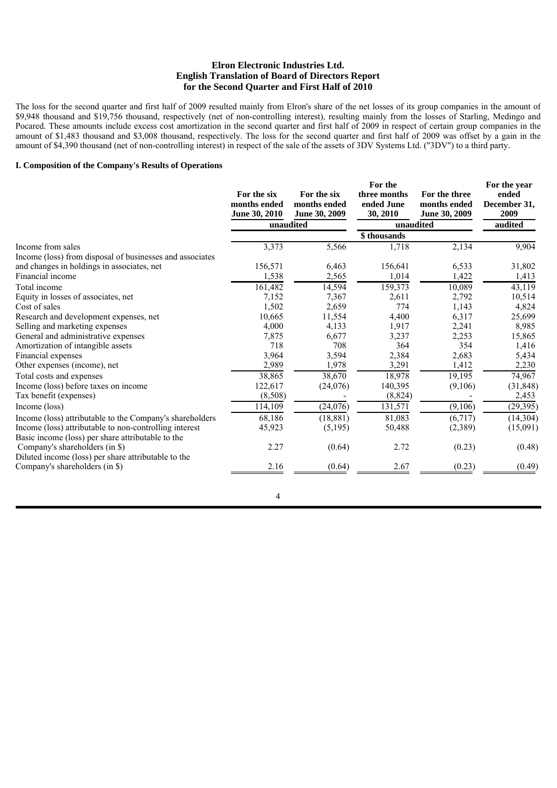The loss for the second quarter and first half of 2009 resulted mainly from Elron's share of the net losses of its group companies in the amount of \$9,948 thousand and \$19,756 thousand, respectively (net of non-controlling interest), resulting mainly from the losses of Starling, Medingo and Pocared. These amounts include excess cost amortization in the second quarter and first half of 2009 in respect of certain group companies in the amount of \$1,483 thousand and \$3,008 thousand, respectively. The loss for the second quarter and first half of 2009 was offset by a gain in the amount of \$4,390 thousand (net of non-controlling interest) in respect of the sale of the assets of 3DV Systems Ltd. ("3DV") to a third party.

## **I. Composition of the Company's Results of Operations**

|                                                                                                             | For the six<br>months ended<br>June 30, 2010 | For the six<br>months ended<br>June 30, 2009 | For the<br>three months<br>ended June<br>30, 2010 | For the three<br>months ended<br>June 30, 2009 | For the year<br>ended<br>December 31,<br>2009 |
|-------------------------------------------------------------------------------------------------------------|----------------------------------------------|----------------------------------------------|---------------------------------------------------|------------------------------------------------|-----------------------------------------------|
|                                                                                                             |                                              | unaudited                                    |                                                   | unaudited                                      | audited                                       |
|                                                                                                             |                                              |                                              | \$thousands                                       |                                                |                                               |
| Income from sales<br>Income (loss) from disposal of businesses and associates                               | 3,373                                        | 5,566                                        | 1,718                                             | 2,134                                          | 9,904                                         |
| and changes in holdings in associates, net                                                                  | 156,571                                      | 6,463                                        | 156,641                                           | 6,533                                          | 31,802                                        |
| Financial income                                                                                            | 1,538                                        | 2,565                                        | 1,014                                             | 1,422                                          | 1,413                                         |
| Total income                                                                                                | 161,482                                      | 14,594                                       | 159,373                                           | 10,089                                         | 43,119                                        |
| Equity in losses of associates, net                                                                         | 7,152                                        | 7,367                                        | 2,611                                             | 2,792                                          | 10,514                                        |
| Cost of sales                                                                                               | 1,502                                        | 2,659                                        | 774                                               | 1,143                                          | 4,824                                         |
| Research and development expenses, net                                                                      | 10,665                                       | 11,554                                       | 4,400                                             | 6,317                                          | 25,699                                        |
| Selling and marketing expenses                                                                              | 4,000                                        | 4,133                                        | 1,917                                             | 2,241                                          | 8,985                                         |
| General and administrative expenses                                                                         | 7,875                                        | 6,677                                        | 3,237                                             | 2,253                                          | 15,865                                        |
| Amortization of intangible assets                                                                           | 718                                          | 708                                          | 364                                               | 354                                            | 1,416                                         |
| Financial expenses                                                                                          | 3,964                                        | 3,594                                        | 2,384                                             | 2,683                                          | 5,434                                         |
| Other expenses (income), net                                                                                | 2,989                                        | 1,978                                        | 3,291                                             | 1,412                                          | 2,230                                         |
| Total costs and expenses                                                                                    | 38,865                                       | 38,670                                       | 18,978                                            | 19,195                                         | 74,967                                        |
| Income (loss) before taxes on income                                                                        | 122,617                                      | (24, 076)                                    | 140,395                                           | (9,106)                                        | (31, 848)                                     |
| Tax benefit (expenses)                                                                                      | (8,508)                                      |                                              | (8, 824)                                          |                                                | 2,453                                         |
| Income (loss)                                                                                               | 114,109                                      | (24,076)                                     | 131,571                                           | (9,106)                                        | (29, 395)                                     |
| Income (loss) attributable to the Company's shareholders                                                    | 68,186                                       | (18, 881)                                    | 81,083                                            | (6,717)                                        | (14, 304)                                     |
| Income (loss) attributable to non-controlling interest<br>Basic income (loss) per share attributable to the | 45,923                                       | (5,195)                                      | 50,488                                            | (2,389)                                        | (15,091)                                      |
| Company's shareholders (in \$)<br>Diluted income (loss) per share attributable to the                       | 2.27                                         | (0.64)                                       | 2.72                                              | (0.23)                                         | (0.48)                                        |
| Company's shareholders (in \$)                                                                              | 2.16                                         | (0.64)                                       | 2.67                                              | (0.23)                                         | (0.49)                                        |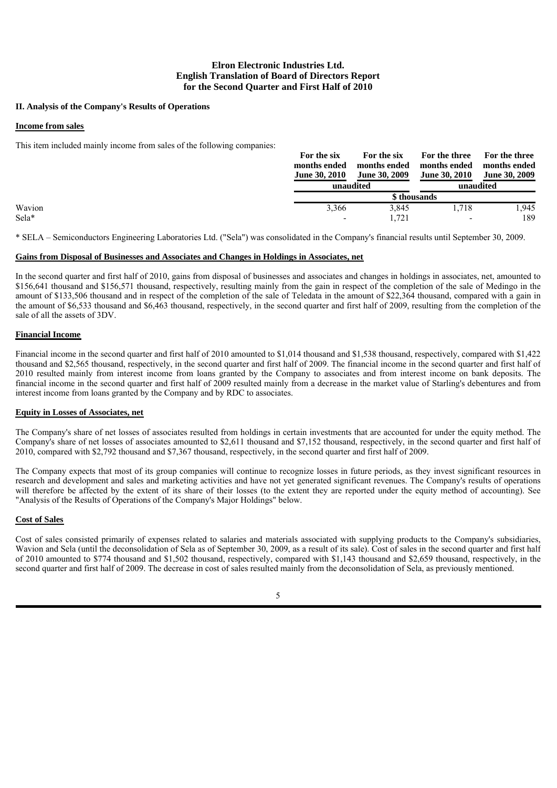## **II. Analysis of the Company's Results of Operations**

## **Income from sales**

This item included mainly income from sales of the following companies:

|        | For the six          | For the six          | For the three            | For the three        |
|--------|----------------------|----------------------|--------------------------|----------------------|
|        | months ended         | months ended         | months ended             | months ended         |
|        | <b>June 30, 2010</b> | <b>June 30, 2009</b> | <b>June 30, 2010</b>     | <b>June 30, 2009</b> |
|        |                      | unaudited            |                          | unaudited            |
|        |                      |                      | \$ thousands             |                      |
| Wavion | 3,366                | 3,845                | 1.718                    | .945                 |
| Sela*  |                      | 1.721                | $\overline{\phantom{0}}$ | 189                  |

\* SELA – Semiconductors Engineering Laboratories Ltd. ("Sela") was consolidated in the Company's financial results until September 30, 2009.

#### **Gains from Disposal of Businesses and Associates and Changes in Holdings in Associates, net**

In the second quarter and first half of 2010, gains from disposal of businesses and associates and changes in holdings in associates, net, amounted to \$156,641 thousand and \$156,571 thousand, respectively, resulting mainly from the gain in respect of the completion of the sale of Medingo in the amount of \$133,506 thousand and in respect of the completion of the sale of Teledata in the amount of \$22,364 thousand, compared with a gain in the amount of \$6,533 thousand and \$6,463 thousand, respectively, in the second quarter and first half of 2009, resulting from the completion of the sale of all the assets of 3DV.

#### **Financial Income**

Financial income in the second quarter and first half of 2010 amounted to \$1,014 thousand and \$1,538 thousand, respectively, compared with \$1,422 thousand and \$2,565 thousand, respectively, in the second quarter and first half of 2009. The financial income in the second quarter and first half of 2010 resulted mainly from interest income from loans granted by the Company to associates and from interest income on bank deposits. The financial income in the second quarter and first half of 2009 resulted mainly from a decrease in the market value of Starling's debentures and from interest income from loans granted by the Company and by RDC to associates.

## **Equity in Losses of Associates, net**

The Company's share of net losses of associates resulted from holdings in certain investments that are accounted for under the equity method. The Company's share of net losses of associates amounted to \$2,611 thousand and \$7,152 thousand, respectively, in the second quarter and first half of 2010, compared with \$2,792 thousand and \$7,367 thousand, respectively, in the second quarter and first half of 2009.

The Company expects that most of its group companies will continue to recognize losses in future periods, as they invest significant resources in research and development and sales and marketing activities and have not yet generated significant revenues. The Company's results of operations will therefore be affected by the extent of its share of their losses (to the extent they are reported under the equity method of accounting). See "Analysis of the Results of Operations of the Company's Major Holdings" below.

#### **Cost of Sales**

Cost of sales consisted primarily of expenses related to salaries and materials associated with supplying products to the Company's subsidiaries, Wavion and Sela (until the deconsolidation of Sela as of September 30, 2009, as a result of its sale). Cost of sales in the second quarter and first half of 2010 amounted to \$774 thousand and \$1,502 thousand, respectively, compared with \$1,143 thousand and \$2,659 thousand, respectively, in the second quarter and first half of 2009. The decrease in cost of sales resulted mainly from the deconsolidation of Sela, as previously mentioned.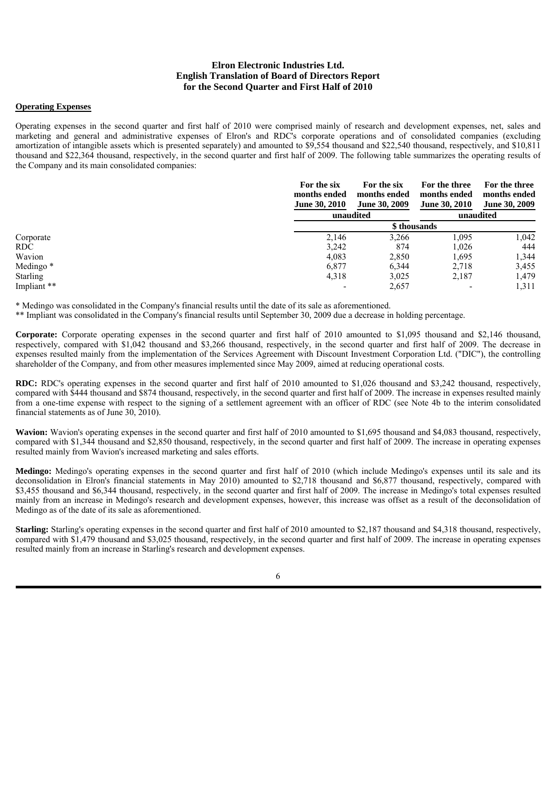#### **Operating Expenses**

Operating expenses in the second quarter and first half of 2010 were comprised mainly of research and development expenses, net, sales and marketing and general and administrative expenses of Elron's and RDC's corporate operations and of consolidated companies (excluding amortization of intangible assets which is presented separately) and amounted to \$9,554 thousand and \$22,540 thousand, respectively, and \$10,811 thousand and \$22,364 thousand, respectively, in the second quarter and first half of 2009. The following table summarizes the operating results of the Company and its main consolidated companies:

|                      | For the six<br>months ended<br><b>June 30, 2010</b> | For the six<br>months ended<br><b>June 30, 2009</b> | For the three<br>months ended<br><b>June 30, 2010</b> | For the three<br>months ended<br><b>June 30, 2009</b> |
|----------------------|-----------------------------------------------------|-----------------------------------------------------|-------------------------------------------------------|-------------------------------------------------------|
|                      | unaudited                                           |                                                     |                                                       | unaudited                                             |
|                      |                                                     |                                                     | \$ thousands                                          |                                                       |
| Corporate            | 2,146                                               | 3,266                                               | 1,095                                                 | 1,042                                                 |
| RDC                  | 3.242                                               | 874                                                 | 1.026                                                 | 444                                                   |
| Wavion               | 4,083                                               | 2,850                                               | 1,695                                                 | 1,344                                                 |
| Medingo <sup>*</sup> | 6,877                                               | 6,344                                               | 2.718                                                 | 3,455                                                 |
| Starling             | 4,318                                               | 3,025                                               | 2,187                                                 | 1,479                                                 |
| Impliant **          |                                                     | 2,657                                               |                                                       | 1,311                                                 |

\* Medingo was consolidated in the Company's financial results until the date of its sale as aforementioned.

\*\* Impliant was consolidated in the Company's financial results until September 30, 2009 due a decrease in holding percentage.

**Corporate:** Corporate operating expenses in the second quarter and first half of 2010 amounted to \$1,095 thousand and \$2,146 thousand, respectively, compared with \$1,042 thousand and \$3,266 thousand, respectively, in the second quarter and first half of 2009. The decrease in expenses resulted mainly from the implementation of the Services Agreement with Discount Investment Corporation Ltd. ("DIC"), the controlling shareholder of the Company, and from other measures implemented since May 2009, aimed at reducing operational costs.

**RDC:** RDC's operating expenses in the second quarter and first half of 2010 amounted to \$1,026 thousand and \$3,242 thousand, respectively, compared with \$444 thousand and \$874 thousand, respectively, in the second quarter and first half of 2009. The increase in expenses resulted mainly from a one-time expense with respect to the signing of a settlement agreement with an officer of RDC (see Note 4b to the interim consolidated financial statements as of June 30, 2010).

**Wavion:** Wavion's operating expenses in the second quarter and first half of 2010 amounted to \$1,695 thousand and \$4,083 thousand, respectively, compared with \$1,344 thousand and \$2,850 thousand, respectively, in the second quarter and first half of 2009. The increase in operating expenses resulted mainly from Wavion's increased marketing and sales efforts.

**Medingo:** Medingo's operating expenses in the second quarter and first half of 2010 (which include Medingo's expenses until its sale and its deconsolidation in Elron's financial statements in May 2010) amounted to \$2,718 thousand and \$6,877 thousand, respectively, compared with \$3,455 thousand and \$6,344 thousand, respectively, in the second quarter and first half of 2009. The increase in Medingo's total expenses resulted mainly from an increase in Medingo's research and development expenses, however, this increase was offset as a result of the deconsolidation of Medingo as of the date of its sale as aforementioned.

**Starling:** Starling's operating expenses in the second quarter and first half of 2010 amounted to \$2,187 thousand and \$4,318 thousand, respectively, compared with \$1,479 thousand and \$3,025 thousand, respectively, in the second quarter and first half of 2009. The increase in operating expenses resulted mainly from an increase in Starling's research and development expenses.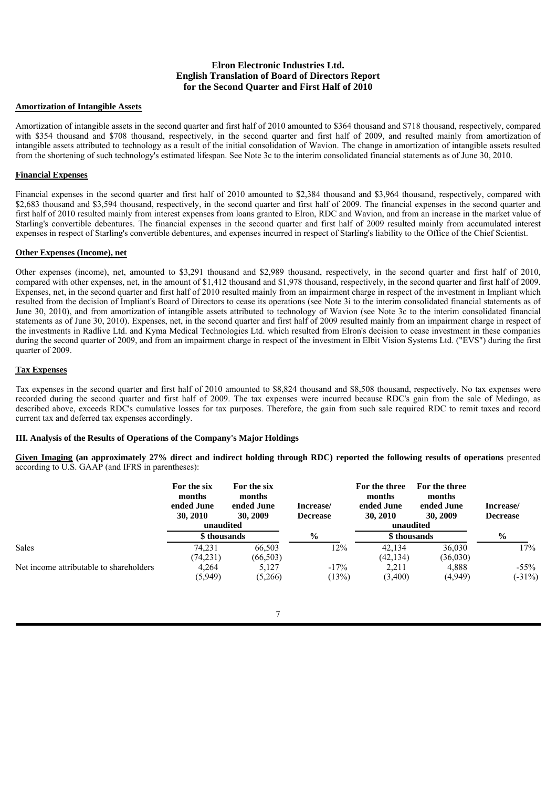#### **Amortization of Intangible Assets**

Amortization of intangible assets in the second quarter and first half of 2010 amounted to \$364 thousand and \$718 thousand, respectively, compared with \$354 thousand and \$708 thousand, respectively, in the second quarter and first half of 2009, and resulted mainly from amortization of intangible assets attributed to technology as a result of the initial consolidation of Wavion. The change in amortization of intangible assets resulted from the shortening of such technology's estimated lifespan. See Note 3c to the interim consolidated financial statements as of June 30, 2010.

## **Financial Expenses**

Financial expenses in the second quarter and first half of 2010 amounted to \$2,384 thousand and \$3,964 thousand, respectively, compared with \$2,683 thousand and \$3,594 thousand, respectively, in the second quarter and first half of 2009. The financial expenses in the second quarter and first half of 2010 resulted mainly from interest expenses from loans granted to Elron, RDC and Wavion, and from an increase in the market value of Starling's convertible debentures. The financial expenses in the second quarter and first half of 2009 resulted mainly from accumulated interest expenses in respect of Starling's convertible debentures, and expenses incurred in respect of Starling's liability to the Office of the Chief Scientist.

## **Other Expenses (Income), net**

Other expenses (income), net, amounted to \$3,291 thousand and \$2,989 thousand, respectively, in the second quarter and first half of 2010, compared with other expenses, net, in the amount of \$1,412 thousand and \$1,978 thousand, respectively, in the second quarter and first half of 2009. Expenses, net, in the second quarter and first half of 2010 resulted mainly from an impairment charge in respect of the investment in Impliant which resulted from the decision of Impliant's Board of Directors to cease its operations (see Note 3i to the interim consolidated financial statements as of June 30, 2010), and from amortization of intangible assets attributed to technology of Wavion (see Note 3c to the interim consolidated financial statements as of June 30, 2010). Expenses, net, in the second quarter and first half of 2009 resulted mainly from an impairment charge in respect of the investments in Radlive Ltd. and Kyma Medical Technologies Ltd. which resulted from Elron's decision to cease investment in these companies during the second quarter of 2009, and from an impairment charge in respect of the investment in Elbit Vision Systems Ltd. ("EVS") during the first quarter of 2009.

## **Tax Expenses**

Tax expenses in the second quarter and first half of 2010 amounted to \$8,824 thousand and \$8,508 thousand, respectively. No tax expenses were recorded during the second quarter and first half of 2009. The tax expenses were incurred because RDC's gain from the sale of Medingo, as described above, exceeds RDC's cumulative losses for tax purposes. Therefore, the gain from such sale required RDC to remit taxes and record current tax and deferred tax expenses accordingly.

#### **III. Analysis of the Results of Operations of the Company's Major Holdings**

**Given Imaging (an approximately 27% direct and indirect holding through RDC) reported the following results of operations** presented according to U.S. GAAP (and IFRS in parentheses):

|                                         | For the six<br>months<br>ended June<br>30, 2010<br>unaudited | For the six<br>months<br>ended June<br>30, 2009 | Increase/<br><b>Decrease</b> | For the three<br>months<br>ended June<br>30, 2010 | For the three<br>months<br>ended June<br>30, 2009<br>unaudited | Increase/<br><b>Decrease</b> |
|-----------------------------------------|--------------------------------------------------------------|-------------------------------------------------|------------------------------|---------------------------------------------------|----------------------------------------------------------------|------------------------------|
|                                         |                                                              | \$ thousands                                    |                              | \$ thousands                                      |                                                                | $\frac{0}{0}$                |
| <b>Sales</b>                            | 74,231<br>(74, 231)                                          | 66,503<br>(66, 503)                             | 12%                          | 42.134<br>(42, 134)                               | 36,030<br>(36,030)                                             | 17%                          |
| Net income attributable to shareholders | 4.264<br>(5,949)                                             | 5.127<br>(5.266)                                | $-17\%$<br>(13%)             | 2.211<br>(3,400)                                  | 4.888<br>(4,949)                                               | $-55\%$<br>$(-31\%)$         |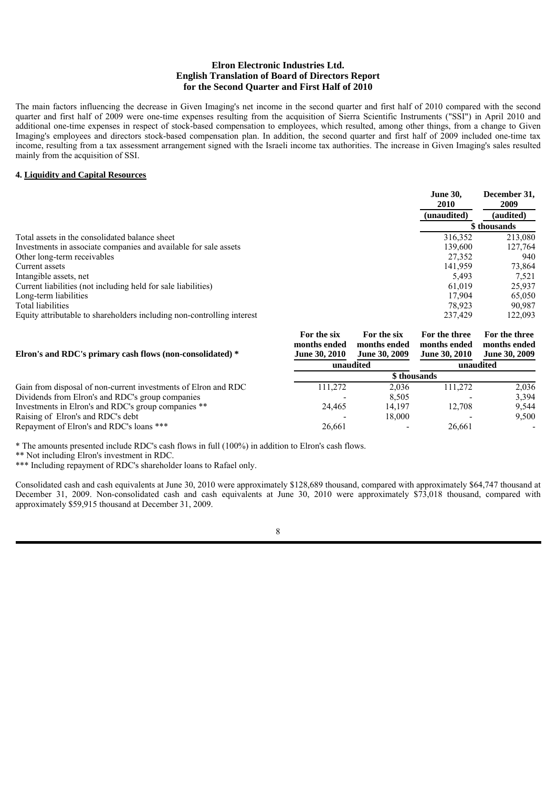The main factors influencing the decrease in Given Imaging's net income in the second quarter and first half of 2010 compared with the second quarter and first half of 2009 were one-time expenses resulting from the acquisition of Sierra Scientific Instruments ("SSI") in April 2010 and additional one-time expenses in respect of stock-based compensation to employees, which resulted, among other things, from a change to Given Imaging's employees and directors stock-based compensation plan. In addition, the second quarter and first half of 2009 included one-time tax income, resulting from a tax assessment arrangement signed with the Israeli income tax authorities. The increase in Given Imaging's sales resulted mainly from the acquisition of SSI.

## **4. Liquidity and Capital Resources**

|                                                                        | <b>June 30.</b><br>2010 | December 31,<br>2009 |  |
|------------------------------------------------------------------------|-------------------------|----------------------|--|
|                                                                        | (unaudited)             | (audited)            |  |
|                                                                        |                         | \$ thousands         |  |
| Total assets in the consolidated balance sheet                         | 316.352                 | 213,080              |  |
| Investments in associate companies and available for sale assets       | 139.600                 | 127,764              |  |
| Other long-term receivables                                            | 27,352                  | 940                  |  |
| Current assets                                                         | 141.959                 | 73,864               |  |
| Intangible assets, net                                                 | 5.493                   | 7.521                |  |
| Current liabilities (not including held for sale liabilities)          | 61.019                  | 25.937               |  |
| Long-term liabilities                                                  | 17.904                  | 65,050               |  |
| Total liabilities                                                      | 78.923                  | 90.987               |  |
| Equity attributable to shareholders including non-controlling interest | 237.429                 | 122,093              |  |

| Elron's and RDC's primary cash flows (non-consolidated) *      | For the six<br>months ended<br><b>June 30, 2010</b> | For the six<br>months ended<br><b>June 30, 2009</b> | For the three<br>months ended<br><b>June 30, 2010</b> | For the three<br>months ended<br><b>June 30, 2009</b> |  |
|----------------------------------------------------------------|-----------------------------------------------------|-----------------------------------------------------|-------------------------------------------------------|-------------------------------------------------------|--|
|                                                                |                                                     | unaudited                                           | unaudited                                             |                                                       |  |
|                                                                |                                                     |                                                     | \$ thousands                                          |                                                       |  |
| Gain from disposal of non-current investments of Elron and RDC | 111.272                                             | 2.036                                               | 111.272                                               | 2.036                                                 |  |
| Dividends from Elron's and RDC's group companies               |                                                     | 8.505                                               |                                                       | 3.394                                                 |  |
| Investments in Elron's and RDC's group companies **            | 24,465                                              | 14.197                                              | 12.708                                                | 9.544                                                 |  |
| Raising of Elron's and RDC's debt                              |                                                     | 18,000                                              |                                                       | 9,500                                                 |  |
| Repayment of Elron's and RDC's loans ***                       | 26.661                                              | $\overline{\phantom{0}}$                            | 26.661                                                | $\qquad \qquad \blacksquare$                          |  |

\* The amounts presented include RDC's cash flows in full (100%) in addition to Elron's cash flows.

\*\* Not including Elron's investment in RDC.

\*\*\* Including repayment of RDC's shareholder loans to Rafael only.

Consolidated cash and cash equivalents at June 30, 2010 were approximately \$128,689 thousand, compared with approximately \$64,747 thousand at December 31, 2009. Non-consolidated cash and cash equivalents at June 30, 2010 were approximately \$73,018 thousand, compared with approximately \$59,915 thousand at December 31, 2009.

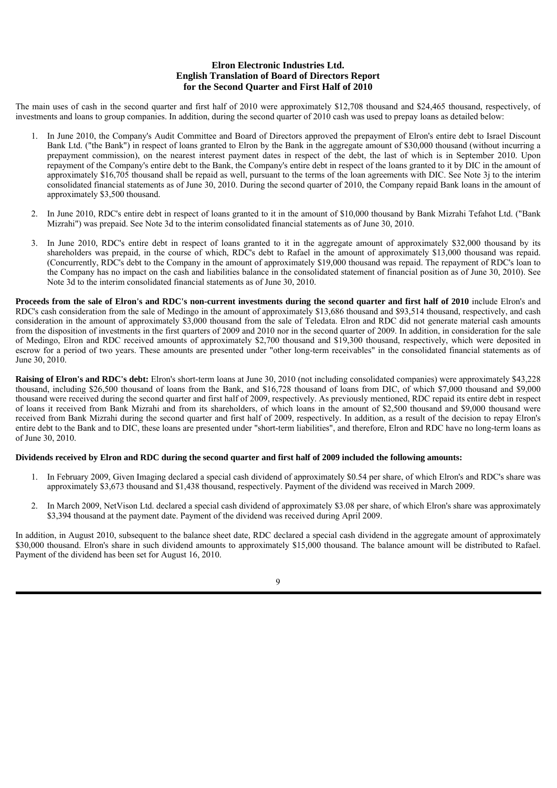The main uses of cash in the second quarter and first half of 2010 were approximately \$12,708 thousand and \$24,465 thousand, respectively, of investments and loans to group companies. In addition, during the second quarter of 2010 cash was used to prepay loans as detailed below:

- 1. In June 2010, the Company's Audit Committee and Board of Directors approved the prepayment of Elron's entire debt to Israel Discount Bank Ltd. ("the Bank") in respect of loans granted to Elron by the Bank in the aggregate amount of \$30,000 thousand (without incurring a prepayment commission), on the nearest interest payment dates in respect of the debt, the last of which is in September 2010. Upon repayment of the Company's entire debt to the Bank, the Company's entire debt in respect of the loans granted to it by DIC in the amount of approximately \$16,705 thousand shall be repaid as well, pursuant to the terms of the loan agreements with DIC. See Note 3j to the interim consolidated financial statements as of June 30, 2010. During the second quarter of 2010, the Company repaid Bank loans in the amount of approximately \$3,500 thousand.
- 2. In June 2010, RDC's entire debt in respect of loans granted to it in the amount of \$10,000 thousand by Bank Mizrahi Tefahot Ltd. ("Bank Mizrahi") was prepaid. See Note 3d to the interim consolidated financial statements as of June 30, 2010.
- 3. In June 2010, RDC's entire debt in respect of loans granted to it in the aggregate amount of approximately \$32,000 thousand by its shareholders was prepaid, in the course of which, RDC's debt to Rafael in the amount of approximately \$13,000 thousand was repaid. (Concurrently, RDC's debt to the Company in the amount of approximately \$19,000 thousand was repaid. The repayment of RDC's loan to the Company has no impact on the cash and liabilities balance in the consolidated statement of financial position as of June 30, 2010). See Note 3d to the interim consolidated financial statements as of June 30, 2010.

**Proceeds from the sale of Elron's and RDC's non-current investments during the second quarter and first half of 2010** include Elron's and RDC's cash consideration from the sale of Medingo in the amount of approximately \$13,686 thousand and \$93,514 thousand, respectively, and cash consideration in the amount of approximately \$3,000 thousand from the sale of Teledata. Elron and RDC did not generate material cash amounts from the disposition of investments in the first quarters of 2009 and 2010 nor in the second quarter of 2009. In addition, in consideration for the sale of Medingo, Elron and RDC received amounts of approximately \$2,700 thousand and \$19,300 thousand, respectively, which were deposited in escrow for a period of two years. These amounts are presented under "other long-term receivables" in the consolidated financial statements as of June 30, 2010.

**Raising of Elron's and RDC's debt:** Elron's short-term loans at June 30, 2010 (not including consolidated companies) were approximately \$43,228 thousand, including \$26,500 thousand of loans from the Bank, and \$16,728 thousand of loans from DIC, of which \$7,000 thousand and \$9,000 thousand were received during the second quarter and first half of 2009, respectively. As previously mentioned, RDC repaid its entire debt in respect of loans it received from Bank Mizrahi and from its shareholders, of which loans in the amount of \$2,500 thousand and \$9,000 thousand were received from Bank Mizrahi during the second quarter and first half of 2009, respectively. In addition, as a result of the decision to repay Elron's entire debt to the Bank and to DIC, these loans are presented under "short-term liabilities", and therefore, Elron and RDC have no long-term loans as of June 30, 2010.

## **Dividends received by Elron and RDC during the second quarter and first half of 2009 included the following amounts:**

- 1. In February 2009, Given Imaging declared a special cash dividend of approximately \$0.54 per share, of which Elron's and RDC's share was approximately \$3,673 thousand and \$1,438 thousand, respectively. Payment of the dividend was received in March 2009.
- 2. In March 2009, NetVison Ltd. declared a special cash dividend of approximately \$3.08 per share, of which Elron's share was approximately \$3,394 thousand at the payment date. Payment of the dividend was received during April 2009.

In addition, in August 2010, subsequent to the balance sheet date, RDC declared a special cash dividend in the aggregate amount of approximately \$30,000 thousand. Elron's share in such dividend amounts to approximately \$15,000 thousand. The balance amount will be distributed to Rafael. Payment of the dividend has been set for August 16, 2010.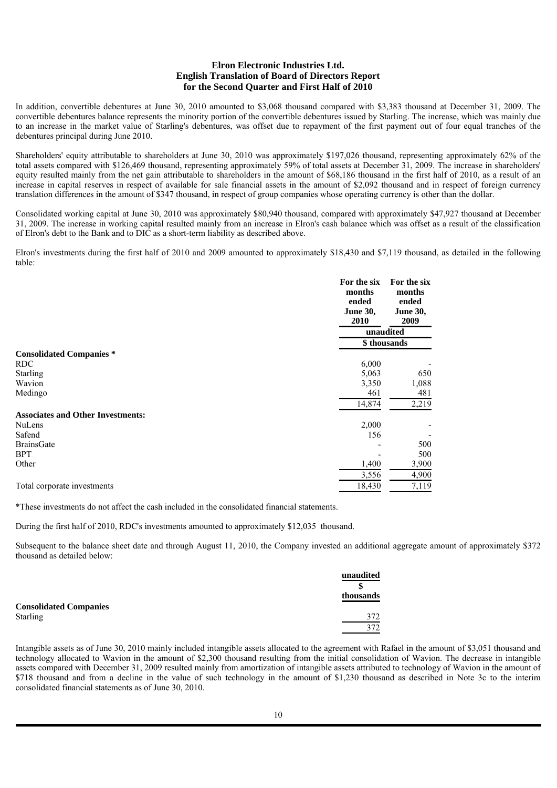In addition, convertible debentures at June 30, 2010 amounted to \$3,068 thousand compared with \$3,383 thousand at December 31, 2009. The convertible debentures balance represents the minority portion of the convertible debentures issued by Starling. The increase, which was mainly due to an increase in the market value of Starling's debentures, was offset due to repayment of the first payment out of four equal tranches of the debentures principal during June 2010.

Shareholders' equity attributable to shareholders at June 30, 2010 was approximately \$197,026 thousand, representing approximately 62% of the total assets compared with \$126,469 thousand, representing approximately 59% of total assets at December 31, 2009. The increase in shareholders' equity resulted mainly from the net gain attributable to shareholders in the amount of \$68,186 thousand in the first half of 2010, as a result of an increase in capital reserves in respect of available for sale financial assets in the amount of \$2,092 thousand and in respect of foreign currency translation differences in the amount of \$347 thousand, in respect of group companies whose operating currency is other than the dollar.

Consolidated working capital at June 30, 2010 was approximately \$80,940 thousand, compared with approximately \$47,927 thousand at December 31, 2009. The increase in working capital resulted mainly from an increase in Elron's cash balance which was offset as a result of the classification of Elron's debt to the Bank and to DIC as a short-term liability as described above.

Elron's investments during the first half of 2010 and 2009 amounted to approximately \$18,430 and \$7,119 thousand, as detailed in the following table:

|                                          | For the six<br>months<br>ended<br><b>June 30,</b><br>2010 | For the six<br>months<br>ended<br><b>June 30,</b><br>2009 |
|------------------------------------------|-----------------------------------------------------------|-----------------------------------------------------------|
|                                          |                                                           | unaudited                                                 |
|                                          |                                                           | \$thousands                                               |
| <b>Consolidated Companies*</b>           |                                                           |                                                           |
| <b>RDC</b>                               | 6,000                                                     |                                                           |
| Starling                                 | 5,063                                                     | 650                                                       |
| Wavion                                   | 3,350                                                     | 1,088                                                     |
| Medingo                                  | 461                                                       | 481                                                       |
|                                          | 14,874                                                    | 2,219                                                     |
| <b>Associates and Other Investments:</b> |                                                           |                                                           |
| <b>NuLens</b>                            | 2,000                                                     |                                                           |
| Safend                                   | 156                                                       |                                                           |
| <b>BrainsGate</b>                        |                                                           | 500                                                       |
| <b>BPT</b>                               |                                                           | 500                                                       |
| Other                                    | 1,400                                                     | 3,900                                                     |
|                                          | 3,556                                                     | 4,900                                                     |
| Total corporate investments              | 18,430                                                    | 7,119                                                     |

\*These investments do not affect the cash included in the consolidated financial statements.

During the first half of 2010, RDC's investments amounted to approximately \$12,035 thousand.

Subsequent to the balance sheet date and through August 11, 2010, the Company invested an additional aggregate amount of approximately \$372 thousand as detailed below:

|                               | unaudited |
|-------------------------------|-----------|
|                               |           |
|                               | thousands |
| <b>Consolidated Companies</b> |           |
| <b>Starling</b>               | 372       |
|                               | 372       |

Intangible assets as of June 30, 2010 mainly included intangible assets allocated to the agreement with Rafael in the amount of \$3,051 thousand and technology allocated to Wavion in the amount of \$2,300 thousand resulting from the initial consolidation of Wavion. The decrease in intangible assets compared with December 31, 2009 resulted mainly from amortization of intangible assets attributed to technology of Wavion in the amount of \$718 thousand and from a decline in the value of such technology in the amount of \$1,230 thousand as described in Note 3c to the interim consolidated financial statements as of June 30, 2010.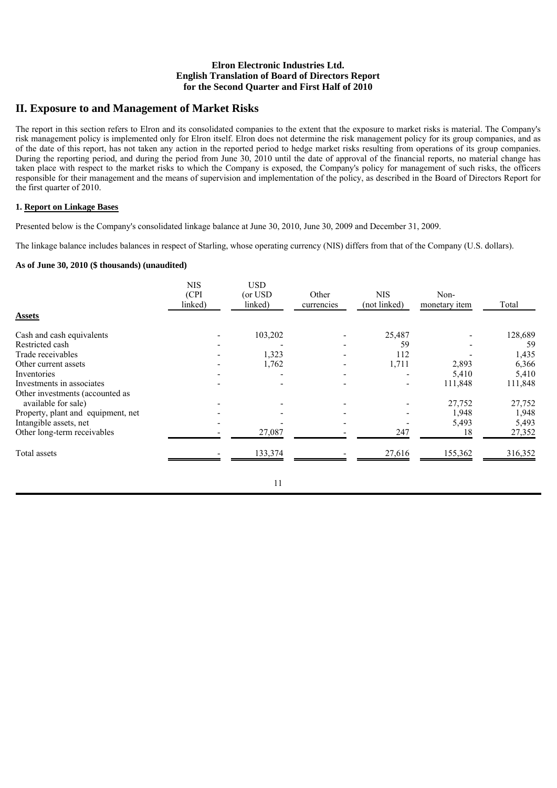# **II. Exposure to and Management of Market Risks**

The report in this section refers to Elron and its consolidated companies to the extent that the exposure to market risks is material. The Company's risk management policy is implemented only for Elron itself. Elron does not determine the risk management policy for its group companies, and as of the date of this report, has not taken any action in the reported period to hedge market risks resulting from operations of its group companies. During the reporting period, and during the period from June 30, 2010 until the date of approval of the financial reports, no material change has taken place with respect to the market risks to which the Company is exposed, the Company's policy for management of such risks, the officers responsible for their management and the means of supervision and implementation of the policy, as described in the Board of Directors Report for the first quarter of 2010.

## **1. Report on Linkage Bases**

Presented below is the Company's consolidated linkage balance at June 30, 2010, June 30, 2009 and December 31, 2009.

The linkage balance includes balances in respect of Starling, whose operating currency (NIS) differs from that of the Company (U.S. dollars).

## **As of June 30, 2010 (\$ thousands) (unaudited)**

|                                    | <b>NIS</b><br>(CPI)<br>linked) | <b>USD</b><br>(or USD)<br>linked) | Other<br>currencies | <b>NIS</b><br>(not linked) | Non-<br>monetary item | Total   |
|------------------------------------|--------------------------------|-----------------------------------|---------------------|----------------------------|-----------------------|---------|
| <b>Assets</b>                      |                                |                                   |                     |                            |                       |         |
| Cash and cash equivalents          |                                | 103,202                           |                     | 25,487                     |                       | 128,689 |
| Restricted cash                    |                                |                                   |                     | 59                         |                       | 59      |
| Trade receivables                  |                                | 1,323                             |                     | 112                        |                       | 1,435   |
| Other current assets               |                                | 1,762                             |                     | 1,711                      | 2,893                 | 6,366   |
| Inventories                        |                                |                                   |                     |                            | 5,410                 | 5,410   |
| Investments in associates          |                                |                                   |                     | ٠                          | 111,848               | 111,848 |
| Other investments (accounted as    |                                |                                   |                     |                            |                       |         |
| available for sale)                |                                |                                   |                     |                            | 27,752                | 27,752  |
| Property, plant and equipment, net |                                |                                   |                     |                            | 1,948                 | 1,948   |
| Intangible assets, net             |                                |                                   |                     |                            | 5,493                 | 5,493   |
| Other long-term receivables        |                                | 27,087                            |                     | 247                        | 18                    | 27,352  |
| Total assets                       |                                | 133,374                           |                     | 27,616                     | 155,362               | 316,352 |
|                                    |                                |                                   |                     |                            |                       |         |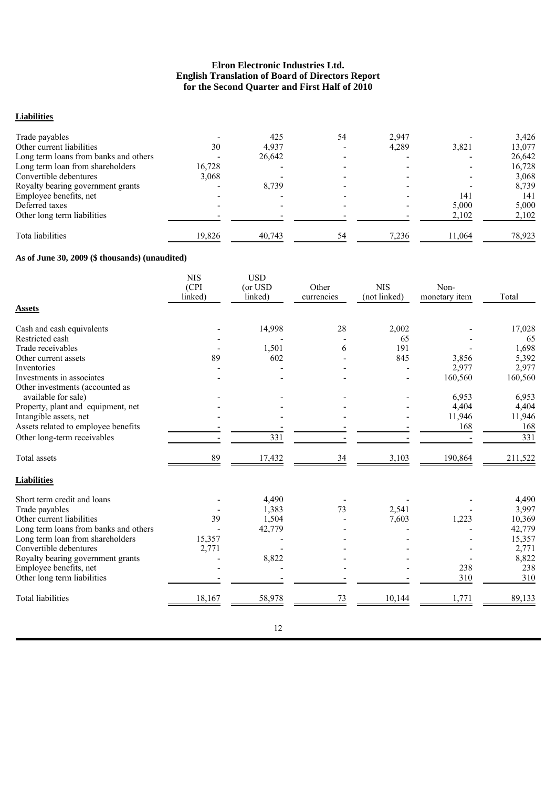# **Liabilities**

| Trade payables                        |        | 425    | 54 | 2.947 |        | 3,426  |
|---------------------------------------|--------|--------|----|-------|--------|--------|
| Other current liabilities             | 30     | 4.937  |    | 4,289 | 3,821  | 13,077 |
| Long term loans from banks and others |        | 26,642 |    |       |        | 26,642 |
| Long term loan from shareholders      | 16,728 |        |    |       |        | 16,728 |
| Convertible debentures                | 3.068  |        |    |       |        | 3,068  |
| Royalty bearing government grants     |        | 8.739  |    |       |        | 8,739  |
| Employee benefits, net                |        |        |    |       | 141    | 141    |
| Deferred taxes                        |        |        |    |       | 5.000  | 5,000  |
| Other long term liabilities           |        |        |    |       | 2,102  | 2,102  |
| Tota liabilities                      | 19,826 | 40,743 | 54 | 7,236 | 11,064 | 78,923 |

# **As of June 30, 2009 (\$ thousands) (unaudited)**

|                                       | <b>NIS</b><br>(CPI<br>linked) | <b>USD</b><br>(or USD<br>linked) | Other<br>currencies | <b>NIS</b><br>(not linked) | Non-<br>monetary item | Total            |
|---------------------------------------|-------------------------------|----------------------------------|---------------------|----------------------------|-----------------------|------------------|
| <b>Assets</b>                         |                               |                                  |                     |                            |                       |                  |
| Cash and cash equivalents             |                               | 14,998                           | 28                  | 2,002                      |                       | 17,028           |
| Restricted cash                       |                               |                                  |                     | 65                         |                       | 65               |
| Trade receivables                     |                               | 1,501                            | 6                   | 191                        |                       | 1,698            |
| Other current assets                  | 89                            | 602                              |                     | 845                        | 3,856                 | 5,392            |
| Inventories                           |                               |                                  |                     |                            | 2,977                 | 2,977            |
| Investments in associates             |                               |                                  |                     |                            | 160,560               | 160,560          |
| Other investments (accounted as       |                               |                                  |                     |                            |                       |                  |
| available for sale)                   |                               |                                  |                     |                            | 6,953                 | 6,953            |
| Property, plant and equipment, net    |                               |                                  |                     |                            | 4,404                 | 4,404            |
| Intangible assets, net                |                               |                                  |                     |                            | 11,946                | 11,946           |
| Assets related to employee benefits   |                               |                                  |                     |                            | 168                   | 168              |
| Other long-term receivables           |                               | 331                              |                     |                            |                       | $\overline{331}$ |
| Total assets                          | 89                            | 17,432                           | 34                  | 3,103                      | 190,864               | 211,522          |
| <b>Liabilities</b>                    |                               |                                  |                     |                            |                       |                  |
| Short term credit and loans           |                               | 4,490                            |                     |                            |                       | 4,490            |
| Trade payables                        |                               | 1,383                            | 73                  | 2,541                      |                       | 3,997            |
| Other current liabilities             | 39                            | 1,504                            |                     | 7,603                      | 1,223                 | 10,369           |
| Long term loans from banks and others |                               | 42,779                           |                     |                            |                       | 42,779           |
| Long term loan from shareholders      | 15,357                        |                                  |                     |                            |                       | 15,357           |
| Convertible debentures                | 2,771                         |                                  |                     |                            |                       | 2,771            |
| Royalty bearing government grants     |                               | 8,822                            |                     |                            |                       | 8,822            |
| Employee benefits, net                |                               |                                  |                     |                            | 238                   | 238              |
| Other long term liabilities           |                               |                                  |                     |                            | 310                   | 310              |
| <b>Total liabilities</b>              | 18,167                        | 58,978                           | 73                  | 10,144                     | 1,771                 | 89,133           |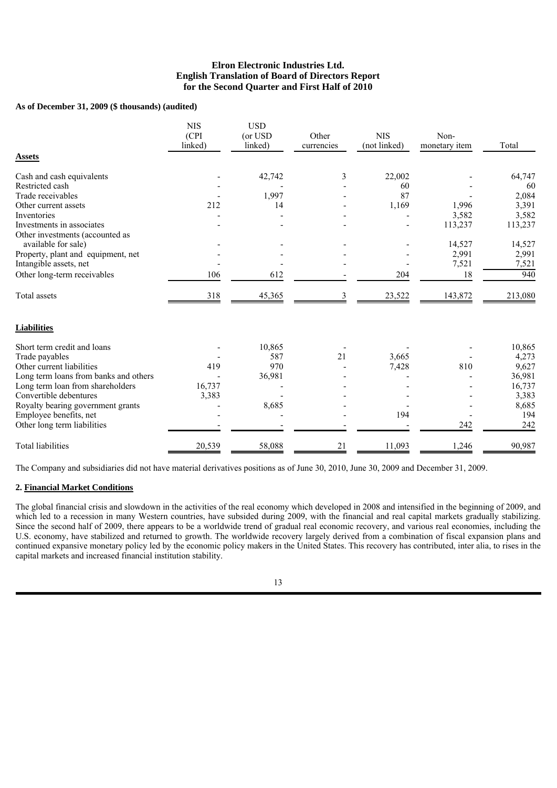## **As of December 31, 2009 (\$ thousands) (audited)**

|                                                        | <b>NIS</b><br>(CPI)<br>linked) | <b>USD</b><br>(or USD<br>linked) | Other<br>currencies | <b>NIS</b><br>(not linked) | Non-<br>monetary item | Total   |
|--------------------------------------------------------|--------------------------------|----------------------------------|---------------------|----------------------------|-----------------------|---------|
| <b>Assets</b>                                          |                                |                                  |                     |                            |                       |         |
| Cash and cash equivalents                              |                                | 42,742                           | 3                   | 22,002                     |                       | 64,747  |
| Restricted cash                                        |                                |                                  |                     | 60                         |                       | 60      |
| Trade receivables                                      |                                | 1,997                            |                     | 87                         |                       | 2,084   |
| Other current assets                                   | 212                            | 14                               |                     | 1,169                      | 1,996                 | 3,391   |
| Inventories                                            |                                |                                  |                     |                            | 3,582                 | 3,582   |
| Investments in associates                              |                                |                                  |                     |                            | 113,237               | 113,237 |
| Other investments (accounted as<br>available for sale) |                                |                                  |                     |                            | 14,527                | 14,527  |
| Property, plant and equipment, net                     |                                |                                  |                     |                            | 2,991                 | 2,991   |
| Intangible assets, net                                 |                                |                                  |                     |                            | 7,521                 | 7,521   |
| Other long-term receivables                            | 106                            | 612                              |                     | 204                        | 18                    | 940     |
| Total assets                                           | 318                            | 45,365                           | 3                   | 23,522                     | 143,872               | 213,080 |
| <b>Liabilities</b>                                     |                                |                                  |                     |                            |                       |         |
| Short term credit and loans                            |                                | 10,865                           |                     |                            |                       | 10,865  |
| Trade payables                                         |                                | 587                              | 21                  | 3,665                      |                       | 4,273   |
| Other current liabilities                              | 419                            | 970                              |                     | 7,428                      | 810                   | 9,627   |
| Long term loans from banks and others                  |                                | 36,981                           |                     |                            |                       | 36,981  |
| Long term loan from shareholders                       | 16,737                         |                                  |                     |                            |                       | 16,737  |
| Convertible debentures                                 | 3,383                          |                                  |                     |                            |                       | 3,383   |
| Royalty bearing government grants                      |                                | 8,685                            |                     |                            |                       | 8,685   |
| Employee benefits, net                                 |                                |                                  |                     | 194                        |                       | 194     |
| Other long term liabilities                            |                                |                                  |                     |                            | 242                   | 242     |
| <b>Total liabilities</b>                               | 20,539                         | 58,088                           | 21                  | 11,093                     | 1,246                 | 90,987  |

The Company and subsidiaries did not have material derivatives positions as of June 30, 2010, June 30, 2009 and December 31, 2009.

## **2. Financial Market Conditions**

The global financial crisis and slowdown in the activities of the real economy which developed in 2008 and intensified in the beginning of 2009, and which led to a recession in many Western countries, have subsided during 2009, with the financial and real capital markets gradually stabilizing. Since the second half of 2009, there appears to be a worldwide trend of gradual real economic recovery, and various real economies, including the U.S. economy, have stabilized and returned to growth. The worldwide recovery largely derived from a combination of fiscal expansion plans and continued expansive monetary policy led by the economic policy makers in the United States. This recovery has contributed, inter alia, to rises in the capital markets and increased financial institution stability.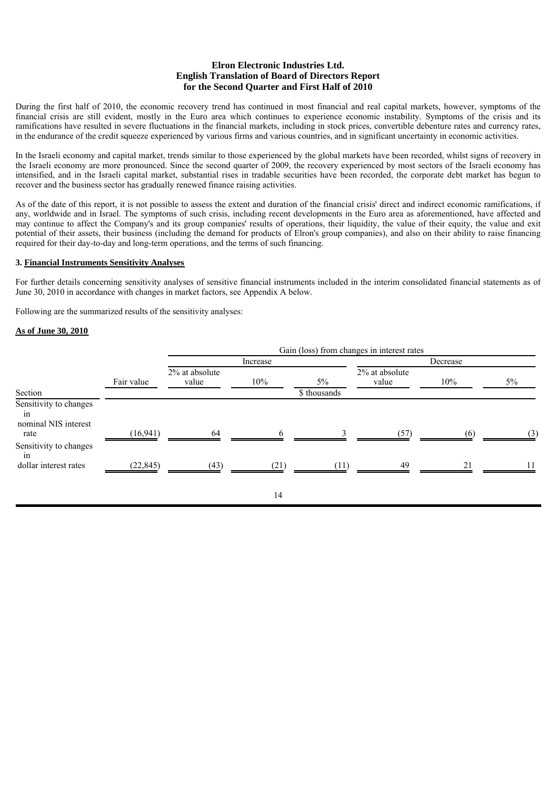During the first half of 2010, the economic recovery trend has continued in most financial and real capital markets, however, symptoms of the financial crisis are still evident, mostly in the Euro area which continues to experience economic instability. Symptoms of the crisis and its ramifications have resulted in severe fluctuations in the financial markets, including in stock prices, convertible debenture rates and currency rates, in the endurance of the credit squeeze experienced by various firms and various countries, and in significant uncertainty in economic activities.

In the Israeli economy and capital market, trends similar to those experienced by the global markets have been recorded, whilst signs of recovery in the Israeli economy are more pronounced. Since the second quarter of 2009, the recovery experienced by most sectors of the Israeli economy has intensified, and in the Israeli capital market, substantial rises in tradable securities have been recorded, the corporate debt market has begun to recover and the business sector has gradually renewed finance raising activities.

As of the date of this report, it is not possible to assess the extent and duration of the financial crisis' direct and indirect economic ramifications, if any, worldwide and in Israel. The symptoms of such crisis, including recent developments in the Euro area as aforementioned, have affected and may continue to affect the Company's and its group companies' results of operations, their liquidity, the value of their equity, the value and exit potential of their assets, their business (including the demand for products of Elron's group companies), and also on their ability to raise financing required for their day-to-day and long-term operations, and the terms of such financing.

## **3. Financial Instruments Sensitivity Analyses**

For further details concerning sensitivity analyses of sensitive financial instruments included in the interim consolidated financial statements as of June 30, 2010 in accordance with changes in market factors, see Appendix A below.

Following are the summarized results of the sensitivity analyses:

#### **As of June 30, 2010**

|                                                      |            |                         |          |              | Gain (loss) from changes in interest rates |     |       |
|------------------------------------------------------|------------|-------------------------|----------|--------------|--------------------------------------------|-----|-------|
|                                                      |            |                         | Increase |              | Decrease                                   |     |       |
|                                                      | Fair value | 2% at absolute<br>value | 10%      | $5\%$        | 2% at absolute<br>value                    | 10% | $5\%$ |
| Section                                              |            |                         |          | \$ thousands |                                            |     |       |
| Sensitivity to changes<br>in<br>nominal NIS interest |            |                         |          |              |                                            |     |       |
| rate                                                 | (16, 941)  | 64                      | 6        |              | (57)                                       | (6) | (3)   |
| Sensitivity to changes<br>in                         |            |                         |          |              |                                            |     |       |
| dollar interest rates                                | (22, 845)  | (43)                    | (21)     | (11)         | 49                                         | 21  |       |
|                                                      |            |                         | 14       |              |                                            |     |       |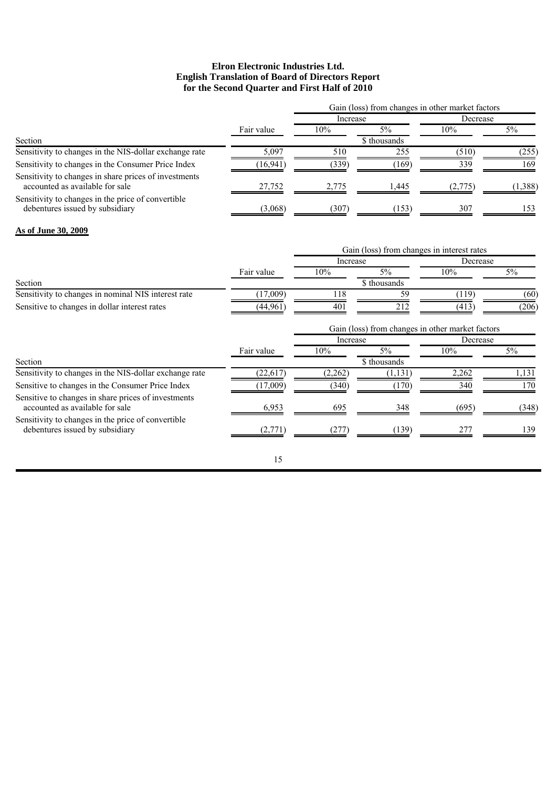|                                                                                          |            | Gain (loss) from changes in other market factors |              |          |         |
|------------------------------------------------------------------------------------------|------------|--------------------------------------------------|--------------|----------|---------|
|                                                                                          |            | Increase                                         |              | Decrease |         |
|                                                                                          | Fair value | 10%                                              | $5\%$        | 10%      | $5\%$   |
| Section                                                                                  |            |                                                  | \$ thousands |          |         |
| Sensitivity to changes in the NIS-dollar exchange rate                                   | 5.097      | 510                                              | 255          | (510)    | (255)   |
| Sensitivity to changes in the Consumer Price Index                                       | (16, 941)  | (339)                                            | (169)        | 339      | 169     |
| Sensitivity to changes in share prices of investments<br>accounted as available for sale | 27.752     | 2.775                                            | 1.445        | (2,775)  | (1,388) |
| Sensitivity to changes in the price of convertible<br>debentures issued by subsidiary    | (3,068)    | (307)                                            | (153)        | 307      | 153     |

#### **As of June 30, 2009**

|                                                                                        |            |          | Gain (loss) from changes in interest rates |                                                              |       |
|----------------------------------------------------------------------------------------|------------|----------|--------------------------------------------|--------------------------------------------------------------|-------|
|                                                                                        |            | Increase |                                            | Decrease                                                     |       |
|                                                                                        | Fair value | $10\%$   | $5\%$                                      | 10%                                                          | 5%    |
| Section                                                                                |            |          | \$ thousands                               |                                                              |       |
| Sensitivity to changes in nominal NIS interest rate                                    | (17,009)   | 118      | 59                                         | (119)                                                        | (60)  |
| Sensitive to changes in dollar interest rates                                          | (44, 961)  | 401      | 212                                        | (413)                                                        | (206) |
|                                                                                        |            |          |                                            | Gain (loss) from changes in other market factors<br>Decrease |       |
|                                                                                        |            | Increase |                                            |                                                              |       |
|                                                                                        | Fair value | 10%      | $5\%$                                      | 10%                                                          | $5\%$ |
| Section                                                                                |            |          | \$ thousands                               |                                                              |       |
| Sensitivity to changes in the NIS-dollar exchange rate                                 | (22,617)   | (2, 262) | (1, 131)                                   | 2,262                                                        | 1,131 |
| Sensitive to changes in the Consumer Price Index                                       | (17,009)   | (340)    | (170)                                      | 340                                                          | 170   |
| Sensitive to changes in share prices of investments<br>accounted as available for sale | 6,953      | 695      | 348                                        | (695)                                                        | (348) |
| Sensitivity to changes in the price of convertible.<br>debentures issued by subsidiary | (2,771)    | (277)    | (139)                                      | 277                                                          | 139   |
|                                                                                        | 15         |          |                                            |                                                              |       |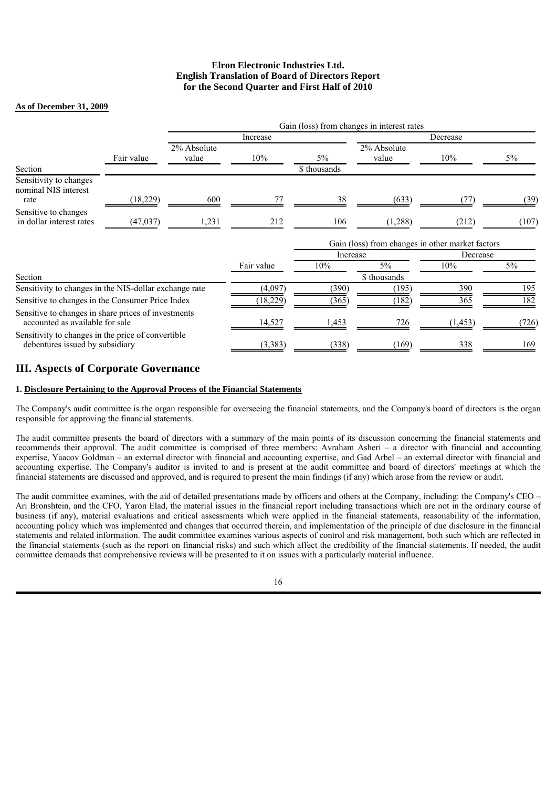# **As of December 31, 2009**

|                                                                                        |            |                      |            |              | Gain (loss) from changes in interest rates       |          |       |  |
|----------------------------------------------------------------------------------------|------------|----------------------|------------|--------------|--------------------------------------------------|----------|-------|--|
|                                                                                        |            |                      | Increase   |              |                                                  | Decrease |       |  |
|                                                                                        | Fair value | 2% Absolute<br>value | 10%        | $5\%$        | 2% Absolute<br>value                             | 10%      | $5\%$ |  |
| Section                                                                                |            |                      |            | \$ thousands |                                                  |          |       |  |
| Sensitivity to changes<br>nominal NIS interest<br>rate                                 | (18, 229)  | 600                  | 77         | 38           | (633)                                            |          | (39)  |  |
| Sensitive to changes<br>in dollar interest rates                                       | (47, 037)  | 1,231                | 212        | 106          | (1,288)                                          | (212)    | (107) |  |
|                                                                                        |            |                      |            |              | Gain (loss) from changes in other market factors |          |       |  |
|                                                                                        |            |                      |            | Increase     |                                                  | Decrease |       |  |
|                                                                                        |            |                      | Fair value | 10%          | $5\%$                                            | 10%      | 5%    |  |
| Section                                                                                |            |                      |            |              | \$ thousands                                     |          |       |  |
| Sensitivity to changes in the NIS-dollar exchange rate                                 |            |                      | (4,097)    | (390)        | (195)                                            | 390      | 195   |  |
| Sensitive to changes in the Consumer Price Index                                       |            |                      | (18, 229)  | (365)        | (182)                                            | 365      | 182   |  |
| Sensitive to changes in share prices of investments<br>accounted as available for sale |            |                      | 14,527     | 1,453        | 726                                              | (1, 453) | (726) |  |
| Sensitivity to changes in the price of convertible<br>debentures issued by subsidiary  |            |                      | (3, 383)   | (338)        | (169)                                            | 338      | 169   |  |

# **III. Aspects of Corporate Governance**

## **1. Disclosure Pertaining to the Approval Process of the Financial Statements**

The Company's audit committee is the organ responsible for overseeing the financial statements, and the Company's board of directors is the organ responsible for approving the financial statements.

The audit committee presents the board of directors with a summary of the main points of its discussion concerning the financial statements and recommends their approval. The audit committee is comprised of three members: Avraham Asheri – a director with financial and accounting expertise, Yaacov Goldman – an external director with financial and accounting expertise, and Gad Arbel – an external director with financial and accounting expertise. The Company's auditor is invited to and is present at the audit committee and board of directors' meetings at which the financial statements are discussed and approved, and is required to present the main findings (if any) which arose from the review or audit.

The audit committee examines, with the aid of detailed presentations made by officers and others at the Company, including: the Company's CEO – Ari Bronshtein, and the CFO, Yaron Elad, the material issues in the financial report including transactions which are not in the ordinary course of business (if any), material evaluations and critical assessments which were applied in the financial statements, reasonability of the information, accounting policy which was implemented and changes that occurred therein, and implementation of the principle of due disclosure in the financial statements and related information. The audit committee examines various aspects of control and risk management, both such which are reflected in the financial statements (such as the report on financial risks) and such which affect the credibility of the financial statements. If needed, the audit committee demands that comprehensive reviews will be presented to it on issues with a particularly material influence.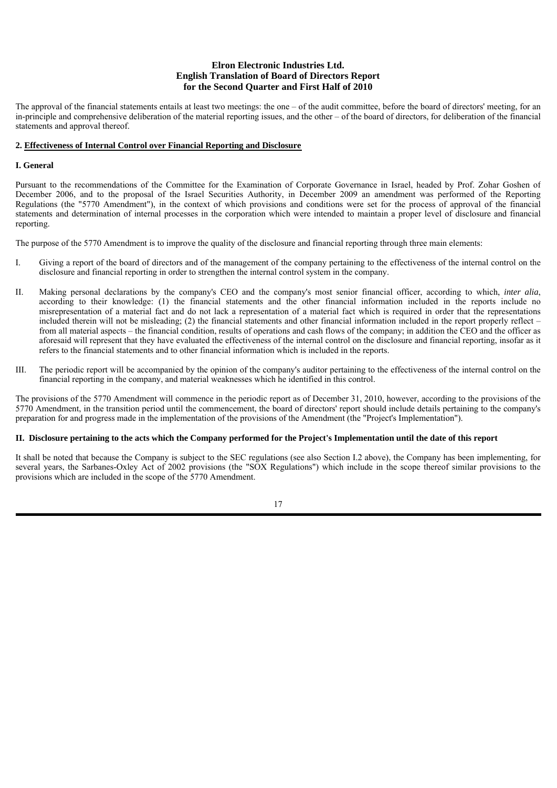The approval of the financial statements entails at least two meetings: the one – of the audit committee, before the board of directors' meeting, for an in-principle and comprehensive deliberation of the material reporting issues, and the other – of the board of directors, for deliberation of the financial statements and approval thereof.

## **2. Effectiveness of Internal Control over Financial Reporting and Disclosure**

#### **I. General**

Pursuant to the recommendations of the Committee for the Examination of Corporate Governance in Israel, headed by Prof. Zohar Goshen of December 2006, and to the proposal of the Israel Securities Authority, in December 2009 an amendment was performed of the Reporting Regulations (the "5770 Amendment"), in the context of which provisions and conditions were set for the process of approval of the financial statements and determination of internal processes in the corporation which were intended to maintain a proper level of disclosure and financial reporting.

The purpose of the 5770 Amendment is to improve the quality of the disclosure and financial reporting through three main elements:

- I. Giving a report of the board of directors and of the management of the company pertaining to the effectiveness of the internal control on the disclosure and financial reporting in order to strengthen the internal control system in the company.
- II. Making personal declarations by the company's CEO and the company's most senior financial officer, according to which, *inter alia*, according to their knowledge: (1) the financial statements and the other financial information included in the reports include no misrepresentation of a material fact and do not lack a representation of a material fact which is required in order that the representations included therein will not be misleading; (2) the financial statements and other financial information included in the report properly reflect – from all material aspects – the financial condition, results of operations and cash flows of the company; in addition the CEO and the officer as aforesaid will represent that they have evaluated the effectiveness of the internal control on the disclosure and financial reporting, insofar as it refers to the financial statements and to other financial information which is included in the reports.
- III. The periodic report will be accompanied by the opinion of the company's auditor pertaining to the effectiveness of the internal control on the financial reporting in the company, and material weaknesses which he identified in this control.

The provisions of the 5770 Amendment will commence in the periodic report as of December 31, 2010, however, according to the provisions of the 5770 Amendment, in the transition period until the commencement, the board of directors' report should include details pertaining to the company's preparation for and progress made in the implementation of the provisions of the Amendment (the "Project's Implementation").

## **II. Disclosure pertaining to the acts which the Company performed for the Project's Implementation until the date of this report**

It shall be noted that because the Company is subject to the SEC regulations (see also Section I.2 above), the Company has been implementing, for several years, the Sarbanes-Oxley Act of 2002 provisions (the "SOX Regulations") which include in the scope thereof similar provisions to the provisions which are included in the scope of the 5770 Amendment.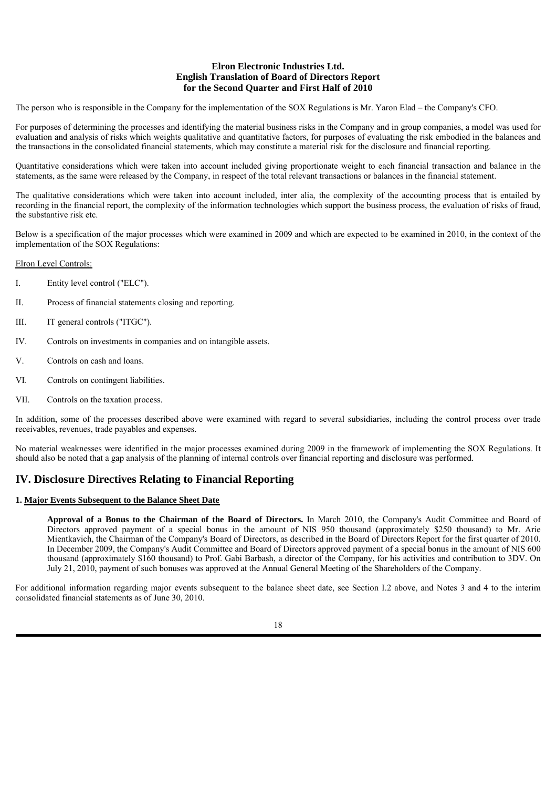The person who is responsible in the Company for the implementation of the SOX Regulations is Mr. Yaron Elad – the Company's CFO.

For purposes of determining the processes and identifying the material business risks in the Company and in group companies, a model was used for evaluation and analysis of risks which weights qualitative and quantitative factors, for purposes of evaluating the risk embodied in the balances and the transactions in the consolidated financial statements, which may constitute a material risk for the disclosure and financial reporting.

Quantitative considerations which were taken into account included giving proportionate weight to each financial transaction and balance in the statements, as the same were released by the Company, in respect of the total relevant transactions or balances in the financial statement.

The qualitative considerations which were taken into account included, inter alia, the complexity of the accounting process that is entailed by recording in the financial report, the complexity of the information technologies which support the business process, the evaluation of risks of fraud, the substantive risk etc.

Below is a specification of the major processes which were examined in 2009 and which are expected to be examined in 2010, in the context of the implementation of the SOX Regulations:

## Elron Level Controls:

- I. Entity level control ("ELC").
- II. Process of financial statements closing and reporting.
- III. IT general controls ("ITGC").
- IV. Controls on investments in companies and on intangible assets.
- V. Controls on cash and loans.
- VI. Controls on contingent liabilities.
- VII. Controls on the taxation process.

In addition, some of the processes described above were examined with regard to several subsidiaries, including the control process over trade receivables, revenues, trade payables and expenses.

No material weaknesses were identified in the major processes examined during 2009 in the framework of implementing the SOX Regulations. It should also be noted that a gap analysis of the planning of internal controls over financial reporting and disclosure was performed.

# **IV. Disclosure Directives Relating to Financial Reporting**

#### **1. Major Events Subsequent to the Balance Sheet Date**

**Approval of a Bonus to the Chairman of the Board of Directors.** In March 2010, the Company's Audit Committee and Board of Directors approved payment of a special bonus in the amount of NIS 950 thousand (approximately \$250 thousand) to Mr. Arie Mientkavich, the Chairman of the Company's Board of Directors, as described in the Board of Directors Report for the first quarter of 2010. In December 2009, the Company's Audit Committee and Board of Directors approved payment of a special bonus in the amount of NIS 600 thousand (approximately \$160 thousand) to Prof. Gabi Barbash, a director of the Company, for his activities and contribution to 3DV. On July 21, 2010, payment of such bonuses was approved at the Annual General Meeting of the Shareholders of the Company.

For additional information regarding major events subsequent to the balance sheet date, see Section I.2 above, and Notes 3 and 4 to the interim consolidated financial statements as of June 30, 2010.

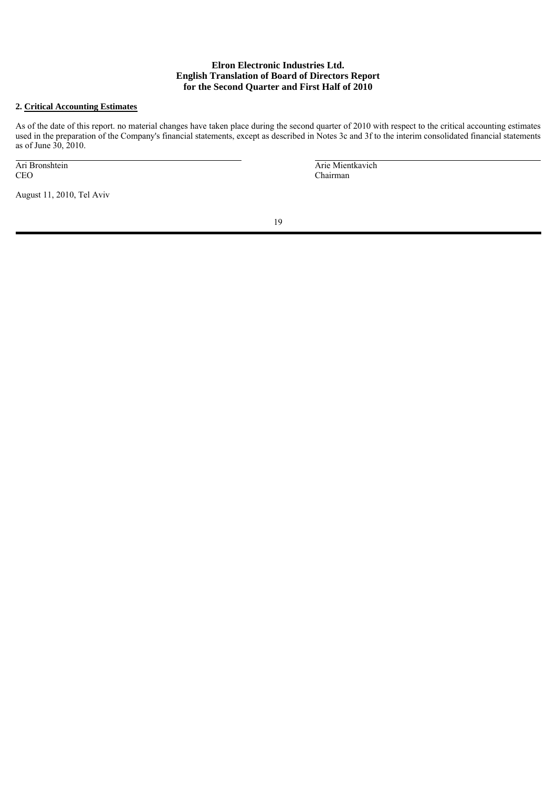## **2. Critical Accounting Estimates**

As of the date of this report. no material changes have taken place during the second quarter of 2010 with respect to the critical accounting estimates used in the preparation of the Company's financial statements, except as described in Notes 3c and 3f to the interim consolidated financial statements as of June 30, 2010.

|     | Ari Bronshtein |
|-----|----------------|
| CEO |                |

August 11, 2010, Tel Aviv

 Arie Mientkavich Chairman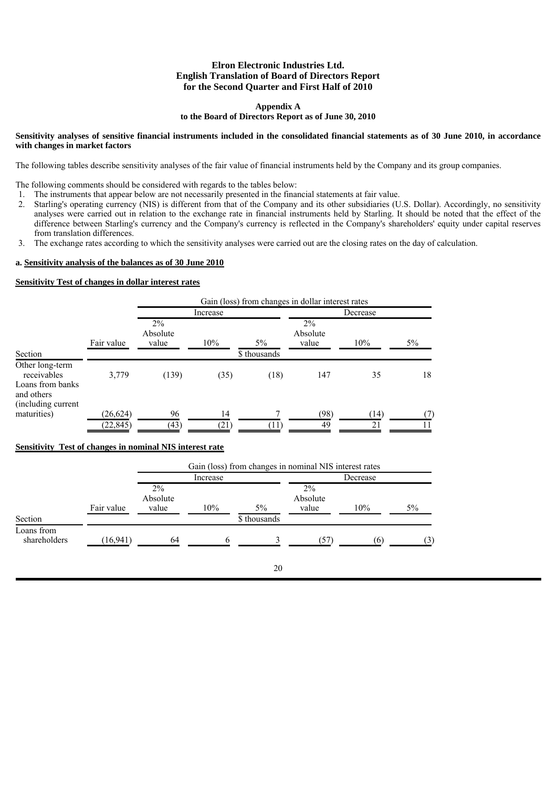#### **Appendix A**

## **to the Board of Directors Report as of June 30, 2010**

#### **Sensitivity analyses of sensitive financial instruments included in the consolidated financial statements as of 30 June 2010, in accordance with changes in market factors**

The following tables describe sensitivity analyses of the fair value of financial instruments held by the Company and its group companies.

The following comments should be considered with regards to the tables below:

- 1. The instruments that appear below are not necessarily presented in the financial statements at fair value.
- 2. Starling's operating currency (NIS) is different from that of the Company and its other subsidiaries (U.S. Dollar). Accordingly, no sensitivity analyses were carried out in relation to the exchange rate in financial instruments held by Starling. It should be noted that the effect of the difference between Starling's currency and the Company's currency is reflected in the Company's shareholders' equity under capital reserves from translation differences.
- 3. The exchange rates according to which the sensitivity analyses were carried out are the closing rates on the day of calculation.

#### **a. Sensitivity analysis of the balances as of 30 June 2010**

# **Sensitivity Test of changes in dollar interest rates**

|                                                                                        |            |                            |          |              | Gain (loss) from changes in dollar interest rates |          |    |
|----------------------------------------------------------------------------------------|------------|----------------------------|----------|--------------|---------------------------------------------------|----------|----|
|                                                                                        |            |                            | Increase |              |                                                   | Decrease |    |
|                                                                                        | Fair value | $2\%$<br>Absolute<br>value | 10%      | $5\%$        | $2\%$<br>Absolute<br>value                        | 10%      | 5% |
| Section                                                                                |            |                            |          | \$ thousands |                                                   |          |    |
| Other long-term<br>receivables<br>Loans from banks<br>and others<br>(including current | 3,779      | (139)                      | (35)     | (18)         | 147                                               | 35       | 18 |
| maturities)                                                                            | (26, 624)  | 96                         | 14       | 7            | (98)                                              | (14)     |    |
|                                                                                        | (22, 845)  | (43)                       | (21)     | '11          | 49                                                | 21       |    |

## **Sensitivity Test of changes in nominal NIS interest rate**

|                            |            | Gain (loss) from changes in nominal NIS interest rates |              |                       |                            |     |       |
|----------------------------|------------|--------------------------------------------------------|--------------|-----------------------|----------------------------|-----|-------|
|                            |            |                                                        | Increase     |                       | Decrease                   |     |       |
| Section                    | Fair value | $2\%$<br>Absolute<br>value                             | 10%          | $5\%$<br>\$ thousands | $2\%$<br>Absolute<br>value | 10% | $5\%$ |
| Loans from<br>shareholders | (16, 941)  | 64                                                     | <sub>6</sub> |                       | 57)                        | (6) | (3)   |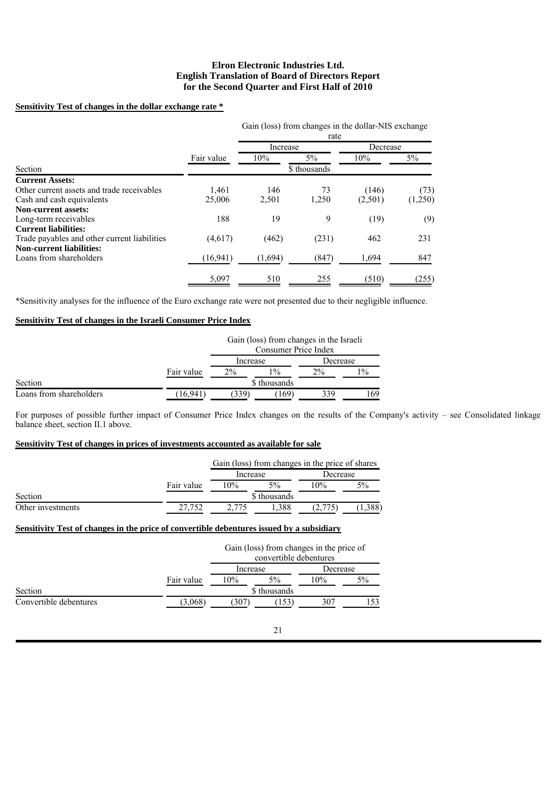## **Sensitivity Test of changes in the dollar exchange rate \***

|                                              |            | Gain (loss) from changes in the dollar-NIS exchange<br>rate |              |          |         |
|----------------------------------------------|------------|-------------------------------------------------------------|--------------|----------|---------|
|                                              |            | Increase                                                    |              | Decrease |         |
|                                              | Fair value | 10%                                                         | $5\%$        | 10%      | 5%      |
| Section                                      |            |                                                             | \$ thousands |          |         |
| <b>Current Assets:</b>                       |            |                                                             |              |          |         |
| Other current assets and trade receivables   | 1,461      | 146                                                         | 73           | (146)    | (73)    |
| Cash and cash equivalents                    | 25,006     | 2,501                                                       | 1,250        | (2,501)  | (1,250) |
| <b>Non-current assets:</b>                   |            |                                                             |              |          |         |
| Long-term receivables                        | 188        | 19                                                          | 9            | (19)     | (9)     |
| <b>Current liabilities:</b>                  |            |                                                             |              |          |         |
| Trade payables and other current liabilities | (4,617)    | (462)                                                       | (231)        | 462      | 231     |
| <b>Non-current liabilities:</b>              |            |                                                             |              |          |         |
| Loans from shareholders                      | (16, 941)  | (1,694)                                                     | (847)        | 1,694    | 847     |
|                                              | 5,097      | 510                                                         | 255          | (510)    | (255)   |

\*Sensitivity analyses for the influence of the Euro exchange rate were not presented due to their negligible influence.

#### **Sensitivity Test of changes in the Israeli Consumer Price Index**

|                         |            | Gain (loss) from changes in the Israeli<br>Consumer Price Index |              |          |       |
|-------------------------|------------|-----------------------------------------------------------------|--------------|----------|-------|
|                         |            | Increase                                                        |              | Decrease |       |
|                         | Fair value | 2%                                                              | $1\%$        | $2\%$    | $1\%$ |
| Section                 |            |                                                                 | \$ thousands |          |       |
| Loans from shareholders | 16,941     | (339)                                                           | (169)        | 339      | 169   |

For purposes of possible further impact of Consumer Price Index changes on the results of the Company's activity – see Consolidated linkage balance sheet, section II.1 above.

## **Sensitivity Test of changes in prices of investments accounted as available for sale**

|                   |            | Gain (loss) from changes in the price of shares |              |       |          |
|-------------------|------------|-------------------------------------------------|--------------|-------|----------|
|                   |            |                                                 | Increase     |       | Decrease |
|                   | Fair value | 10%                                             | 5%           | 10%   | 5%       |
| Section           |            |                                                 | \$ thousands |       |          |
| Other investments | 27.752     | .775                                            | .388         | 2.775 |          |

# **Sensitivity Test of changes in the price of convertible debentures issued by a subsidiary**

|                        |            |          | Gain (loss) from changes in the price of<br>convertible debentures |          |    |
|------------------------|------------|----------|--------------------------------------------------------------------|----------|----|
|                        |            | Increase |                                                                    | Decrease |    |
|                        | Fair value | 10%      | $5\%$                                                              | 10%      | 5% |
| Section                |            |          | \$ thousands                                                       |          |    |
| Convertible debentures | (3.068)    | (307)    | 153                                                                | 307      |    |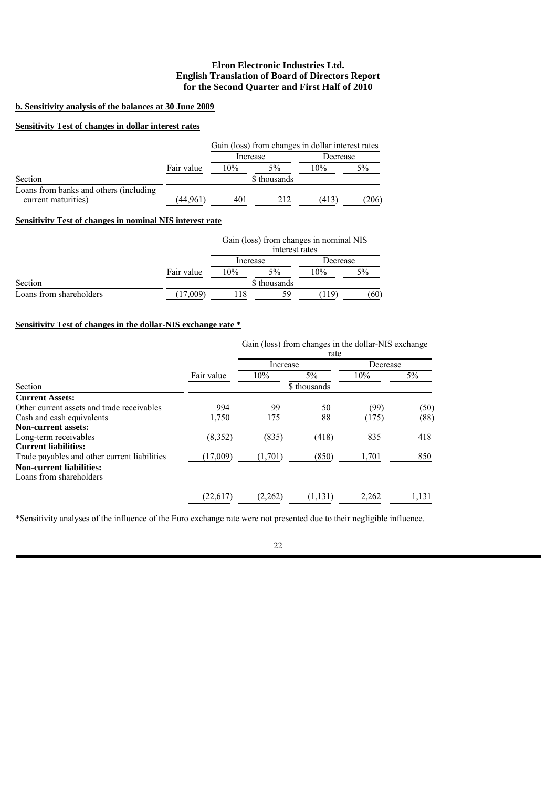## **b. Sensitivity analysis of the balances at 30 June 2009**

# **Sensitivity Test of changes in dollar interest rates**

|                                                               |            | Gain (loss) from changes in dollar interest rates |              |          |       |  |  |
|---------------------------------------------------------------|------------|---------------------------------------------------|--------------|----------|-------|--|--|
|                                                               |            | Increase                                          |              | Decrease |       |  |  |
|                                                               | Fair value | 10%                                               | $5\%$        | 10%      | 5%    |  |  |
| Section                                                       |            |                                                   | \$ thousands |          |       |  |  |
| Loans from banks and others (including<br>current maturities) | (44.961)   | 401                                               | 212          | (413)    | (206) |  |  |

# **Sensitivity Test of changes in nominal NIS interest rate**

|                         |            |          | interest rates | Gain (loss) from changes in nominal NIS |       |
|-------------------------|------------|----------|----------------|-----------------------------------------|-------|
|                         |            | Increase |                | Decrease                                |       |
|                         | Fair value | 10%      | 5%             | 10%                                     | $5\%$ |
| Section                 |            |          | \$ thousands   |                                         |       |
| Loans from shareholders | 17.009)    | -18      | 59             | (119)                                   | (60)  |

# **Sensitivity Test of changes in the dollar-NIS exchange rate \***

Gain (loss) from changes in the dollar-NIS exchange

|            | Increase |         | Decrease     |       |
|------------|----------|---------|--------------|-------|
| Fair value | 10%      | $5\%$   | 10%          | $5\%$ |
|            |          |         |              |       |
|            |          |         |              |       |
| 994        | 99       | 50      | (99)         | (50)  |
| 1,750      | 175      | 88      | (175)        | (88)  |
|            |          |         |              |       |
| (8,352)    | (835)    | (418)   | 835          | 418   |
|            |          |         |              |       |
| (17,009)   | (1,701)  | (850)   | 1,701        | 850   |
|            |          |         |              |       |
|            |          |         |              |       |
| (22,617)   | (2,262)  | (1.131) | 2.262        | 1.131 |
|            |          |         | \$ thousands |       |

\*Sensitivity analyses of the influence of the Euro exchange rate were not presented due to their negligible influence.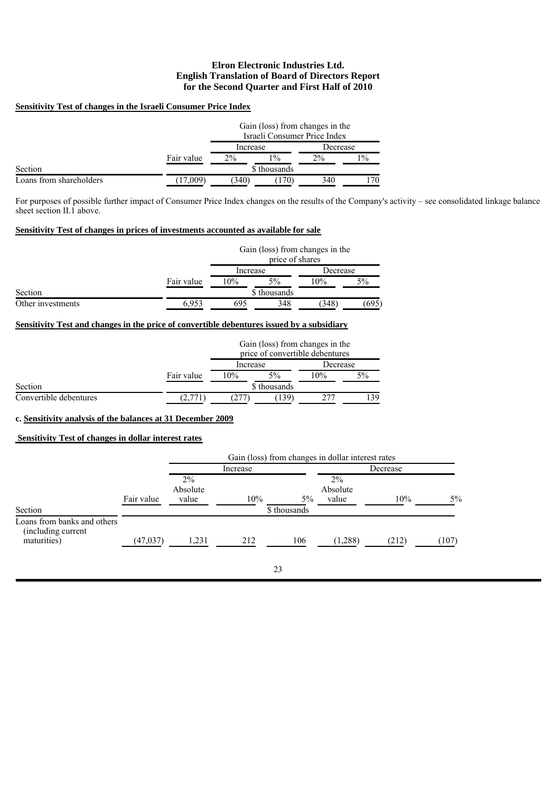## **Sensitivity Test of changes in the Israeli Consumer Price Index**

|                         |                               |          |       | Gain (loss) from changes in the<br>Israeli Consumer Price Index |       |
|-------------------------|-------------------------------|----------|-------|-----------------------------------------------------------------|-------|
|                         |                               | Increase |       | Decrease                                                        |       |
|                         | Fair value                    | $2\%$    | $1\%$ | $2\%$                                                           | $1\%$ |
| Section                 | \$ thousands                  |          |       |                                                                 |       |
| Loans from shareholders | 17,009<br>(340)<br>170<br>340 |          |       |                                                                 |       |

For purposes of possible further impact of Consumer Price Index changes on the results of the Company's activity – see consolidated linkage balance sheet section II.1 above.

## **Sensitivity Test of changes in prices of investments accounted as available for sale**

|                   |            |                             | price of shares | Gain (loss) from changes in the |       |  |
|-------------------|------------|-----------------------------|-----------------|---------------------------------|-------|--|
|                   |            | Increase                    |                 | Decrease                        |       |  |
|                   | Fair value | 10%<br>$5\%$                |                 | 10%                             | $5\%$ |  |
| Section           |            |                             | \$ thousands    |                                 |       |  |
| Other investments | 6.953      | 348<br>(348)<br>695<br>.695 |                 |                                 |       |  |

# **Sensitivity Test and changes in the price of convertible debentures issued by a subsidiary**

|                        |            |                       |              | Gain (loss) from changes in the<br>price of convertible debentures |    |  |  |
|------------------------|------------|-----------------------|--------------|--------------------------------------------------------------------|----|--|--|
|                        |            | Increase              |              | Decrease                                                           |    |  |  |
|                        | Fair value | 10%                   | $5\%$        | 10%                                                                | 5% |  |  |
| Section                |            |                       | \$ thousands |                                                                    |    |  |  |
| Convertible debentures |            | .139<br>$277^{\circ}$ |              |                                                                    |    |  |  |

## **c. Sensitivity analysis of the balances at 31 December 2009**

## **Sensitivity Test of changes in dollar interest rates**

|                                                                  |            |                            |          |              | Gain (loss) from changes in dollar interest rates |          |       |
|------------------------------------------------------------------|------------|----------------------------|----------|--------------|---------------------------------------------------|----------|-------|
|                                                                  |            |                            | Increase |              |                                                   | Decrease |       |
|                                                                  | Fair value | $2\%$<br>Absolute<br>value | 10%      | $5\%$        | $2\%$<br>Absolute<br>value                        | 10%      | 5%    |
| Section                                                          |            |                            |          | \$ thousands |                                                   |          |       |
| Loans from banks and others<br>(including current<br>maturities) | (47, 037)  | 1,231                      | 212      | 106          | (1,288)                                           | (212)    | (107) |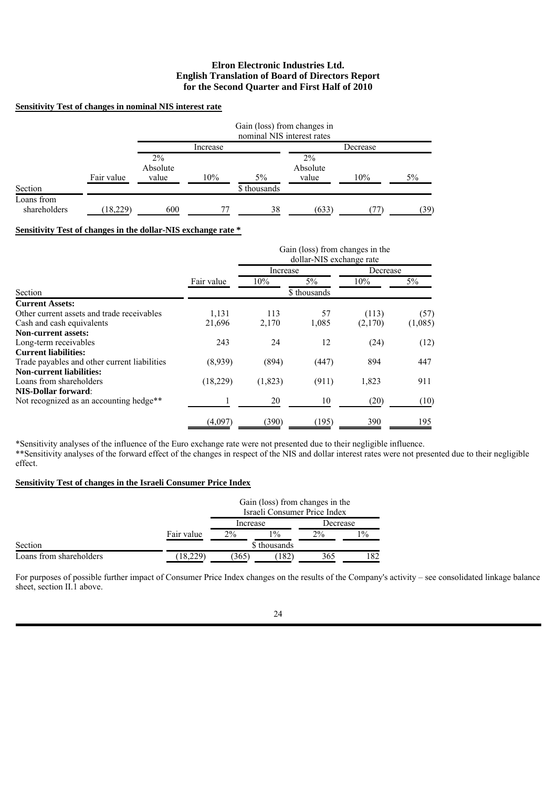## **Sensitivity Test of changes in nominal NIS interest rate**

|                            |            | Gain (loss) from changes in<br>nominal NIS interest rates |          |              |                            |          |      |  |  |
|----------------------------|------------|-----------------------------------------------------------|----------|--------------|----------------------------|----------|------|--|--|
|                            |            |                                                           | Increase |              |                            | Decrease |      |  |  |
|                            | Fair value | $2\%$<br>Absolute<br>value                                | 10%      | $5\%$        | $2\%$<br>Absolute<br>value | 10%      | 5%   |  |  |
| Section                    |            |                                                           |          | \$ thousands |                            |          |      |  |  |
| Loans from<br>shareholders | (18, 229)  | 600                                                       |          | 38           | (633)                      |          | (39) |  |  |

# **Sensitivity Test of changes in the dollar-NIS exchange rate \***

|                                              |            | Gain (loss) from changes in the<br>dollar-NIS exchange rate |              |          |         |
|----------------------------------------------|------------|-------------------------------------------------------------|--------------|----------|---------|
|                                              |            | Increase                                                    |              | Decrease |         |
|                                              | Fair value | 10%                                                         | $5\%$        | $10\%$   | $5\%$   |
| Section                                      |            |                                                             | \$ thousands |          |         |
| <b>Current Assets:</b>                       |            |                                                             |              |          |         |
| Other current assets and trade receivables   | 1,131      | 113                                                         | 57           | (113)    | (57)    |
| Cash and cash equivalents                    | 21,696     | 2,170                                                       | 1,085        | (2,170)  | (1,085) |
| <b>Non-current assets:</b>                   |            |                                                             |              |          |         |
| Long-term receivables                        | 243        | 24                                                          | 12           | (24)     | (12)    |
| <b>Current liabilities:</b>                  |            |                                                             |              |          |         |
| Trade payables and other current liabilities | (8,939)    | (894)                                                       | (447)        | 894      | 447     |
| <b>Non-current liabilities:</b>              |            |                                                             |              |          |         |
| Loans from shareholders                      | (18,229)   | (1,823)                                                     | (911)        | 1,823    | 911     |
| <b>NIS-Dollar forward:</b>                   |            |                                                             |              |          |         |
| Not recognized as an accounting hedge**      |            | 20                                                          | 10           | (20)     | (10)    |
|                                              | (4,097)    | (390)                                                       | (195)        | 390      | 195     |

\*Sensitivity analyses of the influence of the Euro exchange rate were not presented due to their negligible influence. \*\*Sensitivity analyses of the forward effect of the changes in respect of the NIS and dollar interest rates were not presented due to their negligible effect.

## **Sensitivity Test of changes in the Israeli Consumer Price Index**

|                         |                              |          | Gain (loss) from changes in the<br>Israeli Consumer Price Index |          |       |
|-------------------------|------------------------------|----------|-----------------------------------------------------------------|----------|-------|
|                         |                              | Increase |                                                                 | Decrease |       |
|                         | $2\%$<br>$1\%$<br>Fair value |          |                                                                 | $2\%$    | $1\%$ |
| Section                 |                              |          | \$ thousands                                                    |          |       |
| Loans from shareholders | 18,229                       | (365)    | $.182^{\circ}$                                                  | 365      | 82    |

For purposes of possible further impact of Consumer Price Index changes on the results of the Company's activity – see consolidated linkage balance sheet, section II.1 above.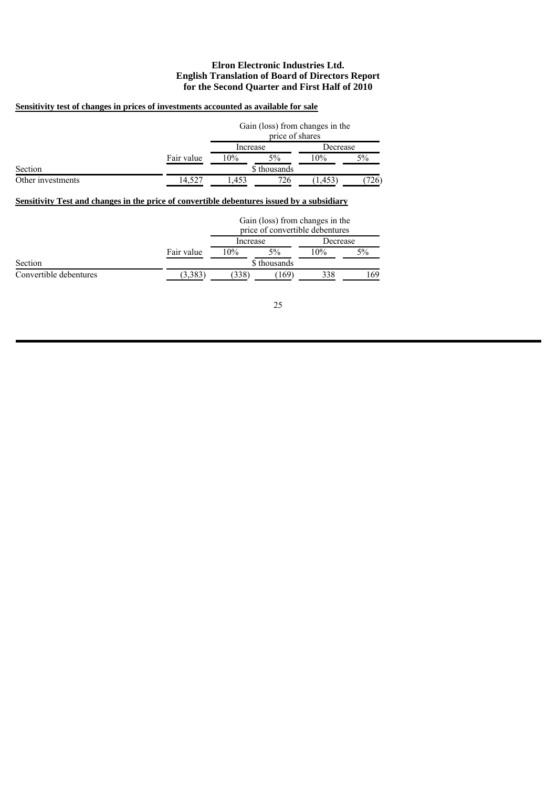## **Sensitivity test of changes in prices of investments accounted as available for sale**

|                   |            | Gain (loss) from changes in the<br>price of shares |              |          |      |  |
|-------------------|------------|----------------------------------------------------|--------------|----------|------|--|
|                   |            | Increase                                           |              | Decrease |      |  |
|                   | Fair value | 10%                                                | $5\%$        | 10%      | 5%   |  |
| Section           |            |                                                    | \$ thousands |          |      |  |
| Other investments | 14.527     | .453                                               | 726          | .453     | '26) |  |

# **Sensitivity Test and changes in the price of convertible debentures issued by a subsidiary**

|                        |              | Gain (loss) from changes in the<br>price of convertible debentures |       |          |     |  |
|------------------------|--------------|--------------------------------------------------------------------|-------|----------|-----|--|
|                        |              | Increase                                                           |       | Decrease |     |  |
|                        | Fair value   | 10%                                                                | $5\%$ | 10%      | 5%  |  |
| Section                | \$ thousands |                                                                    |       |          |     |  |
| Convertible debentures | (3.383)      | (338)                                                              | (169) | 338      | 169 |  |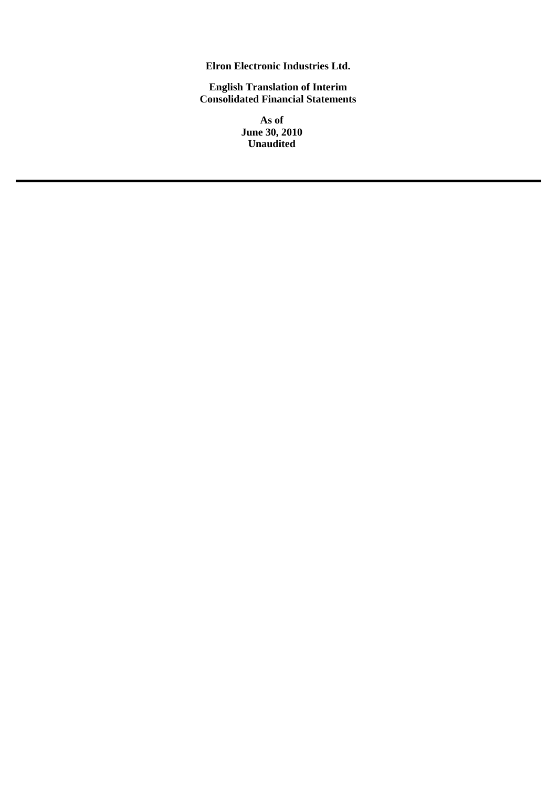**Elron Electronic Industries Ltd.**

**English Translation of Interim Consolidated Financial Statements**

> **As of June 30, 2010 Unaudited**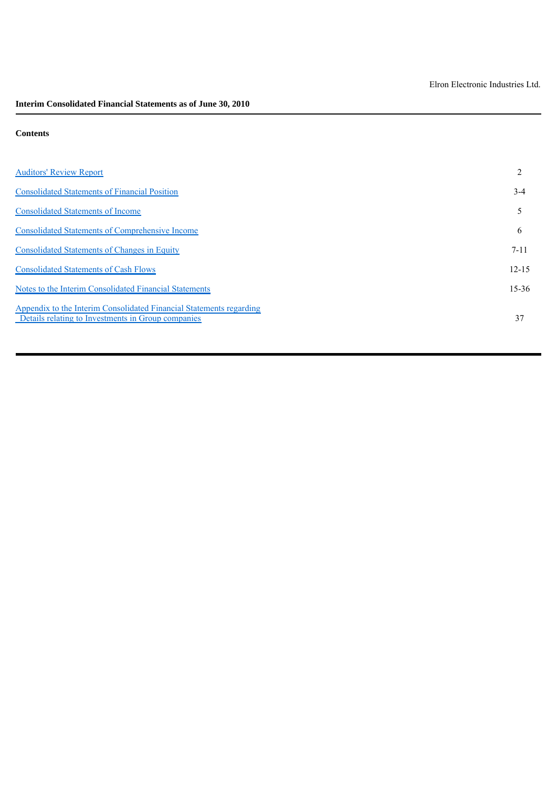# **Contents**

| <b>Auditors' Review Report</b>                                                                                            |           |
|---------------------------------------------------------------------------------------------------------------------------|-----------|
| <b>Consolidated Statements of Financial Position</b>                                                                      | $3-4$     |
| <b>Consolidated Statements of Income</b>                                                                                  |           |
| <b>Consolidated Statements of Comprehensive Income</b>                                                                    | 6         |
| <b>Consolidated Statements of Changes in Equity</b>                                                                       | $7 - 11$  |
| <b>Consolidated Statements of Cash Flows</b>                                                                              | $12 - 15$ |
| Notes to the Interim Consolidated Financial Statements                                                                    | $15 - 36$ |
| Appendix to the Interim Consolidated Financial Statements regarding<br>Details relating to Investments in Group companies | 37        |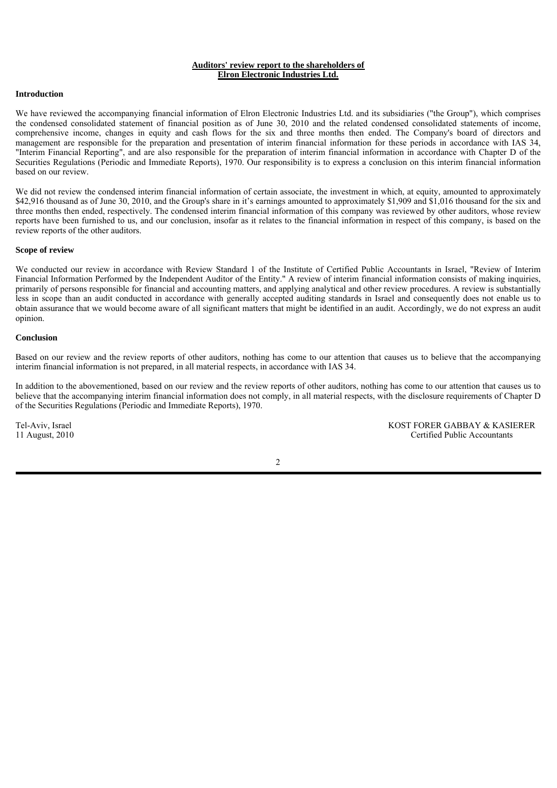#### **Auditors' review report to the shareholders of Elron Electronic Industries Ltd.**

#### **Introduction**

We have reviewed the accompanying financial information of Elron Electronic Industries Ltd. and its subsidiaries ("the Group"), which comprises the condensed consolidated statement of financial position as of June 30, 2010 and the related condensed consolidated statements of income, comprehensive income, changes in equity and cash flows for the six and three months then ended. The Company's board of directors and management are responsible for the preparation and presentation of interim financial information for these periods in accordance with IAS 34, "Interim Financial Reporting", and are also responsible for the preparation of interim financial information in accordance with Chapter D of the Securities Regulations (Periodic and Immediate Reports), 1970. Our responsibility is to express a conclusion on this interim financial information based on our review.

We did not review the condensed interim financial information of certain associate, the investment in which, at equity, amounted to approximately \$42,916 thousand as of June 30, 2010, and the Group's share in it's earnings amounted to approximately \$1,909 and \$1,016 thousand for the six and three months then ended, respectively. The condensed interim financial information of this company was reviewed by other auditors, whose review reports have been furnished to us, and our conclusion, insofar as it relates to the financial information in respect of this company, is based on the review reports of the other auditors.

#### **Scope of review**

We conducted our review in accordance with Review Standard 1 of the Institute of Certified Public Accountants in Israel, "Review of Interim Financial Information Performed by the Independent Auditor of the Entity." A review of interim financial information consists of making inquiries, primarily of persons responsible for financial and accounting matters, and applying analytical and other review procedures. A review is substantially less in scope than an audit conducted in accordance with generally accepted auditing standards in Israel and consequently does not enable us to obtain assurance that we would become aware of all significant matters that might be identified in an audit. Accordingly, we do not express an audit opinion.

#### **Conclusion**

Based on our review and the review reports of other auditors, nothing has come to our attention that causes us to believe that the accompanying interim financial information is not prepared, in all material respects, in accordance with IAS 34.

In addition to the abovementioned, based on our review and the review reports of other auditors, nothing has come to our attention that causes us to believe that the accompanying interim financial information does not comply, in all material respects, with the disclosure requirements of Chapter D of the Securities Regulations (Periodic and Immediate Reports), 1970.

Tel-Aviv, Israel KOST FORER GABBAY & KASIERER<br>11 August, 2010 Certified Public Accountants Certified Public Accountants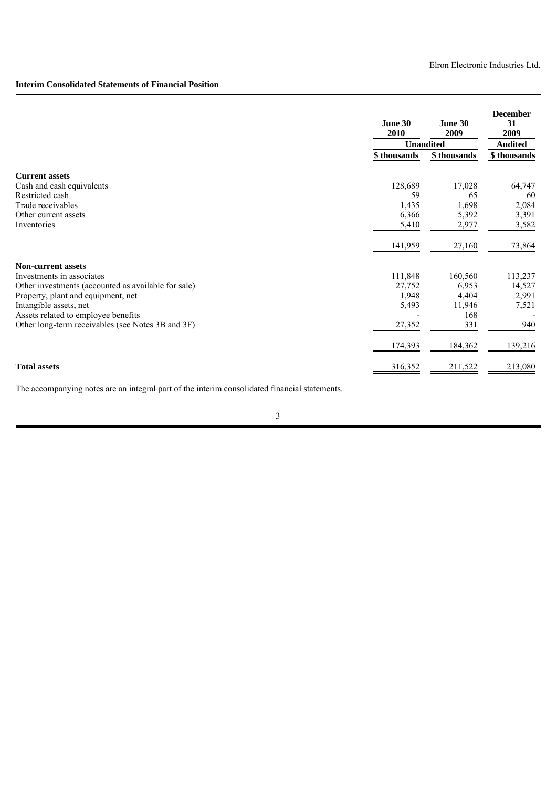# **Interim Consolidated Statements of Financial Position**

|                                                     | June 30<br>2010 | June 30<br>2009  | <b>December</b><br>31<br>2009 |
|-----------------------------------------------------|-----------------|------------------|-------------------------------|
|                                                     |                 | <b>Unaudited</b> | <b>Audited</b>                |
|                                                     | \$thousands     | \$thousands      | \$ thousands                  |
| <b>Current assets</b>                               |                 |                  |                               |
| Cash and cash equivalents                           | 128,689         | 17,028           | 64,747                        |
| Restricted cash                                     | 59              | 65               | 60                            |
| Trade receivables                                   | 1,435           | 1,698            | 2,084                         |
| Other current assets                                | 6,366           | 5,392            | 3,391                         |
| Inventories                                         | 5,410           | 2,977            | 3,582                         |
|                                                     | 141,959         | 27,160           | 73,864                        |
| <b>Non-current assets</b>                           |                 |                  |                               |
| Investments in associates                           | 111,848         | 160,560          | 113,237                       |
| Other investments (accounted as available for sale) | 27,752          | 6,953            | 14,527                        |
| Property, plant and equipment, net                  | 1,948           | 4,404            | 2,991                         |
| Intangible assets, net                              | 5,493           | 11,946           | 7,521                         |
| Assets related to employee benefits                 |                 | 168              |                               |
| Other long-term receivables (see Notes 3B and 3F)   | 27,352          | 331              | 940                           |
|                                                     | 174,393         | 184,362          | 139,216                       |
| <b>Total assets</b>                                 | 316,352         | 211,522          | 213,080                       |

The accompanying notes are an integral part of the interim consolidated financial statements.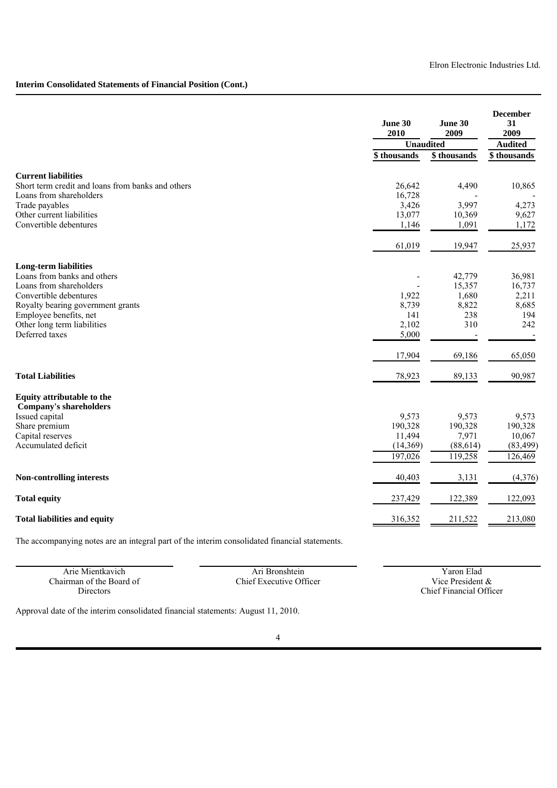# **Interim Consolidated Statements of Financial Position (Cont.)**

|                                                                                                                                                                                                                                  | June 30<br>2010                                   | June 30<br>2009                                            | <b>December</b><br>31<br>2009                              |
|----------------------------------------------------------------------------------------------------------------------------------------------------------------------------------------------------------------------------------|---------------------------------------------------|------------------------------------------------------------|------------------------------------------------------------|
|                                                                                                                                                                                                                                  | <b>Unaudited</b>                                  |                                                            | <b>Audited</b>                                             |
|                                                                                                                                                                                                                                  | \$thousands                                       | $\overline{\$}$ thousands                                  | \$thousands                                                |
| <b>Current liabilities</b><br>Short term credit and loans from banks and others<br>Loans from shareholders<br>Trade payables<br>Other current liabilities<br>Convertible debentures                                              | 26,642<br>16,728<br>3,426<br>13,077<br>1,146      | 4,490<br>3,997<br>10,369<br>1,091                          | 10,865<br>4,273<br>9,627<br>1,172                          |
|                                                                                                                                                                                                                                  | 61,019                                            | 19,947                                                     | 25,937                                                     |
| <b>Long-term liabilities</b><br>Loans from banks and others<br>Loans from shareholders<br>Convertible debentures<br>Royalty bearing government grants<br>Employee benefits, net<br>Other long term liabilities<br>Deferred taxes | 1,922<br>8,739<br>141<br>2,102<br>5,000<br>17,904 | 42,779<br>15,357<br>1,680<br>8,822<br>238<br>310<br>69,186 | 36,981<br>16,737<br>2,211<br>8,685<br>194<br>242<br>65,050 |
| <b>Total Liabilities</b>                                                                                                                                                                                                         | 78,923                                            | 89,133                                                     | 90,987                                                     |
| Equity attributable to the<br><b>Company's shareholders</b><br>Issued capital<br>Share premium<br>Capital reserves<br>Accumulated deficit                                                                                        | 9,573<br>190,328<br>11,494<br>(14,369)<br>197,026 | 9,573<br>190,328<br>7,971<br>(88, 614)<br>119,258          | 9,573<br>190,328<br>10,067<br>(83, 499)<br>126,469         |
| <b>Non-controlling interests</b>                                                                                                                                                                                                 | 40,403                                            | 3,131                                                      | (4, 376)                                                   |
| <b>Total equity</b>                                                                                                                                                                                                              | 237,429                                           | 122,389                                                    | 122,093                                                    |
| <b>Total liabilities and equity</b>                                                                                                                                                                                              | 316,352                                           | 211,522                                                    | 213,080                                                    |

The accompanying notes are an integral part of the interim consolidated financial statements.

| Arie Mientkavich         | Ari Bronshtein          | Yaron Elad                     |
|--------------------------|-------------------------|--------------------------------|
| Chairman of the Board of | Chief Executive Officer | Vice President &               |
| Directors                |                         | <b>Chief Financial Officer</b> |

Approval date of the interim consolidated financial statements: August 11, 2010.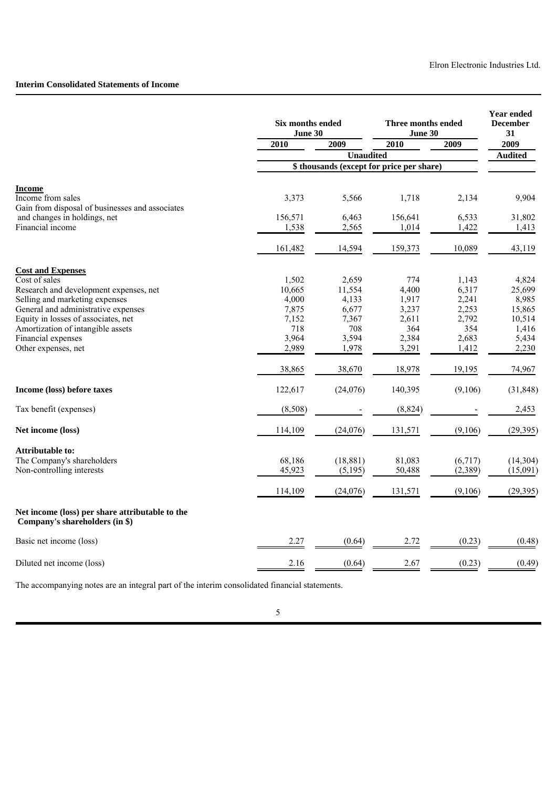# **Interim Consolidated Statements of Income**

|                                                                                   | Six months ended<br>June 30 |                  | Three months ended<br>June 30             | <b>Year ended</b><br><b>December</b><br>31 |                |
|-----------------------------------------------------------------------------------|-----------------------------|------------------|-------------------------------------------|--------------------------------------------|----------------|
|                                                                                   | 2010                        | 2009             | 2010                                      | 2009                                       | 2009           |
|                                                                                   |                             | <b>Unaudited</b> |                                           |                                            | <b>Audited</b> |
|                                                                                   |                             |                  | \$ thousands (except for price per share) |                                            |                |
| <b>Income</b>                                                                     |                             |                  |                                           |                                            |                |
| Income from sales<br>Gain from disposal of businesses and associates              | 3,373                       | 5,566            | 1,718                                     | 2,134                                      | 9,904          |
| and changes in holdings, net                                                      | 156,571                     | 6,463            | 156,641                                   | 6,533                                      | 31,802         |
| Financial income                                                                  | 1,538                       | 2,565            | 1,014                                     | 1,422                                      | 1,413          |
|                                                                                   | 161,482                     | 14,594           | 159,373                                   | 10,089                                     | 43,119         |
| <b>Cost and Expenses</b>                                                          |                             |                  |                                           |                                            |                |
| Cost of sales                                                                     | 1,502                       | 2,659            | 774                                       | 1,143                                      | 4,824          |
| Research and development expenses, net                                            | 10,665                      | 11,554           | 4,400                                     | 6,317                                      | 25,699         |
| Selling and marketing expenses                                                    | 4,000                       | 4,133            | 1,917                                     | 2,241                                      | 8,985          |
| General and administrative expenses                                               | 7,875                       | 6,677            | 3,237                                     | 2,253                                      | 15,865         |
| Equity in losses of associates, net                                               | 7.152                       | 7,367            | 2,611                                     | 2,792                                      | 10,514         |
| Amortization of intangible assets                                                 | 718                         | 708              | 364                                       | 354                                        | 1,416          |
| Financial expenses                                                                | 3,964                       | 3,594            | 2,384                                     | 2,683                                      | 5,434          |
| Other expenses, net                                                               | 2,989                       | 1,978            | 3,291                                     | 1,412                                      | 2,230          |
|                                                                                   | 38,865                      | 38,670           | 18,978                                    | 19,195                                     | 74,967         |
| Income (loss) before taxes                                                        | 122,617                     | (24,076)         | 140,395                                   | (9,106)                                    | (31, 848)      |
| Tax benefit (expenses)                                                            | (8,508)                     |                  | (8, 824)                                  |                                            | 2,453          |
| Net income (loss)                                                                 | 114,109                     | (24,076)         | 131,571                                   | (9,106)                                    | (29, 395)      |
| <b>Attributable to:</b>                                                           |                             |                  |                                           |                                            |                |
| The Company's shareholders                                                        | 68,186                      | (18, 881)        | 81,083                                    | (6,717)                                    | (14,304)       |
| Non-controlling interests                                                         | 45,923                      | (5, 195)         | 50,488                                    | (2,389)                                    | (15,091)       |
|                                                                                   | 114,109                     | (24,076)         | 131,571                                   | (9,106)                                    | (29,395)       |
| Net income (loss) per share attributable to the<br>Company's shareholders (in \$) |                             |                  |                                           |                                            |                |
| Basic net income (loss)                                                           | 2.27                        | (0.64)           | 2.72                                      | (0.23)                                     | (0.48)         |
| Diluted net income (loss)                                                         | 2.16                        | (0.64)           | 2.67                                      | (0.23)                                     | (0.49)         |

The accompanying notes are an integral part of the interim consolidated financial statements.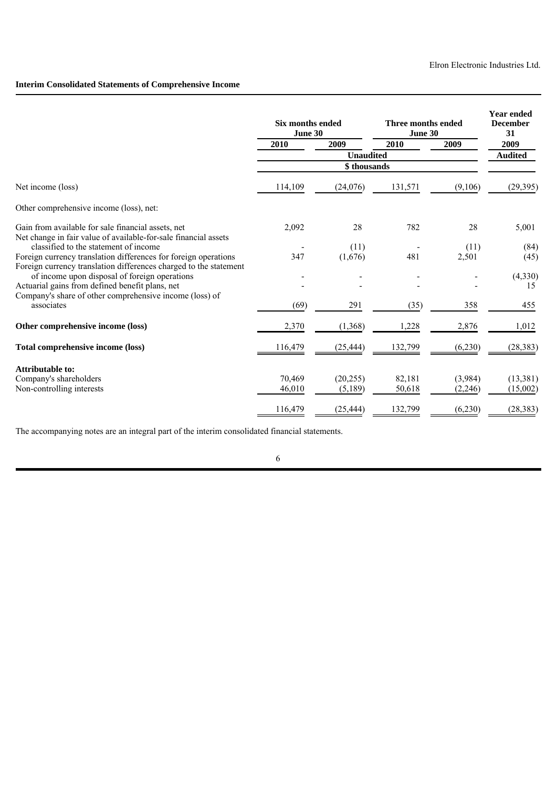# **Interim Consolidated Statements of Comprehensive Income**

|                                                                                                                    | <b>Six months ended</b><br>June 30 |                  | Three months ended<br>June 30 | <b>Year ended</b><br><b>December</b><br>31 |                |
|--------------------------------------------------------------------------------------------------------------------|------------------------------------|------------------|-------------------------------|--------------------------------------------|----------------|
|                                                                                                                    | 2010                               | 2009             | 2010                          | 2009                                       | 2009           |
|                                                                                                                    |                                    | <b>Unaudited</b> |                               |                                            | <b>Audited</b> |
|                                                                                                                    |                                    | \$thousands      |                               |                                            |                |
| Net income (loss)                                                                                                  | 114,109                            | (24,076)         | 131,571                       | (9,106)                                    | (29, 395)      |
| Other comprehensive income (loss), net:                                                                            |                                    |                  |                               |                                            |                |
| Gain from available for sale financial assets, net                                                                 | 2,092                              | 28               | 782                           | 28                                         | 5,001          |
| Net change in fair value of available-for-sale financial assets<br>classified to the statement of income           |                                    | (11)             |                               | (11)                                       | (84)           |
| Foreign currency translation differences for foreign operations                                                    | 347                                | (1,676)          | 481                           | 2,501                                      | (45)           |
| Foreign currency translation differences charged to the statement<br>of income upon disposal of foreign operations |                                    |                  |                               |                                            | (4,330)        |
| Actuarial gains from defined benefit plans, net                                                                    |                                    |                  |                               |                                            | 15             |
| Company's share of other comprehensive income (loss) of<br>associates                                              | (69)                               | 291              | (35)                          | 358                                        | 455            |
| Other comprehensive income (loss)                                                                                  | 2,370                              | (1, 368)         | 1,228                         | 2,876                                      | 1,012          |
| Total comprehensive income (loss)                                                                                  | 116,479                            | (25, 444)        | 132,799                       | (6,230)                                    | (28, 383)      |
| Attributable to:                                                                                                   |                                    |                  |                               |                                            |                |
| Company's shareholders                                                                                             | 70,469                             | (20, 255)        | 82,181                        | (3,984)                                    | (13,381)       |
| Non-controlling interests                                                                                          | 46,010                             | (5,189)          | 50,618                        | (2,246)                                    | (15,002)       |
|                                                                                                                    | 116,479                            | (25, 444)        | 132,799                       | (6,230)                                    | (28, 383)      |

The accompanying notes are an integral part of the interim consolidated financial statements.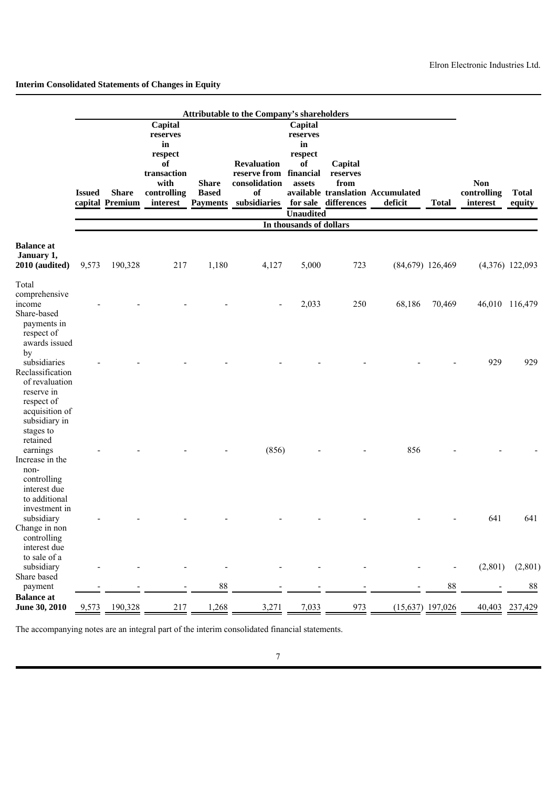|                                                                                                                                              |               |                                 |                                                                                              |                                                 | Attributable to the Company's shareholders                                |                                                                                       |                                                     |                                              |                    |                                       |                        |
|----------------------------------------------------------------------------------------------------------------------------------------------|---------------|---------------------------------|----------------------------------------------------------------------------------------------|-------------------------------------------------|---------------------------------------------------------------------------|---------------------------------------------------------------------------------------|-----------------------------------------------------|----------------------------------------------|--------------------|---------------------------------------|------------------------|
|                                                                                                                                              | <b>Issued</b> | <b>Share</b><br>capital Premium | Capital<br>reserves<br>in<br>respect<br>of<br>transaction<br>with<br>controlling<br>interest | <b>Share</b><br><b>Based</b><br><b>Payments</b> | <b>Revaluation</b><br>reserve from<br>consolidation<br>of<br>subsidiaries | Capital<br>reserves<br>in<br>respect<br>of<br>financial<br>assets<br><b>Unaudited</b> | Capital<br>reserves<br>from<br>for sale differences | available translation Accumulated<br>deficit | <b>Total</b>       | <b>Non</b><br>controlling<br>interest | <b>Total</b><br>equity |
|                                                                                                                                              |               |                                 |                                                                                              |                                                 |                                                                           | In thousands of dollars                                                               |                                                     |                                              |                    |                                       |                        |
| <b>Balance</b> at<br>January 1,<br>2010 (audited)                                                                                            | 9,573         | 190,328                         | 217                                                                                          | 1,180                                           | 4,127                                                                     | 5,000                                                                                 | 723                                                 |                                              | $(84,679)$ 126,469 |                                       | $(4,376)$ 122,093      |
| Total<br>comprehensive<br>income<br>Share-based<br>payments in                                                                               |               |                                 |                                                                                              |                                                 |                                                                           | 2,033                                                                                 | 250                                                 | 68,186                                       | 70,469             |                                       | 46,010 116,479         |
| respect of<br>awards issued<br>by<br>subsidiaries<br>Reclassification<br>of revaluation<br>reserve in                                        |               |                                 |                                                                                              |                                                 |                                                                           |                                                                                       |                                                     |                                              |                    | 929                                   | 929                    |
| respect of<br>acquisition of<br>subsidiary in<br>stages to<br>retained<br>earnings<br>Increase in the<br>non-<br>controlling<br>interest due |               |                                 |                                                                                              |                                                 | (856)                                                                     |                                                                                       |                                                     | 856                                          |                    |                                       |                        |
| to additional<br>investment in<br>subsidiary<br>Change in non<br>controlling<br>interest due                                                 |               |                                 |                                                                                              |                                                 |                                                                           |                                                                                       |                                                     |                                              |                    | 641                                   | 641                    |
| to sale of a<br>subsidiary<br>Share based                                                                                                    |               |                                 |                                                                                              |                                                 |                                                                           |                                                                                       |                                                     |                                              |                    | (2,801)                               | (2,801)                |
| payment                                                                                                                                      |               |                                 |                                                                                              | $88\,$                                          |                                                                           |                                                                                       |                                                     |                                              | 88                 |                                       | 88                     |
| <b>Balance</b> at<br><b>June 30, 2010</b>                                                                                                    | 9,573         | 190,328                         | 217                                                                                          | 1,268                                           | 3,271                                                                     | 7,033                                                                                 | 973                                                 |                                              | $(15,637)$ 197,026 | 40,403                                | 237,429                |

The accompanying notes are an integral part of the interim consolidated financial statements.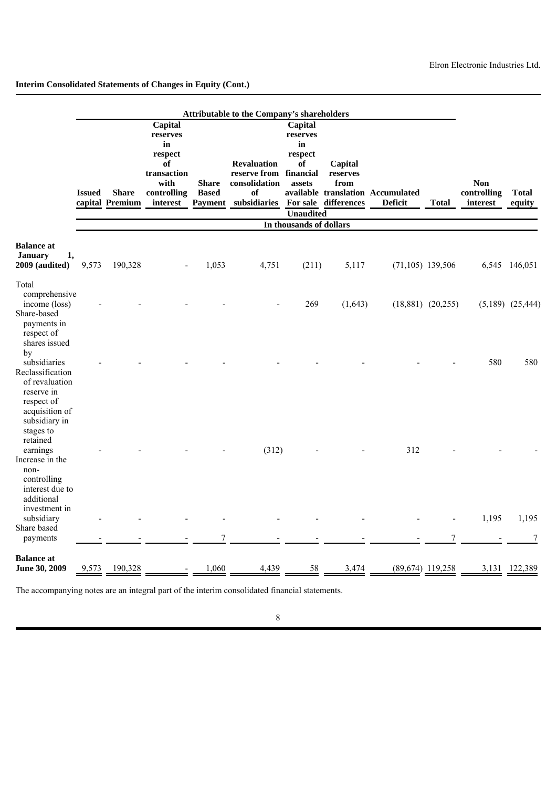|                                                                                                                                   |               |                                 |                                                                                              |                              | <b>Attributable to the Company's shareholders</b>                                                                |                                                                          |                             |                                                     |                       |                                       |                        |
|-----------------------------------------------------------------------------------------------------------------------------------|---------------|---------------------------------|----------------------------------------------------------------------------------------------|------------------------------|------------------------------------------------------------------------------------------------------------------|--------------------------------------------------------------------------|-----------------------------|-----------------------------------------------------|-----------------------|---------------------------------------|------------------------|
|                                                                                                                                   | <b>Issued</b> | <b>Share</b><br>capital Premium | Capital<br>reserves<br>in<br>respect<br>of<br>transaction<br>with<br>controlling<br>interest | <b>Share</b><br><b>Based</b> | <b>Revaluation</b><br>reserve from financial<br>consolidation<br>of<br>Payment subsidiaries For sale differences | Capital<br>reserves<br>in<br>respect<br>of<br>assets<br><b>Unaudited</b> | Capital<br>reserves<br>from | available translation Accumulated<br><b>Deficit</b> | <b>Total</b>          | <b>Non</b><br>controlling<br>interest | <b>Total</b><br>equity |
|                                                                                                                                   |               |                                 |                                                                                              |                              |                                                                                                                  | In thousands of dollars                                                  |                             |                                                     |                       |                                       |                        |
| <b>Balance</b> at<br><b>January</b><br>1,<br>2009 (audited)                                                                       | 9,573         | 190,328                         |                                                                                              | 1,053                        | 4,751                                                                                                            | (211)                                                                    | 5,117                       | $(71, 105)$ 139,506                                 |                       |                                       | 6,545 146,051          |
| Total<br>comprehensive<br>income (loss)<br>Share-based<br>payments in<br>respect of                                               |               |                                 |                                                                                              |                              |                                                                                                                  | 269                                                                      | (1,643)                     |                                                     | $(18,881)$ $(20,255)$ |                                       | $(5,189)$ $(25,444)$   |
| shares issued<br>by<br>subsidiaries<br>Reclassification<br>of revaluation<br>reserve in<br>respect of                             |               |                                 |                                                                                              |                              |                                                                                                                  |                                                                          |                             |                                                     |                       | 580                                   | 580                    |
| acquisition of<br>subsidiary in<br>stages to<br>retained<br>earnings<br>Increase in the<br>non-<br>controlling<br>interest due to |               |                                 |                                                                                              |                              | (312)                                                                                                            |                                                                          |                             | 312                                                 |                       |                                       |                        |
| additional<br>investment in<br>subsidiary<br>Share based<br>payments                                                              |               |                                 |                                                                                              | 7                            |                                                                                                                  |                                                                          |                             |                                                     | 7                     | 1,195                                 | 1,195<br>7             |
| Balance at<br><b>June 30, 2009</b>                                                                                                | 9,573         | 190,328                         |                                                                                              | 1,060                        | 4,439                                                                                                            | 58                                                                       | 3,474                       | $(89,674)$ 119,258                                  |                       |                                       | 3,131 122,389          |

The accompanying notes are an integral part of the interim consolidated financial statements.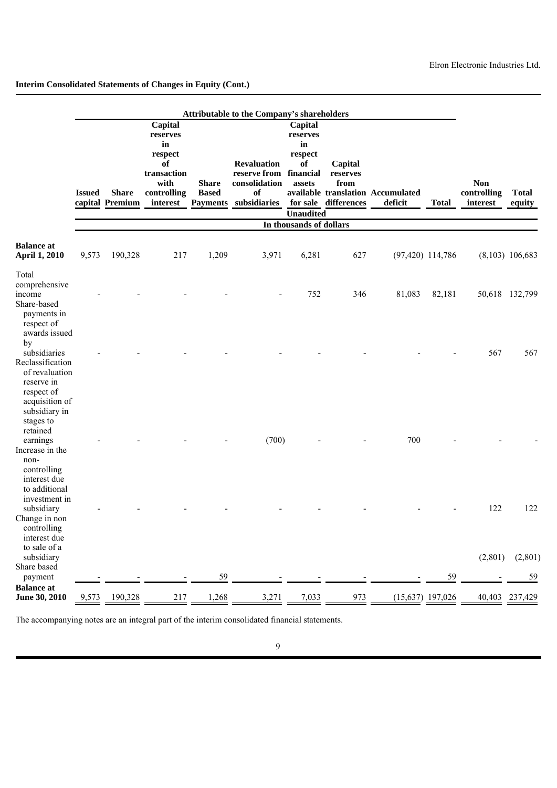|                                                                                                                |               |                                 |                                                                                              |                              | Attributable to the Company's shareholders                                                   |                                                                          |                                                     |                                              |                     |                                       |                        |
|----------------------------------------------------------------------------------------------------------------|---------------|---------------------------------|----------------------------------------------------------------------------------------------|------------------------------|----------------------------------------------------------------------------------------------|--------------------------------------------------------------------------|-----------------------------------------------------|----------------------------------------------|---------------------|---------------------------------------|------------------------|
|                                                                                                                | <b>Issued</b> | <b>Share</b><br>capital Premium | Capital<br>reserves<br>in<br>respect<br>of<br>transaction<br>with<br>controlling<br>interest | <b>Share</b><br><b>Based</b> | <b>Revaluation</b><br>reserve from financial<br>consolidation<br>of<br>Payments subsidiaries | Capital<br>reserves<br>in<br>respect<br>of<br>assets<br><b>Unaudited</b> | Capital<br>reserves<br>from<br>for sale differences | available translation Accumulated<br>deficit | <b>Total</b>        | <b>Non</b><br>controlling<br>interest | <b>Total</b><br>equity |
|                                                                                                                |               |                                 |                                                                                              |                              |                                                                                              | In thousands of dollars                                                  |                                                     |                                              |                     |                                       |                        |
| <b>Balance</b> at<br><b>April 1, 2010</b>                                                                      | 9,573         | 190,328                         | 217                                                                                          | 1,209                        | 3,971                                                                                        | 6,281                                                                    | 627                                                 |                                              | $(97, 420)$ 114,786 |                                       | $(8,103)$ 106,683      |
| Total<br>comprehensive<br>income<br>Share-based<br>payments in<br>respect of                                   |               |                                 |                                                                                              |                              |                                                                                              | 752                                                                      | 346                                                 | 81,083                                       | 82,181              |                                       | 50,618 132,799         |
| awards issued<br>by<br>subsidiaries<br>Reclassification<br>of revaluation<br>reserve in<br>respect of          |               |                                 |                                                                                              |                              |                                                                                              |                                                                          |                                                     |                                              |                     | 567                                   | 567                    |
| acquisition of<br>subsidiary in<br>stages to<br>retained<br>earnings<br>Increase in the<br>non-<br>controlling |               |                                 |                                                                                              |                              | (700)                                                                                        |                                                                          |                                                     | 700                                          |                     |                                       |                        |
| interest due<br>to additional<br>investment in<br>subsidiary<br>Change in non<br>controlling<br>interest due   |               |                                 |                                                                                              |                              |                                                                                              |                                                                          |                                                     |                                              |                     | 122                                   | 122                    |
| to sale of a<br>subsidiary<br>Share based<br>payment                                                           |               |                                 |                                                                                              | 59                           |                                                                                              |                                                                          |                                                     |                                              | 59                  | (2,801)                               | (2,801)<br>59          |
| <b>Balance</b> at<br>June 30, 2010                                                                             | 9,573         | 190,328                         | 217                                                                                          | 1,268                        | 3,271                                                                                        | 7,033                                                                    | 973                                                 |                                              | $(15,637)$ 197,026  |                                       | 40,403 237,429         |

The accompanying notes are an integral part of the interim consolidated financial statements.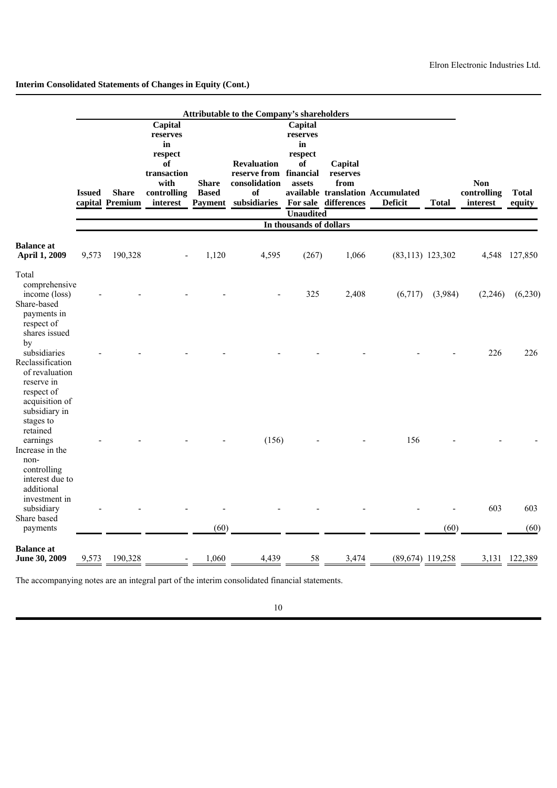|                                                                                                                                   |               |                                 |                                                                                              |                                                | Attributable to the Company's shareholders                                |                                                                                       |                                                     |                                                     |                     |                                       |                        |
|-----------------------------------------------------------------------------------------------------------------------------------|---------------|---------------------------------|----------------------------------------------------------------------------------------------|------------------------------------------------|---------------------------------------------------------------------------|---------------------------------------------------------------------------------------|-----------------------------------------------------|-----------------------------------------------------|---------------------|---------------------------------------|------------------------|
|                                                                                                                                   | <b>Issued</b> | <b>Share</b><br>capital Premium | Capital<br>reserves<br>in<br>respect<br>of<br>transaction<br>with<br>controlling<br>interest | <b>Share</b><br><b>Based</b><br><b>Payment</b> | <b>Revaluation</b><br>reserve from<br>consolidation<br>of<br>subsidiaries | Capital<br>reserves<br>in<br>respect<br>of<br>financial<br>assets<br><b>Unaudited</b> | Capital<br>reserves<br>from<br>For sale differences | available translation Accumulated<br><b>Deficit</b> | <b>Total</b>        | <b>Non</b><br>controlling<br>interest | <b>Total</b><br>equity |
|                                                                                                                                   |               |                                 |                                                                                              |                                                |                                                                           | In thousands of dollars                                                               |                                                     |                                                     |                     |                                       |                        |
| <b>Balance</b> at<br><b>April 1, 2009</b>                                                                                         | 9,573         | 190,328                         |                                                                                              | 1,120                                          | 4,595                                                                     | (267)                                                                                 | 1,066                                               |                                                     | $(83, 113)$ 123,302 | 4,548                                 | 127,850                |
| Total<br>comprehensive<br>income (loss)<br>Share-based<br>payments in<br>respect of                                               |               |                                 |                                                                                              |                                                |                                                                           | 325                                                                                   | 2,408                                               | (6,717)                                             | (3,984)             | (2,246)                               | (6,230)                |
| shares issued<br>by<br>subsidiaries<br>Reclassification<br>of revaluation<br>reserve in<br>respect of                             |               |                                 |                                                                                              |                                                |                                                                           |                                                                                       |                                                     |                                                     |                     | 226                                   | 226                    |
| acquisition of<br>subsidiary in<br>stages to<br>retained<br>earnings<br>Increase in the<br>non-<br>controlling<br>interest due to |               |                                 |                                                                                              |                                                | (156)                                                                     |                                                                                       |                                                     | 156                                                 |                     |                                       |                        |
| additional<br>investment in<br>subsidiary<br>Share based<br>payments                                                              |               |                                 |                                                                                              | (60)                                           |                                                                           |                                                                                       |                                                     |                                                     | (60)                | 603                                   | 603<br>(60)            |
| <b>Balance</b> at<br>June 30, 2009                                                                                                | 9,573         | 190,328                         |                                                                                              | 1,060                                          | 4,439                                                                     | 58                                                                                    | 3,474                                               |                                                     | $(89,674)$ 119,258  |                                       | 3,131 122,389          |

The accompanying notes are an integral part of the interim consolidated financial statements.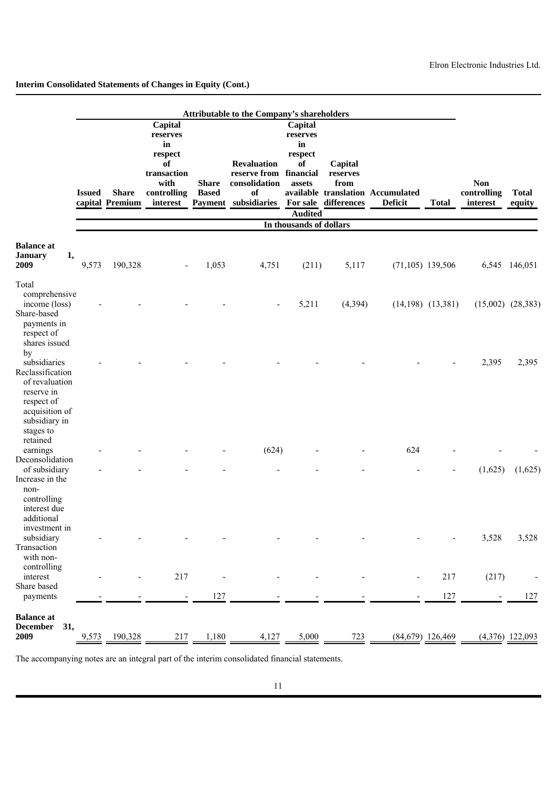|                                                                                            |               |                                 |                                                                   |                                | Attributable to the Company's shareholders                    |                                                      |                             |                                                     |                       |                         |                        |
|--------------------------------------------------------------------------------------------|---------------|---------------------------------|-------------------------------------------------------------------|--------------------------------|---------------------------------------------------------------|------------------------------------------------------|-----------------------------|-----------------------------------------------------|-----------------------|-------------------------|------------------------|
|                                                                                            |               |                                 | Capital<br>reserves<br>in<br>respect<br>of<br>transaction<br>with | <b>Share</b>                   | <b>Revaluation</b><br>reserve from financial<br>consolidation | Capital<br>reserves<br>in<br>respect<br>of<br>assets | Capital<br>reserves<br>from |                                                     |                       | <b>Non</b>              |                        |
|                                                                                            | <b>Issued</b> | <b>Share</b><br>capital Premium | controlling<br>interest                                           | <b>Based</b><br><b>Payment</b> | of<br>subsidiaries                                            | For sale                                             | differences                 | available translation Accumulated<br><b>Deficit</b> | <b>Total</b>          | controlling<br>interest | <b>Total</b><br>equity |
|                                                                                            |               |                                 |                                                                   |                                |                                                               | <b>Audited</b><br>In thousands of dollars            |                             |                                                     |                       |                         |                        |
|                                                                                            |               |                                 |                                                                   |                                |                                                               |                                                      |                             |                                                     |                       |                         |                        |
| <b>Balance</b> at<br><b>January</b><br>1,<br>2009                                          | 9,573         | 190,328                         |                                                                   | 1,053                          | 4,751                                                         | (211)                                                | 5,117                       | $(71,105)$ 139,506                                  |                       |                         | 6,545 146,051          |
| Total                                                                                      |               |                                 |                                                                   |                                |                                                               |                                                      |                             |                                                     |                       |                         |                        |
| comprehensive<br>income (loss)<br>Share-based<br>payments in                               |               |                                 |                                                                   |                                |                                                               | 5,211                                                | (4, 394)                    |                                                     | $(14,198)$ $(13,381)$ |                         | $(15,002)$ $(28,383)$  |
| respect of<br>shares issued<br>by<br>subsidiaries<br>Reclassification                      |               |                                 |                                                                   |                                |                                                               |                                                      |                             |                                                     |                       | 2,395                   | 2,395                  |
| of revaluation<br>reserve in<br>respect of<br>acquisition of<br>subsidiary in<br>stages to |               |                                 |                                                                   |                                |                                                               |                                                      |                             |                                                     |                       |                         |                        |
| retained<br>earnings                                                                       |               |                                 |                                                                   |                                | (624)                                                         |                                                      |                             | 624                                                 |                       |                         |                        |
| Deconsolidation<br>of subsidiary                                                           |               |                                 |                                                                   |                                |                                                               |                                                      |                             |                                                     |                       | (1,625)                 | (1,625)                |
| Increase in the<br>non-<br>controlling<br>interest due<br>additional                       |               |                                 |                                                                   |                                |                                                               |                                                      |                             |                                                     |                       |                         |                        |
| investment in<br>subsidiary<br>Transaction<br>with non-                                    |               |                                 |                                                                   |                                |                                                               |                                                      |                             |                                                     |                       | 3,528                   | 3,528                  |
| controlling<br>interest                                                                    |               |                                 | 217                                                               |                                |                                                               |                                                      |                             |                                                     | 217                   | (217)                   |                        |
| Share based<br>payments                                                                    |               |                                 |                                                                   | 127                            |                                                               |                                                      |                             |                                                     | 127                   |                         | 127                    |
| <b>Balance</b> at<br><b>December</b><br>31,                                                |               |                                 |                                                                   |                                |                                                               |                                                      |                             |                                                     |                       |                         |                        |
| 2009                                                                                       | 9,573         | 190,328                         | 217                                                               | 1,180                          | 4,127                                                         | 5,000                                                | 723                         |                                                     | $(84,679)$ 126,469    |                         | $(4,376)$ 122,093      |

The accompanying notes are an integral part of the interim consolidated financial statements.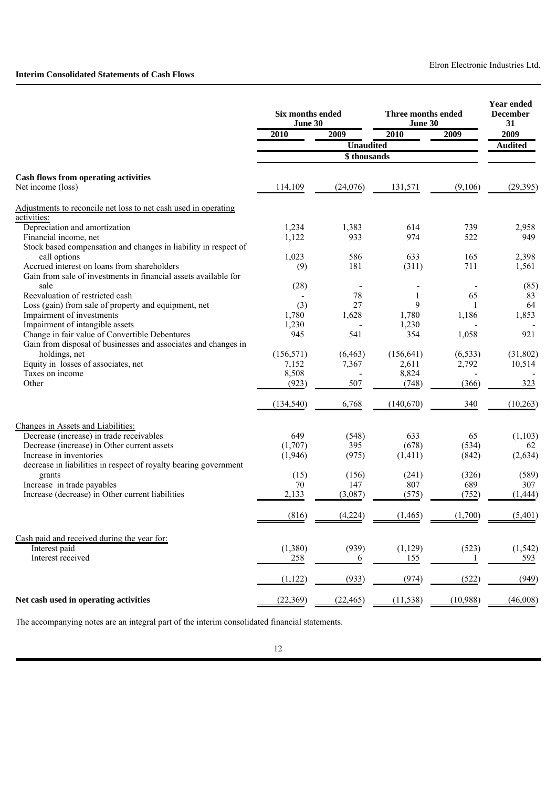# **Interim Consolidated Statements of Cash Flows**

|                                                                                                                  | Six months ended<br>June 30 |                  | Three months ended<br>June 30 |            | Year ended<br><b>December</b><br>31 |
|------------------------------------------------------------------------------------------------------------------|-----------------------------|------------------|-------------------------------|------------|-------------------------------------|
|                                                                                                                  | 2010                        | 2009             | 2010                          | 2009       | 2009                                |
|                                                                                                                  |                             | <b>Unaudited</b> |                               |            | <b>Audited</b>                      |
|                                                                                                                  |                             | \$ thousands     |                               |            |                                     |
| <b>Cash flows from operating activities</b>                                                                      |                             |                  |                               |            |                                     |
| Net income (loss)                                                                                                | 114,109                     | (24,076)         | 131,571                       | (9,106)    | (29, 395)                           |
| Adjustments to reconcile net loss to net cash used in operating                                                  |                             |                  |                               |            |                                     |
| <u>activities:</u>                                                                                               |                             |                  |                               |            |                                     |
| Depreciation and amortization                                                                                    | 1,234                       | 1,383            | 614<br>974                    | 739<br>522 | 2,958                               |
| Financial income, net<br>Stock based compensation and changes in liability in respect of                         | 1,122                       | 933              |                               |            | 949                                 |
| call options                                                                                                     | 1,023                       | 586              | 633                           | 165        | 2,398                               |
| Accrued interest on loans from shareholders                                                                      | (9)                         | 181              | (311)                         | 711        | 1,561                               |
| Gain from sale of investments in financial assets available for                                                  |                             |                  |                               |            |                                     |
| sale                                                                                                             | (28)                        |                  |                               |            | (85)                                |
| Reevaluation of restricted cash                                                                                  |                             | 78               | 1                             | 65         | 83                                  |
| Loss (gain) from sale of property and equipment, net                                                             | (3)                         | 27               | 9                             | 1          | 64                                  |
| Impairment of investments                                                                                        | 1,780                       | 1,628            | 1,780                         | 1,186      | 1,853                               |
| Impairment of intangible assets                                                                                  | 1,230                       |                  | 1,230                         |            |                                     |
| Change in fair value of Convertible Debentures<br>Gain from disposal of businesses and associates and changes in | 945                         | 541              | 354                           | 1,058      | 921                                 |
| holdings, net                                                                                                    | (156, 571)                  | (6, 463)         | (156, 641)                    | (6, 533)   | (31, 802)                           |
| Equity in losses of associates, net                                                                              | 7,152                       | 7,367            | 2,611                         | 2,792      | 10,514                              |
| Taxes on income                                                                                                  | 8,508                       |                  | 8,824                         |            |                                     |
| Other                                                                                                            | (923)                       | 507              | (748)                         | (366)      | 323                                 |
|                                                                                                                  | (134, 540)                  | 6,768            | (140, 670)                    | 340        | (10, 263)                           |
| Changes in Assets and Liabilities:                                                                               |                             |                  |                               |            |                                     |
| Decrease (increase) in trade receivables                                                                         | 649                         | (548)            | 633                           | 65         | (1, 103)                            |
| Decrease (increase) in Other current assets                                                                      | (1,707)                     | 395              | (678)                         | (534)      | 62                                  |
| Increase in inventories                                                                                          | (1,946)                     | (975)            | (1,411)                       | (842)      | (2,634)                             |
| decrease in liabilities in respect of royalty bearing government                                                 |                             |                  |                               |            |                                     |
| grants                                                                                                           | (15)                        | (156)            | (241)                         | (326)      | (589)                               |
| Increase in trade payables<br>Increase (decrease) in Other current liabilities                                   | 70                          | 147              | 807                           | 689        | 307                                 |
|                                                                                                                  | 2,133                       | (3,087)          | (575)                         | (752)      | (1, 444)                            |
|                                                                                                                  | (816)                       | (4,224)          | (1,465)                       | (1,700)    | (5,401)                             |
| Cash paid and received during the year for:                                                                      |                             |                  |                               |            |                                     |
| Interest paid                                                                                                    | (1,380)                     | (939)            | (1, 129)                      | (523)      | (1, 542)                            |
| Interest received                                                                                                | 258                         | 6                | 155                           | -1         | 593                                 |
|                                                                                                                  | (1, 122)                    | (933)            | (974)                         | (522)      | (949)                               |
| Net cash used in operating activities                                                                            | (22, 369)                   | (22, 465)        | (11, 538)                     | (10,988)   | (46,008)                            |

The accompanying notes are an integral part of the interim consolidated financial statements.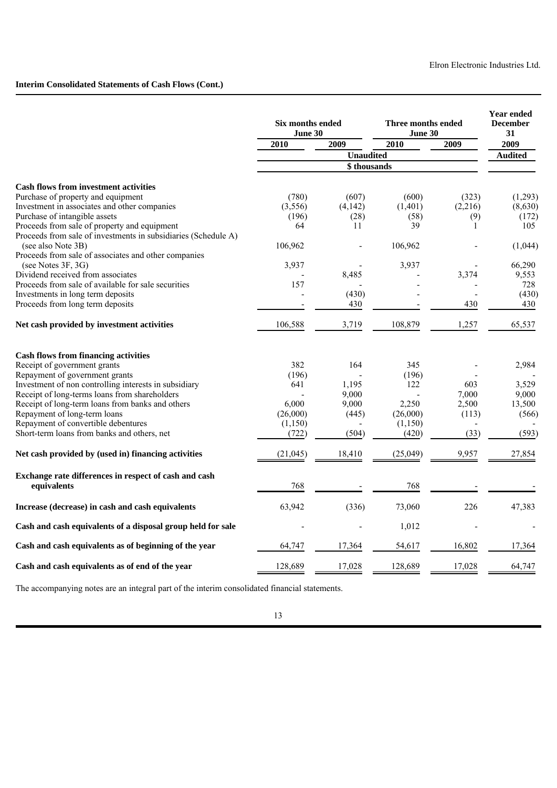# **Interim Consolidated Statements of Cash Flows (Cont.)**

|                                                                | Six months ended<br>June 30 |                  | Three months ended<br>June 30 | <b>Year ended</b><br><b>December</b><br>31 |                |
|----------------------------------------------------------------|-----------------------------|------------------|-------------------------------|--------------------------------------------|----------------|
|                                                                | $\overline{2010}$           | 2009             | 2010                          | 2009                                       | 2009           |
|                                                                |                             | <b>Unaudited</b> |                               |                                            | <b>Audited</b> |
|                                                                |                             | \$thousands      |                               |                                            |                |
| <b>Cash flows from investment activities</b>                   |                             |                  |                               |                                            |                |
| Purchase of property and equipment                             | (780)                       | (607)            | (600)                         | (323)                                      | (1,293)        |
| Investment in associates and other companies                   | (3,556)                     | (4, 142)         | (1,401)                       | (2,216)                                    | (8,630)        |
| Purchase of intangible assets                                  | (196)                       | (28)             | (58)                          | (9)                                        | (172)          |
| Proceeds from sale of property and equipment                   | 64                          | 11               | 39                            | $\mathbf{1}$                               | 105            |
| Proceeds from sale of investments in subsidiaries (Schedule A) |                             |                  |                               |                                            |                |
| (see also Note 3B)                                             | 106,962                     |                  | 106,962                       |                                            | (1,044)        |
| Proceeds from sale of associates and other companies           |                             |                  |                               |                                            |                |
| (see Notes 3F, 3G)                                             | 3,937                       |                  | 3,937                         |                                            | 66,290         |
| Dividend received from associates                              |                             | 8,485            |                               | 3,374                                      | 9,553          |
| Proceeds from sale of available for sale securities            | 157                         |                  |                               |                                            | 728            |
| Investments in long term deposits                              |                             | (430)            |                               |                                            | (430)          |
| Proceeds from long term deposits                               |                             | 430              |                               | 430                                        | 430            |
| Net cash provided by investment activities                     | 106,588                     | 3,719            | 108,879                       | 1,257                                      | 65,537         |
| <b>Cash flows from financing activities</b>                    |                             |                  |                               |                                            |                |
| Receipt of government grants                                   | 382                         | 164              | 345                           |                                            | 2,984          |
| Repayment of government grants                                 | (196)                       |                  | (196)                         |                                            |                |
| Investment of non controlling interests in subsidiary          | 641                         | 1,195            | 122                           | 603                                        | 3,529          |
| Receipt of long-terms loans from shareholders                  |                             | 9,000            |                               | 7,000                                      | 9,000          |
| Receipt of long-term loans from banks and others               | 6.000                       | 9,000            | 2,250                         | 2,500                                      | 13,500         |
| Repayment of long-term loans                                   | (26,000)                    | (445)            | (26,000)                      | (113)                                      | (566)          |
| Repayment of convertible debentures                            | (1,150)                     |                  | (1, 150)                      |                                            |                |
| Short-term loans from banks and others, net                    | (722)                       | (504)            | (420)                         | (33)                                       | (593)          |
| Net cash provided by (used in) financing activities            | (21, 045)                   | 18,410           | (25,049)                      | 9,957                                      | 27,854         |
| Exchange rate differences in respect of cash and cash          |                             |                  |                               |                                            |                |
| equivalents                                                    | 768                         |                  | 768                           |                                            |                |
| Increase (decrease) in cash and cash equivalents               | 63,942                      | (336)            | 73,060                        | 226                                        | 47,383         |
| Cash and cash equivalents of a disposal group held for sale    |                             |                  | 1,012                         |                                            |                |
| Cash and cash equivalents as of beginning of the year          | 64,747                      | 17,364           | 54,617                        | 16,802                                     | 17,364         |
| Cash and cash equivalents as of end of the year                | 128,689                     | 17,028           | 128,689                       | 17,028                                     | 64,747         |
|                                                                |                             |                  |                               |                                            |                |

The accompanying notes are an integral part of the interim consolidated financial statements.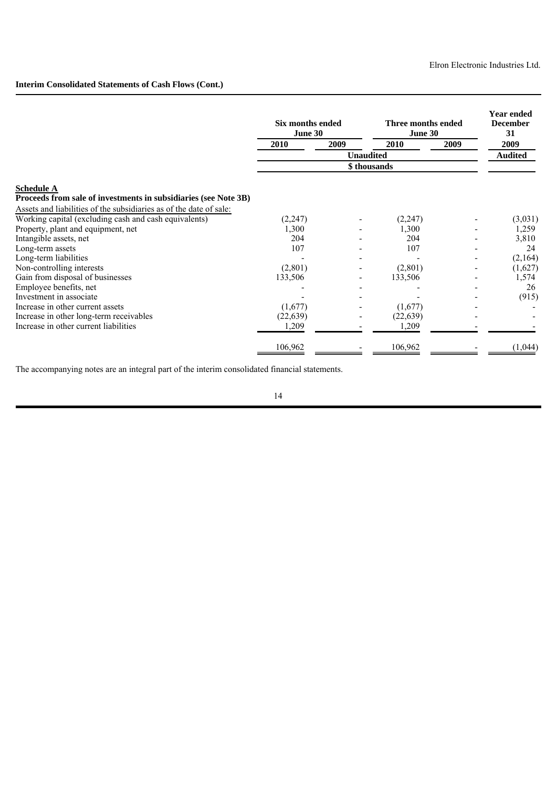# **Interim Consolidated Statements of Cash Flows (Cont.)**

|                                                                    | Six months ended<br>June 30 |                | Three months ended<br>June 30 |      | <b>Year ended</b><br><b>December</b><br>31 |
|--------------------------------------------------------------------|-----------------------------|----------------|-------------------------------|------|--------------------------------------------|
|                                                                    | 2010                        | 2009           | 2010                          | 2009 | 2009                                       |
|                                                                    |                             | <b>Audited</b> |                               |      |                                            |
|                                                                    |                             |                |                               |      |                                            |
| <b>Schedule A</b>                                                  |                             |                |                               |      |                                            |
| Proceeds from sale of investments in subsidiaries (see Note 3B)    |                             |                |                               |      |                                            |
| Assets and liabilities of the subsidiaries as of the date of sale: |                             |                |                               |      |                                            |
| Working capital (excluding cash and cash equivalents)              | (2,247)                     |                | (2, 247)                      |      | (3,031)                                    |
| Property, plant and equipment, net                                 | 1,300                       |                | 1,300                         |      | 1,259                                      |
| Intangible assets, net                                             | 204                         |                | 204                           |      | 3,810                                      |
| Long-term assets                                                   | 107                         |                | 107                           |      | 24                                         |
| Long-term liabilities                                              |                             |                |                               |      | (2,164)                                    |
| Non-controlling interests                                          | (2,801)                     |                | (2,801)                       |      | (1,627)                                    |
| Gain from disposal of businesses                                   | 133,506                     |                | 133,506                       |      | 1,574                                      |
| Employee benefits, net                                             |                             |                |                               |      | 26                                         |
| Investment in associate                                            |                             |                |                               |      | (915)                                      |
| Increase in other current assets                                   | (1,677)                     |                | (1,677)                       |      |                                            |
| Increase in other long-term receivables                            | (22, 639)                   |                | (22, 639)                     |      |                                            |
| Increase in other current liabilities                              | 1,209                       |                | 1,209                         |      |                                            |
|                                                                    | 106,962                     |                | 106,962                       |      | (1,044)                                    |

The accompanying notes are an integral part of the interim consolidated financial statements.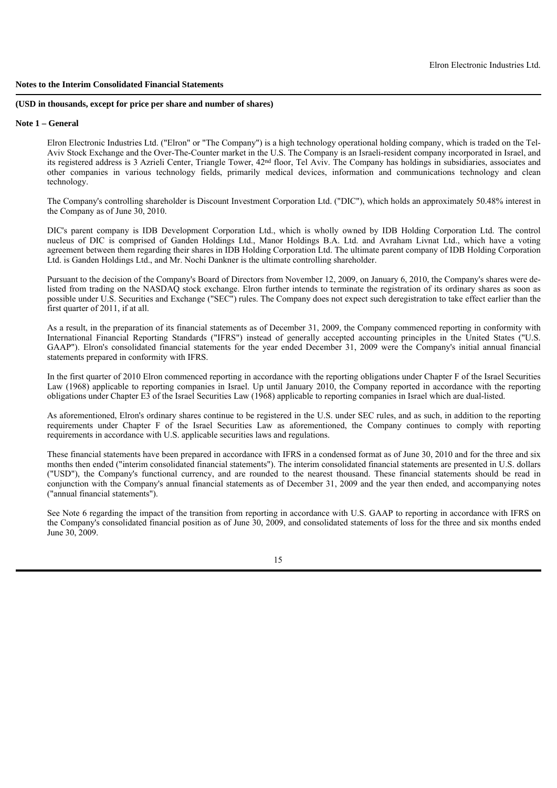#### **(USD in thousands, except for price per share and number of shares)**

#### **Note 1 – General**

Elron Electronic Industries Ltd. ("Elron" or "The Company") is a high technology operational holding company, which is traded on the Tel-Aviv Stock Exchange and the Over-The-Counter market in the U.S. The Company is an Israeli-resident company incorporated in Israel, and its registered address is 3 Azrieli Center, Triangle Tower, 42nd floor, Tel Aviv. The Company has holdings in subsidiaries, associates and other companies in various technology fields, primarily medical devices, information and communications technology and clean technology.

The Company's controlling shareholder is Discount Investment Corporation Ltd. ("DIC"), which holds an approximately 50.48% interest in the Company as of June 30, 2010.

DIC's parent company is IDB Development Corporation Ltd., which is wholly owned by IDB Holding Corporation Ltd. The control nucleus of DIC is comprised of Ganden Holdings Ltd., Manor Holdings B.A. Ltd. and Avraham Livnat Ltd., which have a voting agreement between them regarding their shares in IDB Holding Corporation Ltd. The ultimate parent company of IDB Holding Corporation Ltd. is Ganden Holdings Ltd., and Mr. Nochi Dankner is the ultimate controlling shareholder.

Pursuant to the decision of the Company's Board of Directors from November 12, 2009, on January 6, 2010, the Company's shares were delisted from trading on the NASDAQ stock exchange. Elron further intends to terminate the registration of its ordinary shares as soon as possible under U.S. Securities and Exchange ("SEC") rules. The Company does not expect such deregistration to take effect earlier than the first quarter of 2011, if at all.

As a result, in the preparation of its financial statements as of December 31, 2009, the Company commenced reporting in conformity with International Financial Reporting Standards ("IFRS") instead of generally accepted accounting principles in the United States ("U.S. GAAP"). Elron's consolidated financial statements for the year ended December 31, 2009 were the Company's initial annual financial statements prepared in conformity with IFRS.

In the first quarter of 2010 Elron commenced reporting in accordance with the reporting obligations under Chapter F of the Israel Securities Law (1968) applicable to reporting companies in Israel. Up until January 2010, the Company reported in accordance with the reporting obligations under Chapter E3 of the Israel Securities Law (1968) applicable to reporting companies in Israel which are dual-listed.

As aforementioned, Elron's ordinary shares continue to be registered in the U.S. under SEC rules, and as such, in addition to the reporting requirements under Chapter F of the Israel Securities Law as aforementioned, the Company continues to comply with reporting requirements in accordance with U.S. applicable securities laws and regulations.

These financial statements have been prepared in accordance with IFRS in a condensed format as of June 30, 2010 and for the three and six months then ended ("interim consolidated financial statements"). The interim consolidated financial statements are presented in U.S. dollars ("USD"), the Company's functional currency, and are rounded to the nearest thousand. These financial statements should be read in conjunction with the Company's annual financial statements as of December 31, 2009 and the year then ended, and accompanying notes ("annual financial statements").

See Note 6 regarding the impact of the transition from reporting in accordance with U.S. GAAP to reporting in accordance with IFRS on the Company's consolidated financial position as of June 30, 2009, and consolidated statements of loss for the three and six months ended June 30, 2009.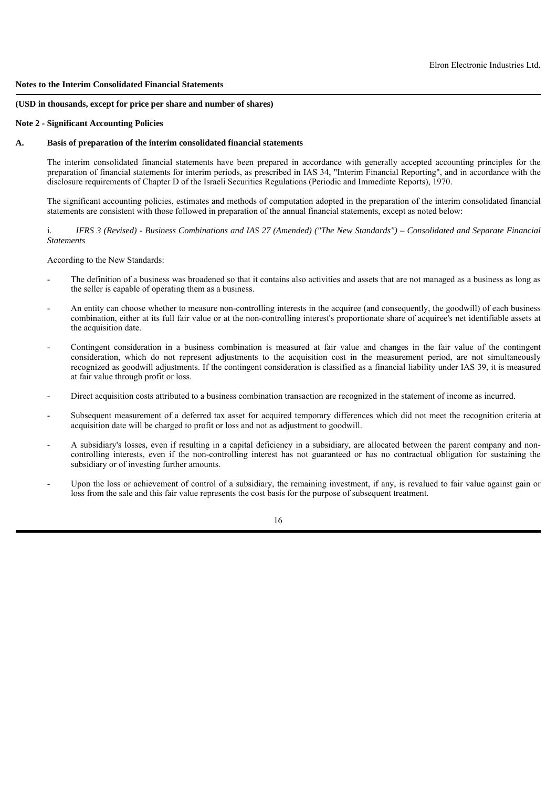#### **(USD in thousands, except for price per share and number of shares)**

## **Note 2 - Significant Accounting Policies**

# **A. Basis of preparation of the interim consolidated financial statements**

The interim consolidated financial statements have been prepared in accordance with generally accepted accounting principles for the preparation of financial statements for interim periods, as prescribed in IAS 34, "Interim Financial Reporting", and in accordance with the disclosure requirements of Chapter D of the Israeli Securities Regulations (Periodic and Immediate Reports), 1970.

The significant accounting policies, estimates and methods of computation adopted in the preparation of the interim consolidated financial statements are consistent with those followed in preparation of the annual financial statements, except as noted below:

i. *IFRS 3 (Revised) - Business Combinations and IAS 27 (Amended) ("The New Standards") – Consolidated and Separate Financial Statements*

According to the New Standards:

- The definition of a business was broadened so that it contains also activities and assets that are not managed as a business as long as the seller is capable of operating them as a business.
- An entity can choose whether to measure non-controlling interests in the acquiree (and consequently, the goodwill) of each business combination, either at its full fair value or at the non-controlling interest's proportionate share of acquiree's net identifiable assets at the acquisition date.
- Contingent consideration in a business combination is measured at fair value and changes in the fair value of the contingent consideration, which do not represent adjustments to the acquisition cost in the measurement period, are not simultaneously recognized as goodwill adjustments. If the contingent consideration is classified as a financial liability under IAS 39, it is measured at fair value through profit or loss.
- Direct acquisition costs attributed to a business combination transaction are recognized in the statement of income as incurred.
- Subsequent measurement of a deferred tax asset for acquired temporary differences which did not meet the recognition criteria at acquisition date will be charged to profit or loss and not as adjustment to goodwill.
- A subsidiary's losses, even if resulting in a capital deficiency in a subsidiary, are allocated between the parent company and noncontrolling interests, even if the non-controlling interest has not guaranteed or has no contractual obligation for sustaining the subsidiary or of investing further amounts.
- Upon the loss or achievement of control of a subsidiary, the remaining investment, if any, is revalued to fair value against gain or loss from the sale and this fair value represents the cost basis for the purpose of subsequent treatment.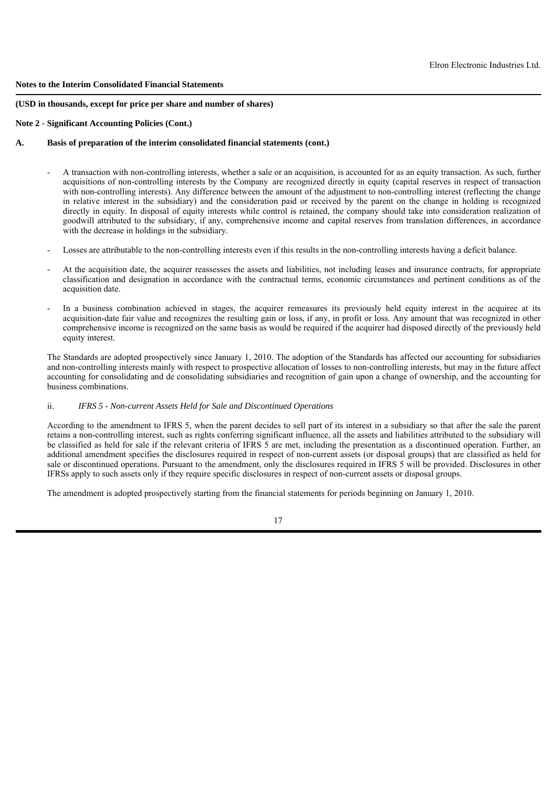## **(USD in thousands, except for price per share and number of shares)**

## **Note 2 - Significant Accounting Policies (Cont.)**

# **A. Basis of preparation of the interim consolidated financial statements (cont.)**

- A transaction with non-controlling interests, whether a sale or an acquisition, is accounted for as an equity transaction. As such, further acquisitions of non-controlling interests by the Company are recognized directly in equity (capital reserves in respect of transaction with non-controlling interests). Any difference between the amount of the adjustment to non-controlling interest (reflecting the change in relative interest in the subsidiary) and the consideration paid or received by the parent on the change in holding is recognized directly in equity. In disposal of equity interests while control is retained, the company should take into consideration realization of goodwill attributed to the subsidiary, if any, comprehensive income and capital reserves from translation differences, in accordance with the decrease in holdings in the subsidiary.
- Losses are attributable to the non-controlling interests even if this results in the non-controlling interests having a deficit balance.
- At the acquisition date, the acquirer reassesses the assets and liabilities, not including leases and insurance contracts, for appropriate classification and designation in accordance with the contractual terms, economic circumstances and pertinent conditions as of the acquisition date.
- In a business combination achieved in stages, the acquirer remeasures its previously held equity interest in the acquiree at its acquisition-date fair value and recognizes the resulting gain or loss, if any, in profit or loss. Any amount that was recognized in other comprehensive income is recognized on the same basis as would be required if the acquirer had disposed directly of the previously held equity interest.

The Standards are adopted prospectively since January 1, 2010. The adoption of the Standards has affected our accounting for subsidiaries and non-controlling interests mainly with respect to prospective allocation of losses to non-controlling interests, but may in the future affect accounting for consolidating and de consolidating subsidiaries and recognition of gain upon a change of ownership, and the accounting for business combinations.

# ii. *IFRS 5 - Non-current Assets Held for Sale and Discontinued Operations*

According to the amendment to IFRS 5, when the parent decides to sell part of its interest in a subsidiary so that after the sale the parent retains a non-controlling interest, such as rights conferring significant influence, all the assets and liabilities attributed to the subsidiary will be classified as held for sale if the relevant criteria of IFRS 5 are met, including the presentation as a discontinued operation. Further, an additional amendment specifies the disclosures required in respect of non-current assets (or disposal groups) that are classified as held for sale or discontinued operations. Pursuant to the amendment, only the disclosures required in IFRS 5 will be provided. Disclosures in other IFRSs apply to such assets only if they require specific disclosures in respect of non-current assets or disposal groups.

The amendment is adopted prospectively starting from the financial statements for periods beginning on January 1, 2010.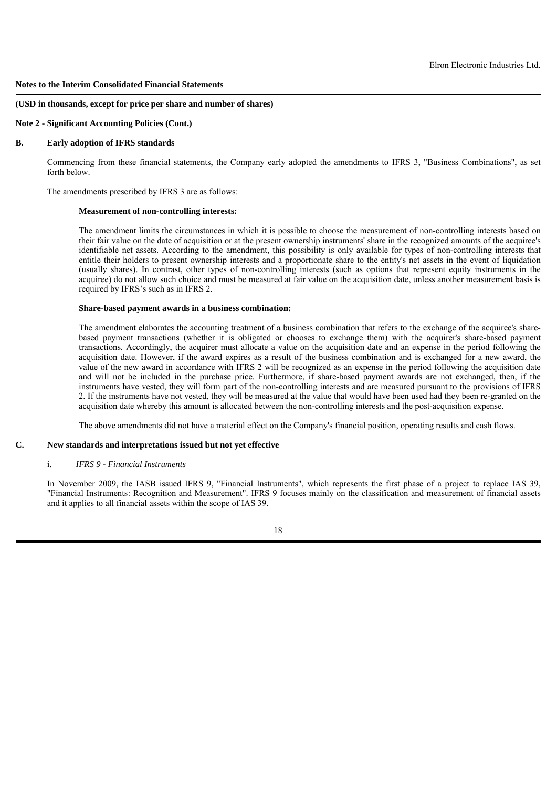#### **(USD in thousands, except for price per share and number of shares)**

**Note 2 - Significant Accounting Policies (Cont.)**

# **B. Early adoption of IFRS standards**

Commencing from these financial statements, the Company early adopted the amendments to IFRS 3, "Business Combinations", as set forth below.

The amendments prescribed by IFRS 3 are as follows:

## **Measurement of non-controlling interests:**

The amendment limits the circumstances in which it is possible to choose the measurement of non-controlling interests based on their fair value on the date of acquisition or at the present ownership instruments' share in the recognized amounts of the acquiree's identifiable net assets. According to the amendment, this possibility is only available for types of non-controlling interests that entitle their holders to present ownership interests and a proportionate share to the entity's net assets in the event of liquidation (usually shares). In contrast, other types of non-controlling interests (such as options that represent equity instruments in the acquiree) do not allow such choice and must be measured at fair value on the acquisition date, unless another measurement basis is required by IFRS's such as in IFRS 2.

## **Share-based payment awards in a business combination:**

The amendment elaborates the accounting treatment of a business combination that refers to the exchange of the acquiree's sharebased payment transactions (whether it is obligated or chooses to exchange them) with the acquirer's share-based payment transactions. Accordingly, the acquirer must allocate a value on the acquisition date and an expense in the period following the acquisition date. However, if the award expires as a result of the business combination and is exchanged for a new award, the value of the new award in accordance with IFRS 2 will be recognized as an expense in the period following the acquisition date and will not be included in the purchase price. Furthermore, if share-based payment awards are not exchanged, then, if the instruments have vested, they will form part of the non-controlling interests and are measured pursuant to the provisions of IFRS 2. If the instruments have not vested, they will be measured at the value that would have been used had they been re-granted on the acquisition date whereby this amount is allocated between the non-controlling interests and the post-acquisition expense.

The above amendments did not have a material effect on the Company's financial position, operating results and cash flows.

# **C. New standards and interpretations issued but not yet effective**

#### i. *IFRS 9 - Financial Instruments*

In November 2009, the IASB issued IFRS 9, "Financial Instruments", which represents the first phase of a project to replace IAS 39, "Financial Instruments: Recognition and Measurement". IFRS 9 focuses mainly on the classification and measurement of financial assets and it applies to all financial assets within the scope of IAS 39.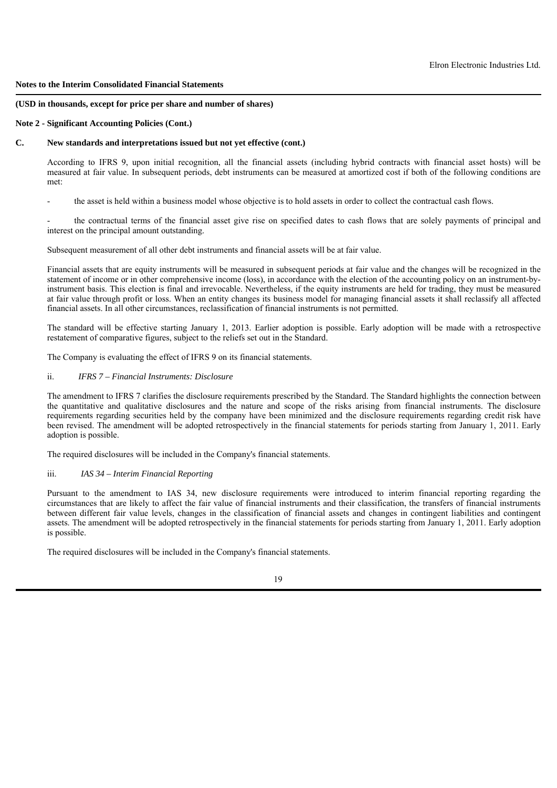### **(USD in thousands, except for price per share and number of shares)**

## **Note 2 - Significant Accounting Policies (Cont.)**

## **C. New standards and interpretations issued but not yet effective (cont.)**

According to IFRS 9, upon initial recognition, all the financial assets (including hybrid contracts with financial asset hosts) will be measured at fair value. In subsequent periods, debt instruments can be measured at amortized cost if both of the following conditions are met:

- the asset is held within a business model whose objective is to hold assets in order to collect the contractual cash flows.

the contractual terms of the financial asset give rise on specified dates to cash flows that are solely payments of principal and interest on the principal amount outstanding.

Subsequent measurement of all other debt instruments and financial assets will be at fair value.

Financial assets that are equity instruments will be measured in subsequent periods at fair value and the changes will be recognized in the statement of income or in other comprehensive income (loss), in accordance with the election of the accounting policy on an instrument-byinstrument basis. This election is final and irrevocable. Nevertheless, if the equity instruments are held for trading, they must be measured at fair value through profit or loss. When an entity changes its business model for managing financial assets it shall reclassify all affected financial assets. In all other circumstances, reclassification of financial instruments is not permitted.

The standard will be effective starting January 1, 2013. Earlier adoption is possible. Early adoption will be made with a retrospective restatement of comparative figures, subject to the reliefs set out in the Standard.

The Company is evaluating the effect of IFRS 9 on its financial statements.

# ii. *IFRS 7 – Financial Instruments: Disclosure*

The amendment to IFRS 7 clarifies the disclosure requirements prescribed by the Standard. The Standard highlights the connection between the quantitative and qualitative disclosures and the nature and scope of the risks arising from financial instruments. The disclosure requirements regarding securities held by the company have been minimized and the disclosure requirements regarding credit risk have been revised. The amendment will be adopted retrospectively in the financial statements for periods starting from January 1, 2011. Early adoption is possible.

The required disclosures will be included in the Company's financial statements.

## iii. *IAS 34 – Interim Financial Reporting*

Pursuant to the amendment to IAS 34, new disclosure requirements were introduced to interim financial reporting regarding the circumstances that are likely to affect the fair value of financial instruments and their classification, the transfers of financial instruments between different fair value levels, changes in the classification of financial assets and changes in contingent liabilities and contingent assets. The amendment will be adopted retrospectively in the financial statements for periods starting from January 1, 2011. Early adoption is possible.

The required disclosures will be included in the Company's financial statements.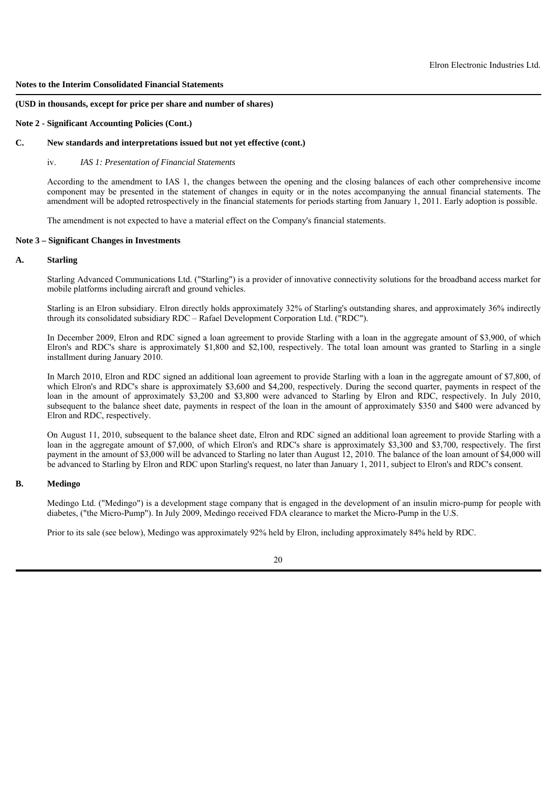#### **(USD in thousands, except for price per share and number of shares)**

#### **Note 2 - Significant Accounting Policies (Cont.)**

# **C. New standards and interpretations issued but not yet effective (cont.)**

### iv. *IAS 1: Presentation of Financial Statements*

According to the amendment to IAS 1, the changes between the opening and the closing balances of each other comprehensive income component may be presented in the statement of changes in equity or in the notes accompanying the annual financial statements. The amendment will be adopted retrospectively in the financial statements for periods starting from January 1, 2011. Early adoption is possible.

The amendment is not expected to have a material effect on the Company's financial statements.

## **Note 3 – Significant Changes in Investments**

#### **A. Starling**

Starling Advanced Communications Ltd. ("Starling") is a provider of innovative connectivity solutions for the broadband access market for mobile platforms including aircraft and ground vehicles.

Starling is an Elron subsidiary. Elron directly holds approximately 32% of Starling's outstanding shares, and approximately 36% indirectly through its consolidated subsidiary RDC – Rafael Development Corporation Ltd. ("RDC").

In December 2009, Elron and RDC signed a loan agreement to provide Starling with a loan in the aggregate amount of \$3,900, of which Elron's and RDC's share is approximately \$1,800 and \$2,100, respectively. The total loan amount was granted to Starling in a single installment during January 2010.

In March 2010, Elron and RDC signed an additional loan agreement to provide Starling with a loan in the aggregate amount of \$7,800, of which Elron's and RDC's share is approximately \$3,600 and \$4,200, respectively. During the second quarter, payments in respect of the loan in the amount of approximately \$3,200 and \$3,800 were advanced to Starling by Elron and RDC, respectively. In July 2010, subsequent to the balance sheet date, payments in respect of the loan in the amount of approximately \$350 and \$400 were advanced by Elron and RDC, respectively.

On August 11, 2010, subsequent to the balance sheet date, Elron and RDC signed an additional loan agreement to provide Starling with a loan in the aggregate amount of \$7,000, of which Elron's and RDC's share is approximately \$3,300 and \$3,700, respectively. The first payment in the amount of \$3,000 will be advanced to Starling no later than August 12, 2010. The balance of the loan amount of \$4,000 will be advanced to Starling by Elron and RDC upon Starling's request, no later than January 1, 2011, subject to Elron's and RDC's consent.

# **B. Medingo**

Medingo Ltd. ("Medingo") is a development stage company that is engaged in the development of an insulin micro-pump for people with diabetes, ("the Micro-Pump"). In July 2009, Medingo received FDA clearance to market the Micro-Pump in the U.S.

Prior to its sale (see below), Medingo was approximately 92% held by Elron, including approximately 84% held by RDC.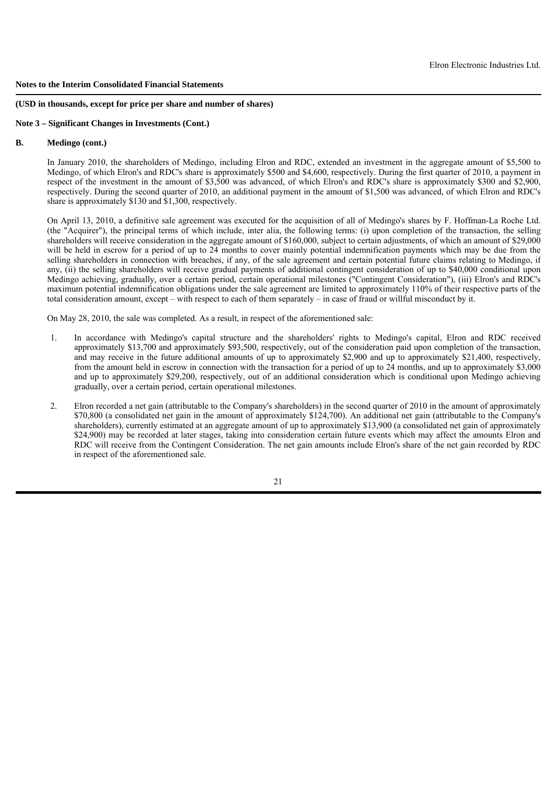#### **(USD in thousands, except for price per share and number of shares)**

#### **Note 3 – Significant Changes in Investments (Cont.)**

# **B. Medingo (cont.)**

In January 2010, the shareholders of Medingo, including Elron and RDC, extended an investment in the aggregate amount of \$5,500 to Medingo, of which Elron's and RDC's share is approximately \$500 and \$4,600, respectively. During the first quarter of 2010, a payment in respect of the investment in the amount of \$3,500 was advanced, of which Elron's and RDC's share is approximately \$300 and \$2,900, respectively. During the second quarter of 2010, an additional payment in the amount of \$1,500 was advanced, of which Elron and RDC's share is approximately \$130 and \$1,300, respectively.

On April 13, 2010, a definitive sale agreement was executed for the acquisition of all of Medingo's shares by F. Hoffman-La Roche Ltd. (the "Acquirer"), the principal terms of which include, inter alia, the following terms: (i) upon completion of the transaction, the selling shareholders will receive consideration in the aggregate amount of \$160,000, subject to certain adjustments, of which an amount of \$29,000 will be held in escrow for a period of up to 24 months to cover mainly potential indemnification payments which may be due from the selling shareholders in connection with breaches, if any, of the sale agreement and certain potential future claims relating to Medingo, if any, (ii) the selling shareholders will receive gradual payments of additional contingent consideration of up to \$40,000 conditional upon Medingo achieving, gradually, over a certain period, certain operational milestones ("Contingent Consideration"), (iii) Elron's and RDC's maximum potential indemnification obligations under the sale agreement are limited to approximately 110% of their respective parts of the total consideration amount, except – with respect to each of them separately – in case of fraud or willful misconduct by it.

On May 28, 2010, the sale was completed. As a result, in respect of the aforementioned sale:

- 1. In accordance with Medingo's capital structure and the shareholders' rights to Medingo's capital, Elron and RDC received approximately \$13,700 and approximately \$93,500, respectively, out of the consideration paid upon completion of the transaction, and may receive in the future additional amounts of up to approximately \$2,900 and up to approximately \$21,400, respectively, from the amount held in escrow in connection with the transaction for a period of up to 24 months, and up to approximately \$3,000 and up to approximately \$29,200, respectively, out of an additional consideration which is conditional upon Medingo achieving gradually, over a certain period, certain operational milestones.
- 2. Elron recorded a net gain (attributable to the Company's shareholders) in the second quarter of 2010 in the amount of approximately \$70,800 (a consolidated net gain in the amount of approximately \$124,700). An additional net gain (attributable to the Company's shareholders), currently estimated at an aggregate amount of up to approximately \$13,900 (a consolidated net gain of approximately \$24,900) may be recorded at later stages, taking into consideration certain future events which may affect the amounts Elron and RDC will receive from the Contingent Consideration. The net gain amounts include Elron's share of the net gain recorded by RDC in respect of the aforementioned sale.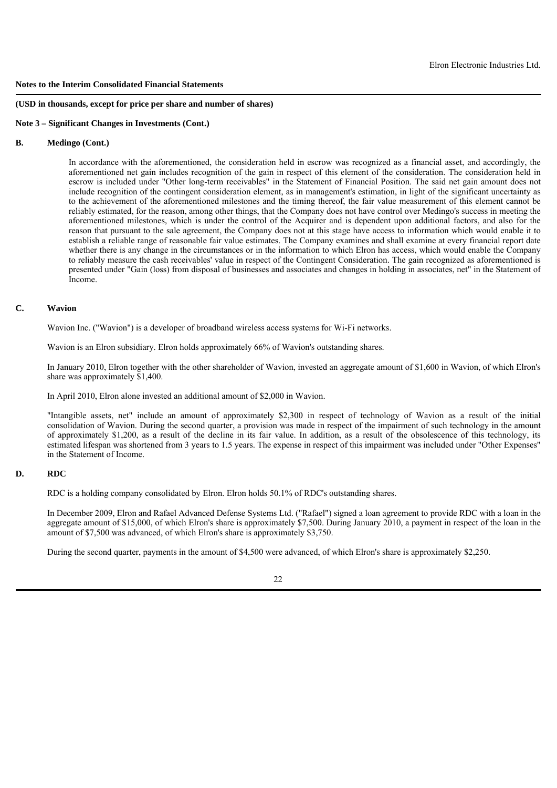#### **(USD in thousands, except for price per share and number of shares)**

#### **Note 3 – Significant Changes in Investments (Cont.)**

# **B. Medingo (Cont.)**

 In accordance with the aforementioned, the consideration held in escrow was recognized as a financial asset, and accordingly, the aforementioned net gain includes recognition of the gain in respect of this element of the consideration. The consideration held in escrow is included under "Other long-term receivables" in the Statement of Financial Position. The said net gain amount does not include recognition of the contingent consideration element, as in management's estimation, in light of the significant uncertainty as to the achievement of the aforementioned milestones and the timing thereof, the fair value measurement of this element cannot be reliably estimated, for the reason, among other things, that the Company does not have control over Medingo's success in meeting the aforementioned milestones, which is under the control of the Acquirer and is dependent upon additional factors, and also for the reason that pursuant to the sale agreement, the Company does not at this stage have access to information which would enable it to establish a reliable range of reasonable fair value estimates. The Company examines and shall examine at every financial report date whether there is any change in the circumstances or in the information to which Elron has access, which would enable the Company to reliably measure the cash receivables' value in respect of the Contingent Consideration. The gain recognized as aforementioned is presented under "Gain (loss) from disposal of businesses and associates and changes in holding in associates, net" in the Statement of Income.

# **C. Wavion**

Wavion Inc. ("Wavion") is a developer of broadband wireless access systems for Wi-Fi networks.

Wavion is an Elron subsidiary. Elron holds approximately 66% of Wavion's outstanding shares.

In January 2010, Elron together with the other shareholder of Wavion, invested an aggregate amount of \$1,600 in Wavion, of which Elron's share was approximately \$1,400.

In April 2010, Elron alone invested an additional amount of \$2,000 in Wavion.

"Intangible assets, net" include an amount of approximately \$2,300 in respect of technology of Wavion as a result of the initial consolidation of Wavion. During the second quarter, a provision was made in respect of the impairment of such technology in the amount of approximately \$1,200, as a result of the decline in its fair value. In addition, as a result of the obsolescence of this technology, its estimated lifespan was shortened from 3 years to 1.5 years. The expense in respect of this impairment was included under "Other Expenses" in the Statement of Income.

# **D. RDC**

RDC is a holding company consolidated by Elron. Elron holds 50.1% of RDC's outstanding shares.

In December 2009, Elron and Rafael Advanced Defense Systems Ltd. ("Rafael") signed a loan agreement to provide RDC with a loan in the aggregate amount of \$15,000, of which Elron's share is approximately \$7,500. During January 2010, a payment in respect of the loan in the amount of \$7,500 was advanced, of which Elron's share is approximately \$3,750.

During the second quarter, payments in the amount of \$4,500 were advanced, of which Elron's share is approximately \$2,250.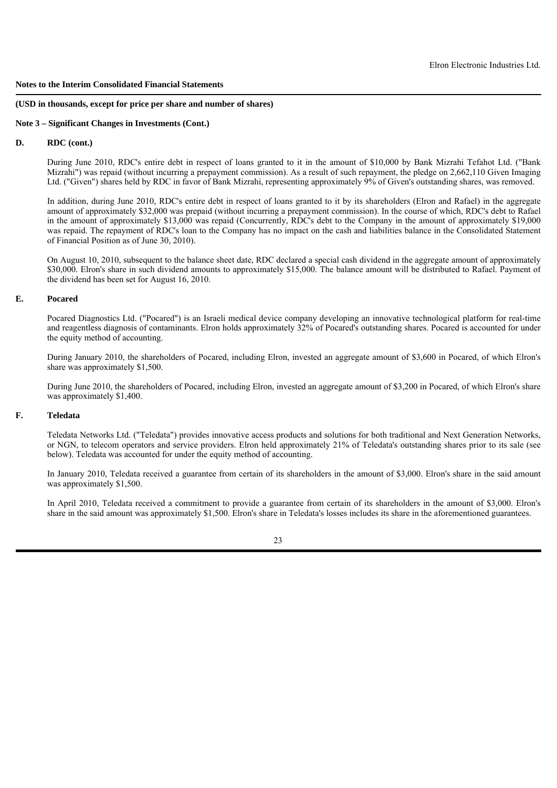#### **(USD in thousands, except for price per share and number of shares)**

#### **Note 3 – Significant Changes in Investments (Cont.)**

# **D. RDC (cont.)**

During June 2010, RDC's entire debt in respect of loans granted to it in the amount of \$10,000 by Bank Mizrahi Tefahot Ltd. ("Bank Mizrahi") was repaid (without incurring a prepayment commission). As a result of such repayment, the pledge on 2,662,110 Given Imaging Ltd. ("Given") shares held by RDC in favor of Bank Mizrahi, representing approximately 9% of Given's outstanding shares, was removed.

In addition, during June 2010, RDC's entire debt in respect of loans granted to it by its shareholders (Elron and Rafael) in the aggregate amount of approximately \$32,000 was prepaid (without incurring a prepayment commission). In the course of which, RDC's debt to Rafael in the amount of approximately \$13,000 was repaid (Concurrently, RDC's debt to the Company in the amount of approximately \$19,000 was repaid. The repayment of RDC's loan to the Company has no impact on the cash and liabilities balance in the Consolidated Statement of Financial Position as of June 30, 2010).

On August 10, 2010, subsequent to the balance sheet date, RDC declared a special cash dividend in the aggregate amount of approximately \$30,000. Elron's share in such dividend amounts to approximately \$15,000. The balance amount will be distributed to Rafael. Payment of the dividend has been set for August 16, 2010.

### **E. Pocared**

Pocared Diagnostics Ltd. ("Pocared") is an Israeli medical device company developing an innovative technological platform for real-time and reagentless diagnosis of contaminants. Elron holds approximately 32% of Pocared's outstanding shares. Pocared is accounted for under the equity method of accounting.

During January 2010, the shareholders of Pocared, including Elron, invested an aggregate amount of \$3,600 in Pocared, of which Elron's share was approximately \$1,500.

During June 2010, the shareholders of Pocared, including Elron, invested an aggregate amount of \$3,200 in Pocared, of which Elron's share was approximately \$1,400.

# **F. Teledata**

Teledata Networks Ltd. ("Teledata") provides innovative access products and solutions for both traditional and Next Generation Networks, or NGN, to telecom operators and service providers. Elron held approximately 21% of Teledata's outstanding shares prior to its sale (see below). Teledata was accounted for under the equity method of accounting.

In January 2010, Teledata received a guarantee from certain of its shareholders in the amount of \$3,000. Elron's share in the said amount was approximately \$1,500.

In April 2010, Teledata received a commitment to provide a guarantee from certain of its shareholders in the amount of \$3,000. Elron's share in the said amount was approximately \$1,500. Elron's share in Teledata's losses includes its share in the aforementioned guarantees.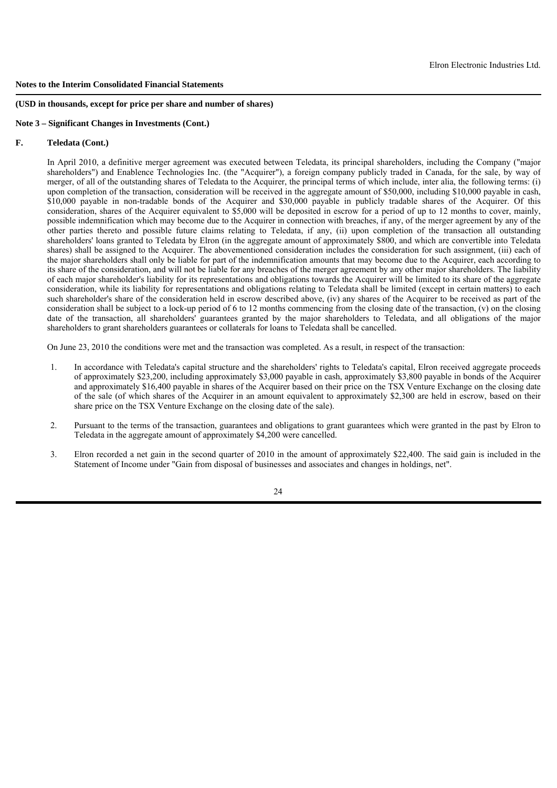#### **(USD in thousands, except for price per share and number of shares)**

#### **Note 3 – Significant Changes in Investments (Cont.)**

# **F. Teledata (Cont.)**

In April 2010, a definitive merger agreement was executed between Teledata, its principal shareholders, including the Company ("major shareholders") and Enablence Technologies Inc. (the "Acquirer"), a foreign company publicly traded in Canada, for the sale, by way of merger, of all of the outstanding shares of Teledata to the Acquirer, the principal terms of which include, inter alia, the following terms: (i) upon completion of the transaction, consideration will be received in the aggregate amount of \$50,000, including \$10,000 payable in cash, \$10,000 payable in non-tradable bonds of the Acquirer and \$30,000 payable in publicly tradable shares of the Acquirer. Of this consideration, shares of the Acquirer equivalent to \$5,000 will be deposited in escrow for a period of up to 12 months to cover, mainly, possible indemnification which may become due to the Acquirer in connection with breaches, if any, of the merger agreement by any of the other parties thereto and possible future claims relating to Teledata, if any, (ii) upon completion of the transaction all outstanding shareholders' loans granted to Teledata by Elron (in the aggregate amount of approximately \$800, and which are convertible into Teledata shares) shall be assigned to the Acquirer. The abovementioned consideration includes the consideration for such assignment, (iii) each of the major shareholders shall only be liable for part of the indemnification amounts that may become due to the Acquirer, each according to its share of the consideration, and will not be liable for any breaches of the merger agreement by any other major shareholders. The liability of each major shareholder's liability for its representations and obligations towards the Acquirer will be limited to its share of the aggregate consideration, while its liability for representations and obligations relating to Teledata shall be limited (except in certain matters) to each such shareholder's share of the consideration held in escrow described above, (iv) any shares of the Acquirer to be received as part of the consideration shall be subject to a lock-up period of 6 to 12 months commencing from the closing date of the transaction,  $(v)$  on the closing date of the transaction, all shareholders' guarantees granted by the major shareholders to Teledata, and all obligations of the major shareholders to grant shareholders guarantees or collaterals for loans to Teledata shall be cancelled.

On June 23, 2010 the conditions were met and the transaction was completed. As a result, in respect of the transaction:

- 1. In accordance with Teledata's capital structure and the shareholders' rights to Teledata's capital, Elron received aggregate proceeds of approximately \$23,200, including approximately \$3,000 payable in cash, approximately \$3,800 payable in bonds of the Acquirer and approximately \$16,400 payable in shares of the Acquirer based on their price on the TSX Venture Exchange on the closing date of the sale (of which shares of the Acquirer in an amount equivalent to approximately \$2,300 are held in escrow, based on their share price on the TSX Venture Exchange on the closing date of the sale).
- 2. Pursuant to the terms of the transaction, guarantees and obligations to grant guarantees which were granted in the past by Elron to Teledata in the aggregate amount of approximately \$4,200 were cancelled.
- 3. Elron recorded a net gain in the second quarter of 2010 in the amount of approximately \$22,400. The said gain is included in the Statement of Income under "Gain from disposal of businesses and associates and changes in holdings, net".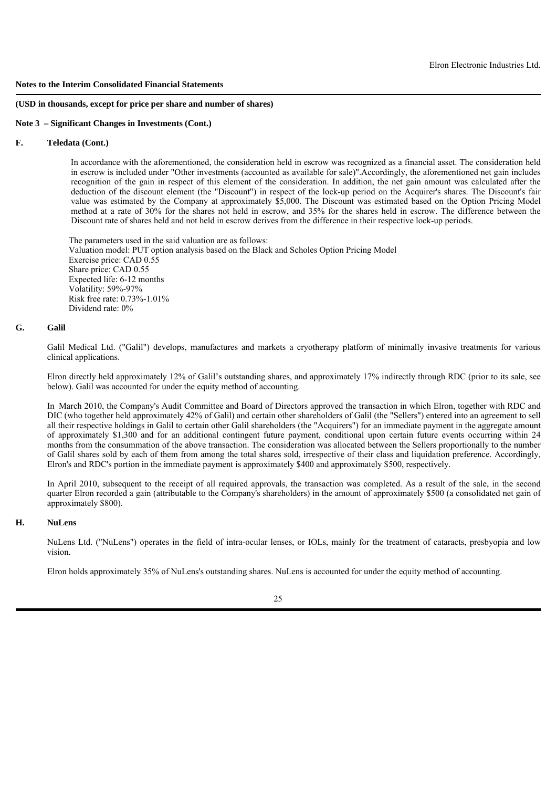#### **(USD in thousands, except for price per share and number of shares)**

#### **Note 3 – Significant Changes in Investments (Cont.)**

# **F. Teledata (Cont.)**

In accordance with the aforementioned, the consideration held in escrow was recognized as a financial asset. The consideration held in escrow is included under "Other investments (accounted as available for sale)".Accordingly, the aforementioned net gain includes recognition of the gain in respect of this element of the consideration. In addition, the net gain amount was calculated after the deduction of the discount element (the "Discount") in respect of the lock-up period on the Acquirer's shares. The Discount's fair value was estimated by the Company at approximately \$5,000. The Discount was estimated based on the Option Pricing Model method at a rate of 30% for the shares not held in escrow, and 35% for the shares held in escrow. The difference between the Discount rate of shares held and not held in escrow derives from the difference in their respective lock-up periods.

 The parameters used in the said valuation are as follows: Valuation model: PUT option analysis based on the Black and Scholes Option Pricing Model Exercise price: CAD 0.55 Share price: CAD 0.55 Expected life: 6-12 months Volatility: 59%-97% Risk free rate: 0.73%-1.01% Dividend rate: 0%

#### **G. Galil**

Galil Medical Ltd. ("Galil") develops, manufactures and markets a cryotherapy platform of minimally invasive treatments for various clinical applications.

Elron directly held approximately 12% of Galil's outstanding shares, and approximately 17% indirectly through RDC (prior to its sale, see below). Galil was accounted for under the equity method of accounting.

In March 2010, the Company's Audit Committee and Board of Directors approved the transaction in which Elron, together with RDC and DIC (who together held approximately 42% of Galil) and certain other shareholders of Galil (the "Sellers") entered into an agreement to sell all their respective holdings in Galil to certain other Galil shareholders (the "Acquirers") for an immediate payment in the aggregate amount of approximately \$1,300 and for an additional contingent future payment, conditional upon certain future events occurring within 24 months from the consummation of the above transaction. The consideration was allocated between the Sellers proportionally to the number of Galil shares sold by each of them from among the total shares sold, irrespective of their class and liquidation preference. Accordingly, Elron's and RDC's portion in the immediate payment is approximately \$400 and approximately \$500, respectively.

In April 2010, subsequent to the receipt of all required approvals, the transaction was completed. As a result of the sale, in the second quarter Elron recorded a gain (attributable to the Company's shareholders) in the amount of approximately \$500 (a consolidated net gain of approximately \$800).

#### **H. NuLens**

NuLens Ltd. ("NuLens") operates in the field of intra-ocular lenses, or IOLs, mainly for the treatment of cataracts, presbyopia and low vision.

Elron holds approximately 35% of NuLens's outstanding shares. NuLens is accounted for under the equity method of accounting.

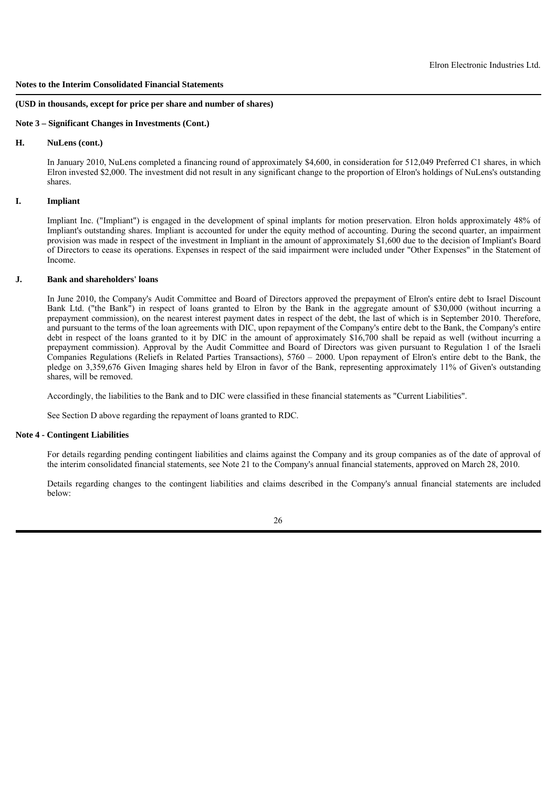#### **(USD in thousands, except for price per share and number of shares)**

#### **Note 3 – Significant Changes in Investments (Cont.)**

# **H. NuLens (cont.)**

In January 2010, NuLens completed a financing round of approximately \$4,600, in consideration for 512,049 Preferred C1 shares, in which Elron invested \$2,000. The investment did not result in any significant change to the proportion of Elron's holdings of NuLens's outstanding shares.

# **I. Impliant**

Impliant Inc. ("Impliant") is engaged in the development of spinal implants for motion preservation. Elron holds approximately 48% of Impliant's outstanding shares. Impliant is accounted for under the equity method of accounting. During the second quarter, an impairment provision was made in respect of the investment in Impliant in the amount of approximately \$1,600 due to the decision of Impliant's Board of Directors to cease its operations. Expenses in respect of the said impairment were included under "Other Expenses" in the Statement of Income.

## **J. Bank and shareholders' loans**

In June 2010, the Company's Audit Committee and Board of Directors approved the prepayment of Elron's entire debt to Israel Discount Bank Ltd. ("the Bank") in respect of loans granted to Elron by the Bank in the aggregate amount of \$30,000 (without incurring a prepayment commission), on the nearest interest payment dates in respect of the debt, the last of which is in September 2010. Therefore, and pursuant to the terms of the loan agreements with DIC, upon repayment of the Company's entire debt to the Bank, the Company's entire debt in respect of the loans granted to it by DIC in the amount of approximately \$16,700 shall be repaid as well (without incurring a prepayment commission). Approval by the Audit Committee and Board of Directors was given pursuant to Regulation 1 of the Israeli Companies Regulations (Reliefs in Related Parties Transactions), 5760 – 2000. Upon repayment of Elron's entire debt to the Bank, the pledge on 3,359,676 Given Imaging shares held by Elron in favor of the Bank, representing approximately 11% of Given's outstanding shares, will be removed.

Accordingly, the liabilities to the Bank and to DIC were classified in these financial statements as "Current Liabilities".

See Section D above regarding the repayment of loans granted to RDC.

# **Note 4 - Contingent Liabilities**

For details regarding pending contingent liabilities and claims against the Company and its group companies as of the date of approval of the interim consolidated financial statements, see Note 21 to the Company's annual financial statements, approved on March 28, 2010.

Details regarding changes to the contingent liabilities and claims described in the Company's annual financial statements are included below: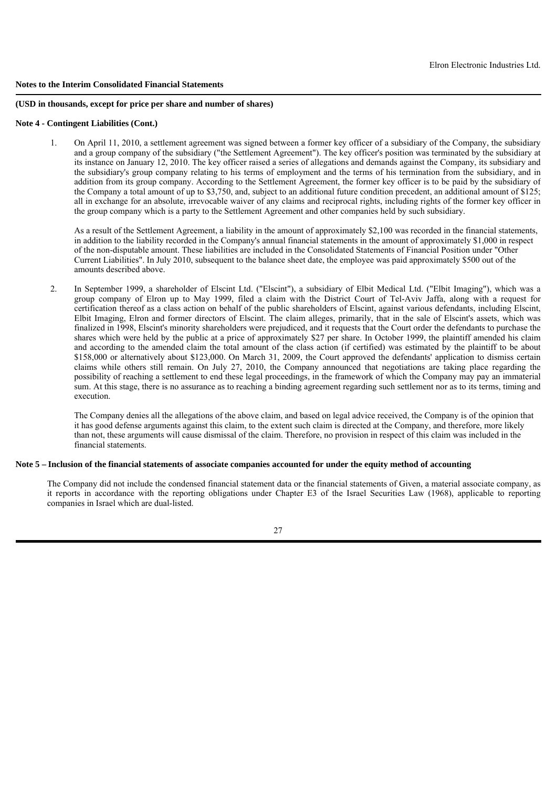#### **(USD in thousands, except for price per share and number of shares)**

#### **Note 4 - Contingent Liabilities (Cont.)**

 1. On April 11, 2010, a settlement agreement was signed between a former key officer of a subsidiary of the Company, the subsidiary and a group company of the subsidiary ("the Settlement Agreement"). The key officer's position was terminated by the subsidiary at its instance on January 12, 2010. The key officer raised a series of allegations and demands against the Company, its subsidiary and the subsidiary's group company relating to his terms of employment and the terms of his termination from the subsidiary, and in addition from its group company. According to the Settlement Agreement, the former key officer is to be paid by the subsidiary of the Company a total amount of up to \$3,750, and, subject to an additional future condition precedent, an additional amount of \$125; all in exchange for an absolute, irrevocable waiver of any claims and reciprocal rights, including rights of the former key officer in the group company which is a party to the Settlement Agreement and other companies held by such subsidiary.

As a result of the Settlement Agreement, a liability in the amount of approximately \$2,100 was recorded in the financial statements, in addition to the liability recorded in the Company's annual financial statements in the amount of approximately \$1,000 in respect of the non-disputable amount. These liabilities are included in the Consolidated Statements of Financial Position under "Other Current Liabilities". In July 2010, subsequent to the balance sheet date, the employee was paid approximately \$500 out of the amounts described above.

 2. In September 1999, a shareholder of Elscint Ltd. ("Elscint"), a subsidiary of Elbit Medical Ltd. ("Elbit Imaging"), which was a group company of Elron up to May 1999, filed a claim with the District Court of Tel-Aviv Jaffa, along with a request for certification thereof as a class action on behalf of the public shareholders of Elscint, against various defendants, including Elscint, Elbit Imaging, Elron and former directors of Elscint. The claim alleges, primarily, that in the sale of Elscint's assets, which was finalized in 1998, Elscint's minority shareholders were prejudiced, and it requests that the Court order the defendants to purchase the shares which were held by the public at a price of approximately \$27 per share. In October 1999, the plaintiff amended his claim and according to the amended claim the total amount of the class action (if certified) was estimated by the plaintiff to be about \$158,000 or alternatively about \$123,000. On March 31, 2009, the Court approved the defendants' application to dismiss certain claims while others still remain. On July 27, 2010, the Company announced that negotiations are taking place regarding the possibility of reaching a settlement to end these legal proceedings, in the framework of which the Company may pay an immaterial sum. At this stage, there is no assurance as to reaching a binding agreement regarding such settlement nor as to its terms, timing and execution.

The Company denies all the allegations of the above claim, and based on legal advice received, the Company is of the opinion that it has good defense arguments against this claim, to the extent such claim is directed at the Company, and therefore, more likely than not, these arguments will cause dismissal of the claim. Therefore, no provision in respect of this claim was included in the financial statements.

## **Note 5 – Inclusion of the financial statements of associate companies accounted for under the equity method of accounting**

The Company did not include the condensed financial statement data or the financial statements of Given, a material associate company, as it reports in accordance with the reporting obligations under Chapter E3 of the Israel Securities Law (1968), applicable to reporting companies in Israel which are dual-listed.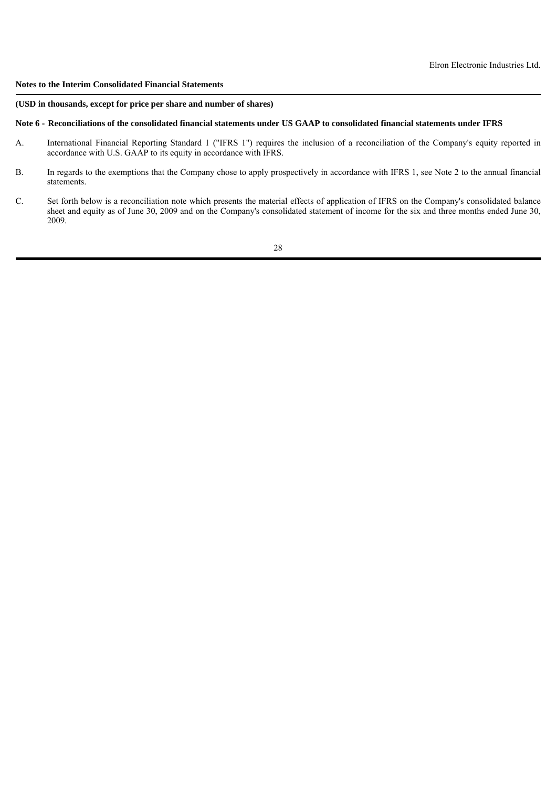## **(USD in thousands, except for price per share and number of shares)**

#### **Note 6 - Reconciliations of the consolidated financial statements under US GAAP to consolidated financial statements under IFRS**

- A. International Financial Reporting Standard 1 ("IFRS 1") requires the inclusion of a reconciliation of the Company's equity reported in accordance with U.S. GAAP to its equity in accordance with IFRS.
- B. In regards to the exemptions that the Company chose to apply prospectively in accordance with IFRS 1, see Note 2 to the annual financial statements.
- C. Set forth below is a reconciliation note which presents the material effects of application of IFRS on the Company's consolidated balance sheet and equity as of June 30, 2009 and on the Company's consolidated statement of income for the six and three months ended June 30, 2009.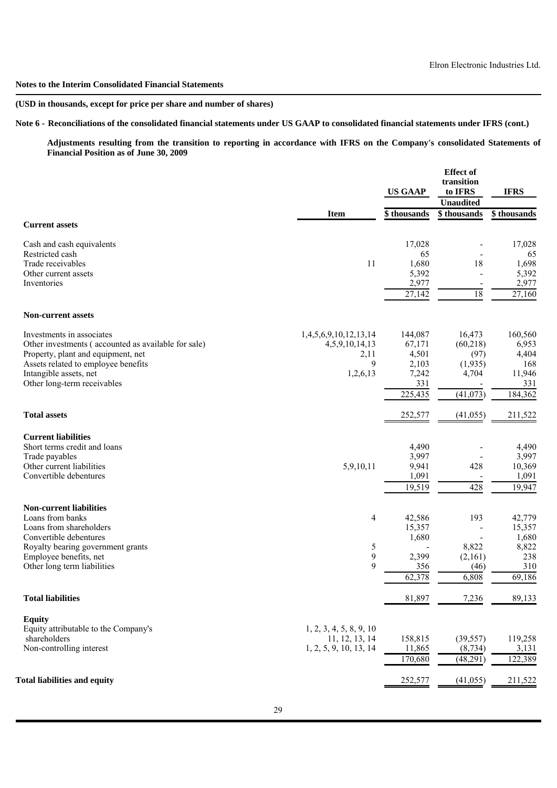# **(USD in thousands, except for price per share and number of shares)**

**Note 6 - Reconciliations of the consolidated financial statements under US GAAP to consolidated financial statements under IFRS (cont.)**

**Adjustments resulting from the transition to reporting in accordance with IFRS on the Company's consolidated Statements of Financial Position as of June 30, 2009**

|                                                       |                         | <b>US GAAP</b> | <b>Effect</b> of<br>transition<br>to IFRS | <b>IFRS</b>  |
|-------------------------------------------------------|-------------------------|----------------|-------------------------------------------|--------------|
|                                                       |                         |                | <b>Unaudited</b>                          |              |
|                                                       | <b>Item</b>             | \$thousands    | \$thousands                               | \$ thousands |
| <b>Current assets</b>                                 |                         |                |                                           |              |
| Cash and cash equivalents                             |                         | 17,028         |                                           | 17,028       |
| Restricted cash                                       |                         | 65             |                                           | 65           |
| Trade receivables                                     | 11                      | 1,680          | 18                                        | 1,698        |
| Other current assets                                  |                         | 5,392          | $\overline{\phantom{a}}$                  | 5,392        |
| Inventories                                           |                         | 2,977          | $\overline{\phantom{a}}$                  | 2,977        |
|                                                       |                         | 27,142         | 18                                        | 27,160       |
| <b>Non-current assets</b>                             |                         |                |                                           |              |
| Investments in associates                             | 1,4,5,6,9,10,12,13,14   | 144,087        | 16,473                                    | 160,560      |
| Other investments (accounted as available for sale)   | 4,5,9,10,14,13          | 67,171         | (60,218)                                  | 6,953        |
| Property, plant and equipment, net                    | 2,11                    | 4,501          | (97)                                      | 4,404        |
| Assets related to employee benefits                   | 9                       | 2,103          | (1,935)                                   | 168          |
| Intangible assets, net                                | 1,2,6,13                | 7,242          | 4,704                                     | 11,946       |
| Other long-term receivables                           |                         | 331            |                                           | 331          |
|                                                       |                         | 225,435        | (41, 073)                                 | 184,362      |
| <b>Total assets</b>                                   |                         | 252,577        | (41, 055)                                 | 211,522      |
| <b>Current liabilities</b>                            |                         |                |                                           |              |
| Short terms credit and loans                          |                         | 4,490          |                                           | 4,490        |
| Trade payables                                        |                         | 3,997          |                                           | 3,997        |
| Other current liabilities                             | 5,9,10,11               | 9,941          | 428                                       | 10,369       |
| Convertible debentures                                |                         | 1,091          |                                           | 1,091        |
|                                                       |                         | 19,519         | 428                                       | 19,947       |
| <b>Non-current liabilities</b>                        |                         |                |                                           |              |
| Loans from banks                                      | 4                       | 42,586         | 193                                       | 42,779       |
| Loans from shareholders                               |                         | 15,357         | $\overline{\phantom{a}}$                  | 15,357       |
| Convertible debentures                                |                         | 1,680          |                                           | 1,680        |
| Royalty bearing government grants                     | 5                       |                | 8,822                                     | 8,822        |
| Employee benefits, net<br>Other long term liabilities | 9<br>$\mathbf{Q}$       | 2,399<br>356   | (2,161)<br>(46)                           | 238<br>310   |
|                                                       |                         | 62,378         | 6,808                                     | 69,186       |
|                                                       |                         |                |                                           |              |
| <b>Total liabilities</b>                              |                         | 81,897         | 7,236                                     | 89,133       |
| <b>Equity</b>                                         |                         |                |                                           |              |
| Equity attributable to the Company's                  | 1, 2, 3, 4, 5, 8, 9, 10 |                |                                           |              |
| shareholders                                          | 11, 12, 13, 14          | 158,815        | (39, 557)                                 | 119,258      |
| Non-controlling interest                              | 1, 2, 5, 9, 10, 13, 14  | 11,865         | (8, 734)                                  | 3,131        |
|                                                       |                         | 170,680        | (48,291)                                  | 122,389      |
| <b>Total liabilities and equity</b>                   |                         | 252,577        | (41, 055)                                 | 211,522      |
|                                                       |                         |                |                                           |              |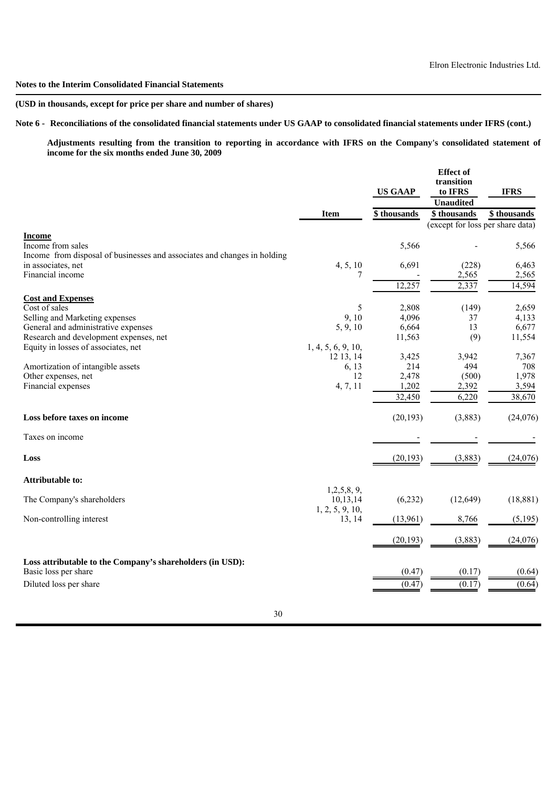# **(USD in thousands, except for price per share and number of shares)**

# **Note 6 - Reconciliations of the consolidated financial statements under US GAAP to consolidated financial statements under IFRS (cont.)**

**Adjustments resulting from the transition to reporting in accordance with IFRS on the Company's consolidated statement of income for the six months ended June 30, 2009**

|                                                                                                                |                             | <b>US GAAP</b> | <b>Effect</b> of<br>transition<br>to IFRS<br><b>Unaudited</b> | <b>IFRS</b>    |
|----------------------------------------------------------------------------------------------------------------|-----------------------------|----------------|---------------------------------------------------------------|----------------|
|                                                                                                                | <b>Item</b>                 | \$thousands    | \$thousands                                                   | \$thousands    |
|                                                                                                                |                             |                | (except for loss per share data)                              |                |
| <b>Income</b><br>Income from sales<br>Income from disposal of businesses and associates and changes in holding |                             | 5,566          |                                                               | 5,566          |
| in associates, net                                                                                             | 4, 5, 10                    | 6,691          | (228)                                                         | 6,463          |
| Financial income                                                                                               | 7                           |                | 2,565                                                         | 2,565          |
|                                                                                                                |                             | 12,257         | 2,337                                                         | 14,594         |
| <b>Cost and Expenses</b>                                                                                       |                             |                |                                                               |                |
| Cost of sales<br>Selling and Marketing expenses                                                                | 5<br>9, 10                  | 2,808<br>4,096 | (149)<br>37                                                   | 2,659<br>4,133 |
| General and administrative expenses                                                                            | 5, 9, 10                    | 6,664          | 13                                                            | 6,677          |
| Research and development expenses, net                                                                         |                             | 11,563         | (9)                                                           | 11,554         |
| Equity in losses of associates, net                                                                            | 1, 4, 5, 6, 9, 10,          |                |                                                               |                |
|                                                                                                                | 12 13, 14                   | 3,425          | 3,942                                                         | 7,367          |
| Amortization of intangible assets                                                                              | 6, 13                       | 214            | 494                                                           | 708            |
| Other expenses, net                                                                                            | 12                          | 2,478          | (500)                                                         | 1,978          |
| Financial expenses                                                                                             | 4, 7, 11                    | 1,202          | 2,392                                                         | 3,594          |
|                                                                                                                |                             | 32,450         | 6,220                                                         | 38,670         |
| Loss before taxes on income                                                                                    |                             | (20, 193)      | (3,883)                                                       | (24, 076)      |
| Taxes on income                                                                                                |                             |                |                                                               |                |
| Loss                                                                                                           |                             | (20, 193)      | (3,883)                                                       | (24, 076)      |
| <b>Attributable to:</b>                                                                                        | 1,2,5,8,9,                  |                |                                                               |                |
| The Company's shareholders                                                                                     | 10,13,14<br>1, 2, 5, 9, 10, | (6,232)        | (12, 649)                                                     | (18, 881)      |
| Non-controlling interest                                                                                       | 13, 14                      | (13,961)       | 8,766                                                         | (5,195)        |
|                                                                                                                |                             | (20, 193)      | (3,883)                                                       | (24, 076)      |
| Loss attributable to the Company's shareholders (in USD):<br>Basic loss per share                              |                             | (0.47)         | (0.17)                                                        | (0.64)         |
| Diluted loss per share                                                                                         |                             | (0.47)         | (0.17)                                                        | (0.64)         |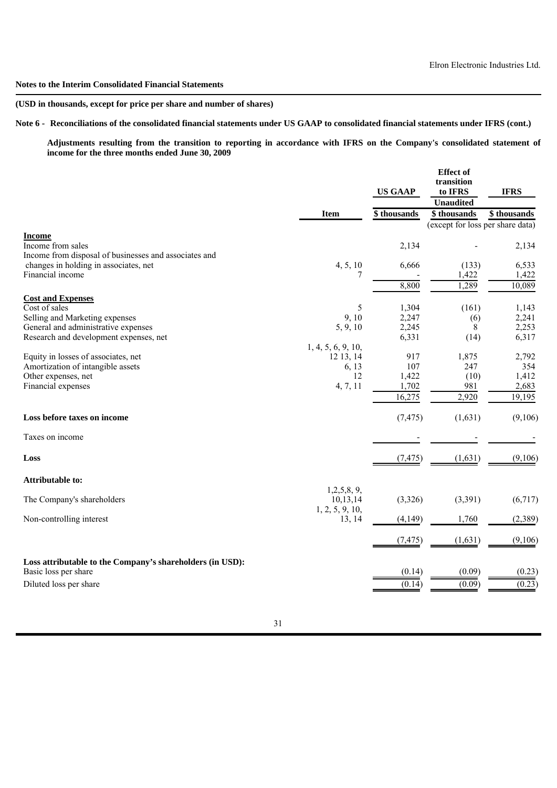# **(USD in thousands, except for price per share and number of shares)**

# **Note 6 - Reconciliations of the consolidated financial statements under US GAAP to consolidated financial statements under IFRS (cont.)**

**Adjustments resulting from the transition to reporting in accordance with IFRS on the Company's consolidated statement of income for the three months ended June 30, 2009**

|                                                                                             |                           | <b>US GAAP</b> | <b>Effect</b> of<br>transition<br>to IFRS<br><b>Unaudited</b> | <b>IFRS</b>    |
|---------------------------------------------------------------------------------------------|---------------------------|----------------|---------------------------------------------------------------|----------------|
|                                                                                             | <b>Item</b>               | \$thousands    | \$thousands                                                   | \$ thousands   |
|                                                                                             |                           |                | (except for loss per share data)                              |                |
| <b>Income</b><br>Income from sales<br>Income from disposal of businesses and associates and |                           | 2,134          |                                                               | 2,134          |
| changes in holding in associates, net                                                       | 4, 5, 10                  | 6,666          | (133)                                                         | 6,533          |
| Financial income                                                                            | 7                         |                | 1,422                                                         | 1,422          |
|                                                                                             |                           | 8,800          | 1,289                                                         | 10,089         |
| <b>Cost and Expenses</b>                                                                    |                           |                |                                                               |                |
| Cost of sales                                                                               | 5                         | 1,304          | (161)                                                         | 1,143          |
| Selling and Marketing expenses                                                              | 9, 10                     | 2,247          | (6)                                                           | 2,241          |
| General and administrative expenses<br>Research and development expenses, net               | 5, 9, 10                  | 2,245<br>6,331 | 8<br>(14)                                                     | 2,253<br>6,317 |
|                                                                                             | 1, 4, 5, 6, 9, 10,        |                |                                                               |                |
| Equity in losses of associates, net                                                         | 12 13, 14                 | 917            | 1,875                                                         | 2,792          |
| Amortization of intangible assets                                                           | 6, 13                     | 107            | 247                                                           | 354            |
| Other expenses, net                                                                         | 12                        | 1,422          | (10)                                                          | 1,412          |
| Financial expenses                                                                          | 4, 7, 11                  | 1,702          | 981                                                           | 2,683          |
|                                                                                             |                           | 16,275         | 2,920                                                         | 19,195         |
| Loss before taxes on income                                                                 |                           | (7, 475)       | (1,631)                                                       | (9,106)        |
| Taxes on income                                                                             |                           |                |                                                               |                |
| Loss                                                                                        |                           | (7, 475)       | (1,631)                                                       | (9,106)        |
| <b>Attributable to:</b>                                                                     |                           |                |                                                               |                |
| The Company's shareholders                                                                  | 1,2,5,8,9,<br>10,13,14    | (3,326)        | (3,391)                                                       | (6,717)        |
| Non-controlling interest                                                                    | 1, 2, 5, 9, 10,<br>13, 14 | (4,149)        | 1,760                                                         | (2,389)        |
|                                                                                             |                           | (7, 475)       | (1,631)                                                       | (9,106)        |
| Loss attributable to the Company's shareholders (in USD):<br>Basic loss per share           |                           | (0.14)         | (0.09)                                                        | (0.23)         |
| Diluted loss per share                                                                      |                           | (0.14)         | (0.09)                                                        | (0.23)         |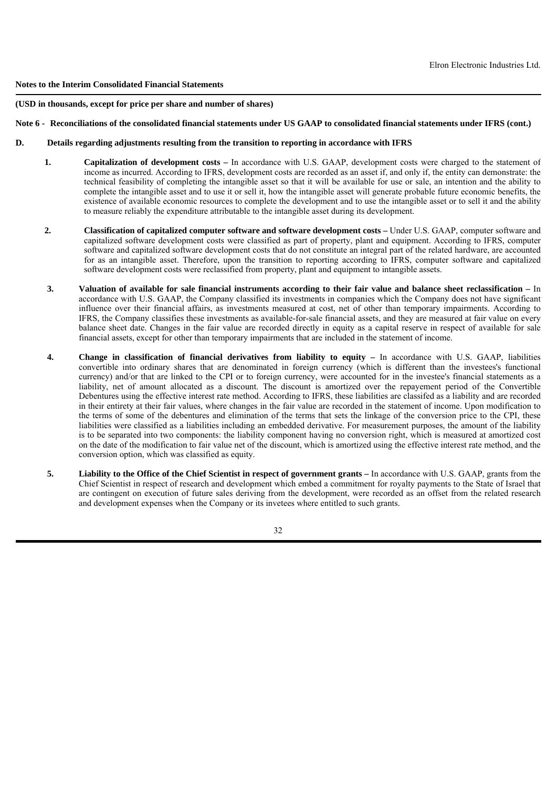## **(USD in thousands, except for price per share and number of shares)**

# **Note 6 - Reconciliations of the consolidated financial statements under US GAAP to consolidated financial statements under IFRS (cont.)**

# **D. Details regarding adjustments resulting from the transition to reporting in accordance with IFRS**

- **1. Capitalization of development costs –** In accordance with U.S. GAAP, development costs were charged to the statement of income as incurred. According to IFRS, development costs are recorded as an asset if, and only if, the entity can demonstrate: the technical feasibility of completing the intangible asset so that it will be available for use or sale, an intention and the ability to complete the intangible asset and to use it or sell it, how the intangible asset will generate probable future economic benefits, the existence of available economic resources to complete the development and to use the intangible asset or to sell it and the ability to measure reliably the expenditure attributable to the intangible asset during its development.
- **2. Classification of capitalized computer software and software development costs –** Under U.S. GAAP, computer software and capitalized software development costs were classified as part of property, plant and equipment. According to IFRS, computer software and capitalized software development costs that do not constitute an integral part of the related hardware, are accounted for as an intangible asset. Therefore, upon the transition to reporting according to IFRS, computer software and capitalized software development costs were reclassified from property, plant and equipment to intangible assets.
- **3. Valuation of available for sale financial instruments according to their fair value and balance sheet reclassification –** In accordance with U.S. GAAP, the Company classified its investments in companies which the Company does not have significant influence over their financial affairs, as investments measured at cost, net of other than temporary impairments. According to IFRS, the Company classifies these investments as available-for-sale financial assets, and they are measured at fair value on every balance sheet date. Changes in the fair value are recorded directly in equity as a capital reserve in respect of available for sale financial assets, except for other than temporary impairments that are included in the statement of income.
- **4. Change in classification of financial derivatives from liability to equity –** In accordance with U.S. GAAP, liabilities convertible into ordinary shares that are denominated in foreign currency (which is different than the investees's functional currency) and/or that are linked to the CPI or to foreign currency, were accounted for in the investee's financial statements as a liability, net of amount allocated as a discount. The discount is amortized over the repayement period of the Convertible Debentures using the effective interest rate method. According to IFRS, these liabilities are classifed as a liability and are recorded in their entirety at their fair values, where changes in the fair value are recorded in the statement of income. Upon modification to the terms of some of the debentures and elimination of the terms that sets the linkage of the conversion price to the CPI, these liabilities were classified as a liabilities including an embedded derivative. For measurement purposes, the amount of the liability is to be separated into two components: the liability component having no conversion right, which is measured at amortized cost on the date of the modification to fair value net of the discount, which is amortized using the effective interest rate method, and the conversion option, which was classified as equity.
- **5. Liability to the Office of the Chief Scientist in respect of government grants –** In accordance with U.S. GAAP, grants from the Chief Scientist in respect of research and development which embed a commitment for royalty payments to the State of Israel that are contingent on execution of future sales deriving from the development, were recorded as an offset from the related research and development expenses when the Company or its invetees where entitled to such grants.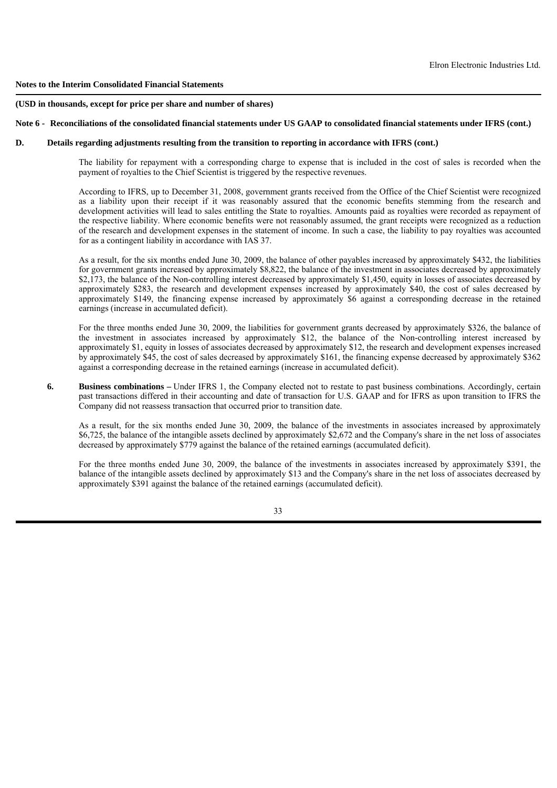#### **(USD in thousands, except for price per share and number of shares)**

#### **Note 6 - Reconciliations of the consolidated financial statements under US GAAP to consolidated financial statements under IFRS (cont.)**

## **D. Details regarding adjustments resulting from the transition to reporting in accordance with IFRS (cont.)**

The liability for repayment with a corresponding charge to expense that is included in the cost of sales is recorded when the payment of royalties to the Chief Scientist is triggered by the respective revenues.

According to IFRS, up to December 31, 2008, government grants received from the Office of the Chief Scientist were recognized as a liability upon their receipt if it was reasonably assured that the economic benefits stemming from the research and development activities will lead to sales entitling the State to royalties. Amounts paid as royalties were recorded as repayment of the respective liability. Where economic benefits were not reasonably assumed, the grant receipts were recognized as a reduction of the research and development expenses in the statement of income. In such a case, the liability to pay royalties was accounted for as a contingent liability in accordance with IAS 37.

As a result, for the six months ended June 30, 2009, the balance of other payables increased by approximately \$432, the liabilities for government grants increased by approximately \$8,822, the balance of the investment in associates decreased by approximately \$2,173, the balance of the Non-controlling interest decreased by approximately \$1,450, equity in losses of associates decreased by approximately \$283, the research and development expenses increased by approximately \$40, the cost of sales decreased by approximately \$149, the financing expense increased by approximately \$6 against a corresponding decrease in the retained earnings (increase in accumulated deficit).

For the three months ended June 30, 2009, the liabilities for government grants decreased by approximately \$326, the balance of the investment in associates increased by approximately \$12, the balance of the Non-controlling interest increased by approximately \$1, equity in losses of associates decreased by approximately \$12, the research and development expenses increased by approximately \$45, the cost of sales decreased by approximately \$161, the financing expense decreased by approximately \$362 against a corresponding decrease in the retained earnings (increase in accumulated deficit).

**6. Business combinations** – Under IFRS 1, the Company elected not to restate to past business combinations. Accordingly, certain past transactions differed in their accounting and date of transaction for U.S. GAAP and for IFRS as upon transition to IFRS the Company did not reassess transaction that occurred prior to transition date.

 As a result, for the six months ended June 30, 2009, the balance of the investments in associates increased by approximately \$6,725, the balance of the intangible assets declined by approximately \$2,672 and the Company's share in the net loss of associates decreased by approximately \$779 against the balance of the retained earnings (accumulated deficit).

 For the three months ended June 30, 2009, the balance of the investments in associates increased by approximately \$391, the balance of the intangible assets declined by approximately \$13 and the Company's share in the net loss of associates decreased by approximately \$391 against the balance of the retained earnings (accumulated deficit).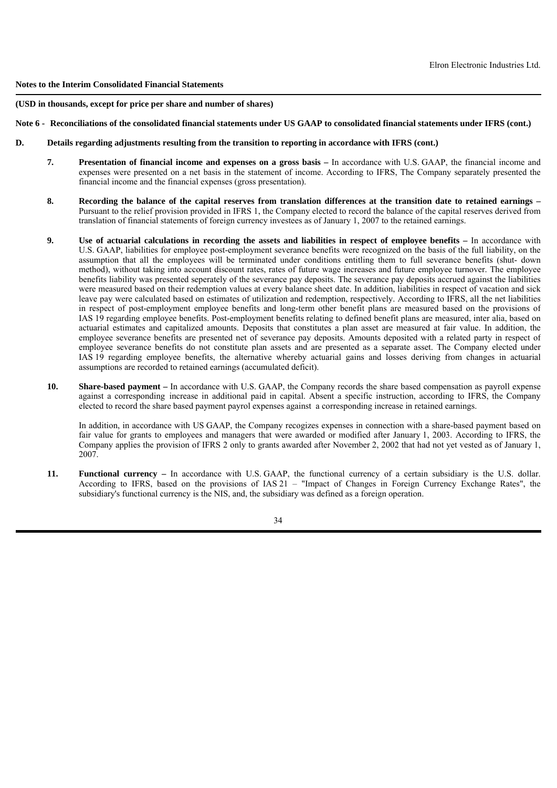**(USD in thousands, except for price per share and number of shares)**

## **Note 6 - Reconciliations of the consolidated financial statements under US GAAP to consolidated financial statements under IFRS (cont.)**

- **D. Details regarding adjustments resulting from the transition to reporting in accordance with IFRS (cont.)**
	- **7. Presentation of financial income and expenses on a gross basis –** In accordance with U.S. GAAP, the financial income and expenses were presented on a net basis in the statement of income. According to IFRS, The Company separately presented the financial income and the financial expenses (gross presentation).
	- **8. Recording the balance of the capital reserves from translation differences at the transition date to retained earnings –** Pursuant to the relief provision provided in IFRS 1, the Company elected to record the balance of the capital reserves derived from translation of financial statements of foreign currency investees as of January 1, 2007 to the retained earnings.
	- **9. Use of actuarial calculations in recording the assets and liabilities in respect of employee benefits –** In accordance with U.S. GAAP, liabilities for employee post-employment severance benefits were recognized on the basis of the full liability, on the assumption that all the employees will be terminated under conditions entitling them to full severance benefits (shut- down method), without taking into account discount rates, rates of future wage increases and future employee turnover. The employee benefits liability was presented seperately of the severance pay deposits. The severance pay deposits accrued against the liabilities were measured based on their redemption values at every balance sheet date. In addition, liabilities in respect of vacation and sick leave pay were calculated based on estimates of utilization and redemption, respectively. According to IFRS, all the net liabilities in respect of post-employment employee benefits and long-term other benefit plans are measured based on the provisions of IAS 19 regarding employee benefits. Post-employment benefits relating to defined benefit plans are measured, inter alia, based on actuarial estimates and capitalized amounts. Deposits that constitutes a plan asset are measured at fair value. In addition, the employee severance benefits are presented net of severance pay deposits. Amounts deposited with a related party in respect of employee severance benefits do not constitute plan assets and are presented as a separate asset. The Company elected under IAS 19 regarding employee benefits, the alternative whereby actuarial gains and losses deriving from changes in actuarial assumptions are recorded to retained earnings (accumulated deficit).
	- **10. Share-based payment –** In accordance with U.S. GAAP, the Company records the share based compensation as payroll expense against a corresponding increase in additional paid in capital. Absent a specific instruction, according to IFRS, the Company elected to record the share based payment payrol expenses against a corresponding increase in retained earnings.

In addition, in accordance with US GAAP, the Company recogizes expenses in connection with a share-based payment based on fair value for grants to employees and managers that were awarded or modified after January 1, 2003. According to IFRS, the Company applies the provision of IFRS 2 only to grants awarded after November 2, 2002 that had not yet vested as of January 1, 2007.

 **11. Functional currency –** In accordance with U.S. GAAP, the functional currency of a certain subsidiary is the U.S. dollar. According to IFRS, based on the provisions of IAS 21 – "Impact of Changes in Foreign Currency Exchange Rates", the subsidiary's functional currency is the NIS, and, the subsidiary was defined as a foreign operation.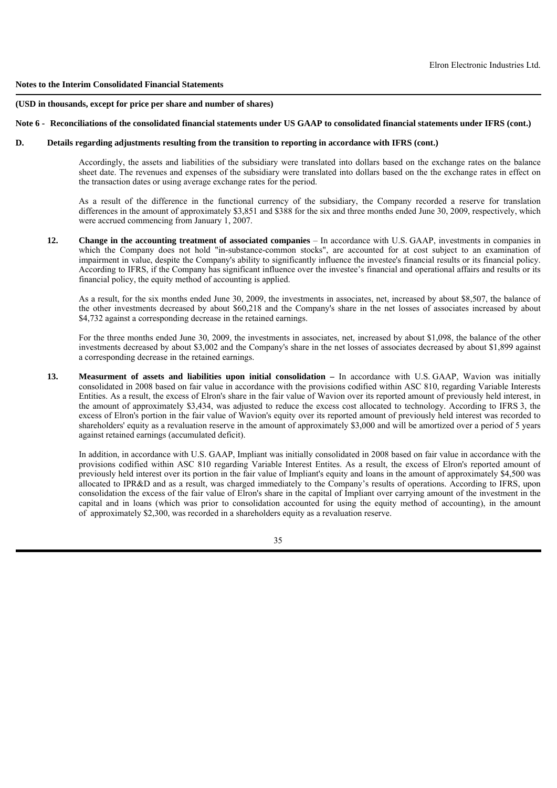#### **(USD in thousands, except for price per share and number of shares)**

## **Note 6 - Reconciliations of the consolidated financial statements under US GAAP to consolidated financial statements under IFRS (cont.)**

## **D. Details regarding adjustments resulting from the transition to reporting in accordance with IFRS (cont.)**

 Accordingly, the assets and liabilities of the subsidiary were translated into dollars based on the exchange rates on the balance sheet date. The revenues and expenses of the subsidiary were translated into dollars based on the the exchange rates in effect on the transaction dates or using average exchange rates for the period.

 As a result of the difference in the functional currency of the subsidiary, the Company recorded a reserve for translation differences in the amount of approximately \$3,851 and \$388 for the six and three months ended June 30, 2009, respectively, which were accrued commencing from January 1, 2007.

 **12. Change in the accounting treatment of associated companies** – In accordance with U.S. GAAP, investments in companies in which the Company does not hold "in-substance-common stocks", are accounted for at cost subject to an examination of impairment in value, despite the Company's ability to significantly influence the investee's financial results or its financial policy. According to IFRS, if the Company has significant influence over the investee's financial and operational affairs and results or its financial policy, the equity method of accounting is applied.

 As a result, for the six months ended June 30, 2009, the investments in associates, net, increased by about \$8,507, the balance of the other investments decreased by about \$60,218 and the Company's share in the net losses of associates increased by about \$4,732 against a corresponding decrease in the retained earnings.

For the three months ended June 30, 2009, the investments in associates, net, increased by about \$1,098, the balance of the other investments decreased by about \$3,002 and the Company's share in the net losses of associates decreased by about \$1,899 against a corresponding decrease in the retained earnings.

 **13. Measurment of assets and liabilities upon initial consolidation –** In accordance with U.S. GAAP, Wavion was initially consolidated in 2008 based on fair value in accordance with the provisions codified within ASC 810, regarding Variable Interests Entities. As a result, the excess of Elron's share in the fair value of Wavion over its reported amount of previously held interest, in the amount of approximately \$3,434, was adjusted to reduce the excess cost allocated to technology. According to IFRS 3, the excess of Elron's portion in the fair value of Wavion's equity over its reported amount of previously held interest was recorded to shareholders' equity as a revaluation reserve in the amount of approximately \$3,000 and will be amortized over a period of 5 years against retained earnings (accumulated deficit).

 In addition, in accordance with U.S. GAAP, Impliant was initially consolidated in 2008 based on fair value in accordance with the provisions codified within ASC 810 regarding Variable Interest Entites. As a result, the excess of Elron's reported amount of previously held interest over its portion in the fair value of Impliant's equity and loans in the amount of approximately \$4,500 was allocated to IPR&D and as a result, was charged immediately to the Company's results of operations. According to IFRS, upon consolidation the excess of the fair value of Elron's share in the capital of Impliant over carrying amount of the investment in the capital and in loans (which was prior to consolidation accounted for using the equity method of accounting), in the amount of approximately \$2,300, was recorded in a shareholders equity as a revaluation reserve.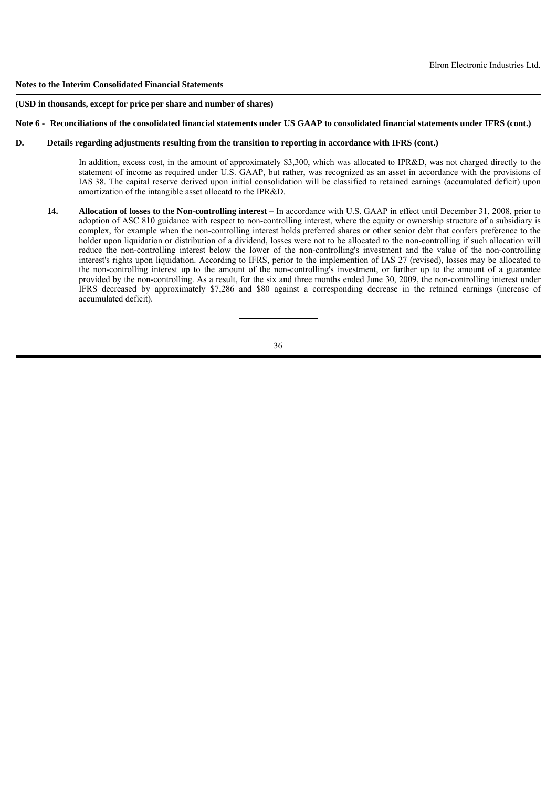#### **(USD in thousands, except for price per share and number of shares)**

## **Note 6 - Reconciliations of the consolidated financial statements under US GAAP to consolidated financial statements under IFRS (cont.)**

# **D. Details regarding adjustments resulting from the transition to reporting in accordance with IFRS (cont.)**

In addition, excess cost, in the amount of approximately \$3,300, which was allocated to IPR&D, was not charged directly to the statement of income as required under U.S. GAAP, but rather, was recognized as an asset in accordance with the provisions of IAS 38. The capital reserve derived upon initial consolidation will be classified to retained earnings (accumulated deficit) upon amortization of the intangible asset allocatd to the IPR&D.

 **14. Allocation of losses to the Non-controlling interest –** In accordance with U.S. GAAP in effect until December 31, 2008, prior to adoption of ASC 810 guidance with respect to non-controlling interest, where the equity or ownership structure of a subsidiary is complex, for example when the non-controlling interest holds preferred shares or other senior debt that confers preference to the holder upon liquidation or distribution of a dividend, losses were not to be allocated to the non-controlling if such allocation will reduce the non-controlling interest below the lower of the non-controlling's investment and the value of the non-controlling interest's rights upon liquidation. According to IFRS, perior to the implemention of IAS 27 (revised), losses may be allocated to the non-controlling interest up to the amount of the non-controlling's investment, or further up to the amount of a guarantee provided by the non-controlling. As a result, for the six and three months ended June 30, 2009, the non-controlling interest under IFRS decreased by approximately \$7,286 and \$80 against a corresponding decrease in the retained earnings (increase of accumulated deficit).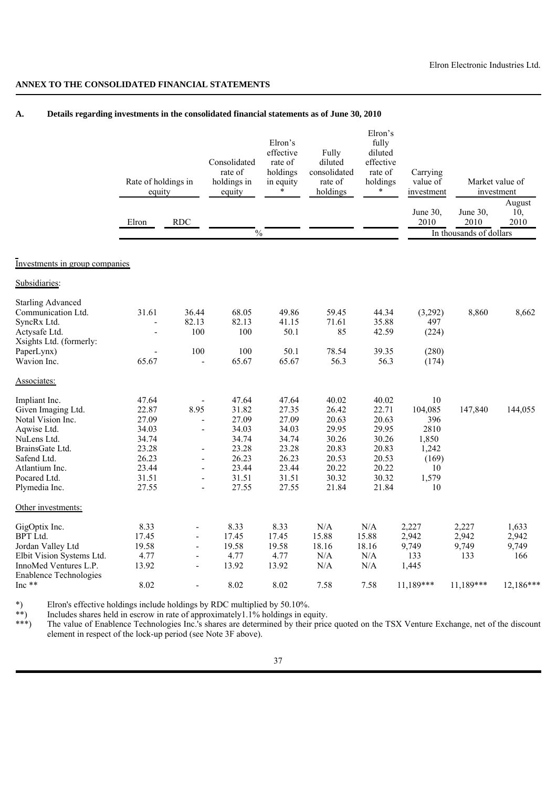# **ANNEX TO THE CONSOLIDATED FINANCIAL STATEMENTS**

# **A. Details regarding investments in the consolidated financial statements as of June 30, 2010**

|                                                        | Rate of holdings in<br>equity |                          | Consolidated<br>rate of<br>holdings in<br>equity | Elron's<br>effective<br>rate of<br>holdings<br>in equity | Fully<br>diluted<br>consolidated<br>rate of<br>holdings | Elron's<br>fully<br>diluted<br>effective<br>rate of<br>holdings<br>$\ast$ | Carrying<br>value of<br>investment |                         | Market value of<br>investment |
|--------------------------------------------------------|-------------------------------|--------------------------|--------------------------------------------------|----------------------------------------------------------|---------------------------------------------------------|---------------------------------------------------------------------------|------------------------------------|-------------------------|-------------------------------|
|                                                        | Elron                         | $\rm RDC$                |                                                  |                                                          |                                                         |                                                                           | June 30,<br>2010                   | June 30,<br>2010        | August<br>10.<br>2010         |
|                                                        |                               |                          | $\frac{0}{0}$                                    |                                                          |                                                         |                                                                           |                                    | In thousands of dollars |                               |
| Investments in group companies                         |                               |                          |                                                  |                                                          |                                                         |                                                                           |                                    |                         |                               |
| Subsidiaries:                                          |                               |                          |                                                  |                                                          |                                                         |                                                                           |                                    |                         |                               |
| <b>Starling Advanced</b>                               |                               |                          |                                                  |                                                          |                                                         |                                                                           |                                    |                         |                               |
| Communication Ltd.                                     | 31.61                         | 36.44                    | 68.05                                            | 49.86                                                    | 59.45                                                   | 44.34                                                                     | (3,292)                            | 8,860                   | 8,662                         |
| SyncRx Ltd.                                            |                               | 82.13                    | 82.13                                            | 41.15                                                    | 71.61                                                   | 35.88                                                                     | 497                                |                         |                               |
| Actysafe Ltd.                                          |                               | 100                      | 100                                              | 50.1                                                     | 85                                                      | 42.59                                                                     | (224)                              |                         |                               |
| Xsights Ltd. (formerly:                                |                               |                          |                                                  |                                                          |                                                         |                                                                           |                                    |                         |                               |
| PaperLynx)                                             |                               | 100                      | 100                                              | 50.1                                                     | 78.54                                                   | 39.35                                                                     | (280)                              |                         |                               |
| Wavion Inc.                                            | 65.67                         |                          | 65.67                                            | 65.67                                                    | 56.3                                                    | 56.3                                                                      | (174)                              |                         |                               |
| Associates:                                            |                               |                          |                                                  |                                                          |                                                         |                                                                           |                                    |                         |                               |
| Impliant Inc.                                          | 47.64                         |                          | 47.64                                            | 47.64                                                    | 40.02                                                   | 40.02                                                                     | 10                                 |                         |                               |
| Given Imaging Ltd.                                     | 22.87                         | 8.95                     | 31.82                                            | 27.35                                                    | 26.42                                                   | 22.71                                                                     | 104,085                            | 147,840                 | 144,055                       |
| Notal Vision Inc.                                      | 27.09                         | $\overline{a}$           | 27.09                                            | 27.09                                                    | 20.63                                                   | 20.63                                                                     | 396                                |                         |                               |
| Aqwise Ltd.                                            | 34.03                         | $\blacksquare$           | 34.03                                            | 34.03                                                    | 29.95                                                   | 29.95                                                                     | 2810                               |                         |                               |
| NuLens Ltd.                                            | 34.74                         |                          | 34.74                                            | 34.74                                                    | 30.26                                                   | 30.26                                                                     | 1,850                              |                         |                               |
| BrainsGate Ltd.                                        | 23.28                         | $\overline{a}$           | 23.28                                            | 23.28                                                    | 20.83                                                   | 20.83                                                                     | 1,242                              |                         |                               |
| Safend Ltd.                                            | 26.23                         | $\blacksquare$           | 26.23                                            | 26.23                                                    | 20.53                                                   | 20.53                                                                     | (169)                              |                         |                               |
| Atlantium Inc.                                         | 23.44                         | ÷,                       | 23.44                                            | 23.44                                                    | 20.22                                                   | 20.22                                                                     | 10                                 |                         |                               |
| Pocared Ltd.                                           | 31.51                         | $\overline{a}$           | 31.51                                            | 31.51                                                    | 30.32                                                   | 30.32                                                                     | 1,579                              |                         |                               |
| Plymedia Inc.                                          | 27.55                         | $\overline{\phantom{a}}$ | 27.55                                            | 27.55                                                    | 21.84                                                   | 21.84                                                                     | 10                                 |                         |                               |
| Other investments:                                     |                               |                          |                                                  |                                                          |                                                         |                                                                           |                                    |                         |                               |
| GigOptix Inc.                                          | 8.33                          |                          | 8.33                                             | 8.33                                                     | N/A                                                     | N/A                                                                       | 2,227                              | 2,227                   | 1,633                         |
| <b>BPT</b> Ltd.                                        | 17.45                         | ÷,                       | 17.45                                            | 17.45                                                    | 15.88                                                   | 15.88                                                                     | 2,942                              | 2,942                   | 2,942                         |
| Jordan Valley Ltd                                      | 19.58                         | ÷,                       | 19.58                                            | 19.58                                                    | 18.16                                                   | 18.16                                                                     | 9,749                              | 9,749                   | 9,749                         |
| Elbit Vision Systems Ltd.                              | 4.77                          | $\blacksquare$           | 4.77                                             | 4.77                                                     | N/A                                                     | N/A                                                                       | 133                                | 133                     | 166                           |
| InnoMed Ventures L.P.<br><b>Enablence Technologies</b> | 13.92                         | $\overline{a}$           | 13.92                                            | 13.92                                                    | N/A                                                     | N/A                                                                       | 1,445                              |                         |                               |
| Inc **                                                 | 8.02                          |                          | 8.02                                             | 8.02                                                     | 7.58                                                    | 7.58                                                                      | 11,189***                          | 11.189***               | $12,186***$                   |

\*) Elron's effective holdings include holdings by RDC multiplied by 50.10%.

\*\*) Includes shares held in escrow in rate of approximately 1.1% holdings in equity.<br>\*\*\*) The value of Enablence Technologies Inc 's shares are determined by their pric

The value of Enablence Technologies Inc.'s shares are determined by their price quoted on the TSX Venture Exchange, net of the discount element in respect of the lock-up period (see Note 3F above).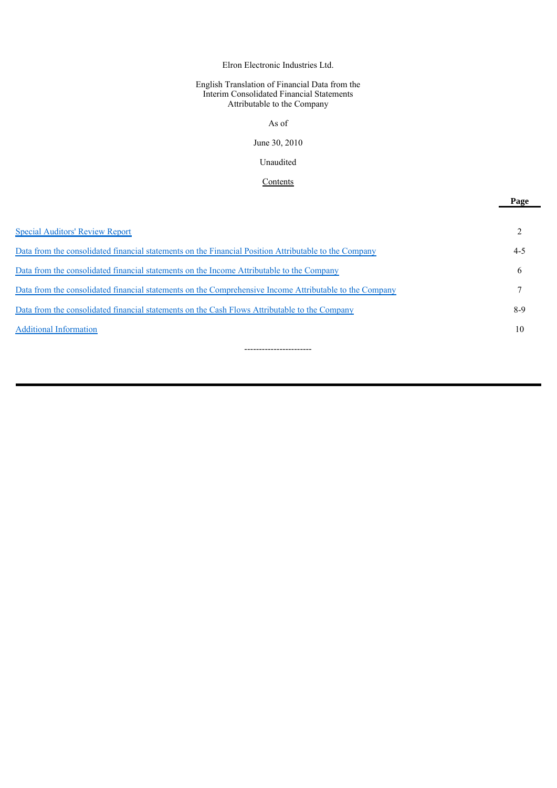# Elron Electronic Industries Ltd.

## English Translation of Financial Data from the Interim Consolidated Financial Statements Attributable to the Company

# As of

#### June 30, 2010

#### Unaudited

# **Contents**

**Page**

| <b>Special Auditors' Review Report</b>                                                                  |       |
|---------------------------------------------------------------------------------------------------------|-------|
| Data from the consolidated financial statements on the Financial Position Attributable to the Company   | 4-5   |
| Data from the consolidated financial statements on the Income Attributable to the Company               | 6     |
| Data from the consolidated financial statements on the Comprehensive Income Attributable to the Company |       |
| Data from the consolidated financial statements on the Cash Flows Attributable to the Company           | $8-9$ |
| <b>Additional Information</b>                                                                           | 10    |
|                                                                                                         |       |

-----------------------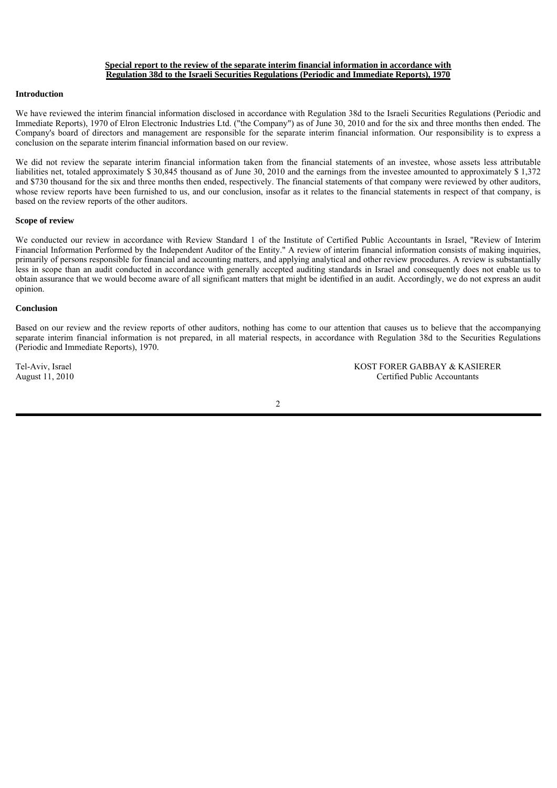### **Special report to the review of the separate interim financial information in accordance with Regulation 38d to the Israeli Securities Regulations (Periodic and Immediate Reports), 1970**

### **Introduction**

We have reviewed the interim financial information disclosed in accordance with Regulation 38d to the Israeli Securities Regulations (Periodic and Immediate Reports), 1970 of Elron Electronic Industries Ltd. ("the Company") as of June 30, 2010 and for the six and three months then ended. The Company's board of directors and management are responsible for the separate interim financial information. Our responsibility is to express a conclusion on the separate interim financial information based on our review.

We did not review the separate interim financial information taken from the financial statements of an investee, whose assets less attributable liabilities net, totaled approximately \$ 30,845 thousand as of June 30, 2010 and the earnings from the investee amounted to approximately \$ 1,372 and \$730 thousand for the six and three months then ended, respectively. The financial statements of that company were reviewed by other auditors, whose review reports have been furnished to us, and our conclusion, insofar as it relates to the financial statements in respect of that company, is based on the review reports of the other auditors.

### **Scope of review**

We conducted our review in accordance with Review Standard 1 of the Institute of Certified Public Accountants in Israel, "Review of Interim Financial Information Performed by the Independent Auditor of the Entity." A review of interim financial information consists of making inquiries, primarily of persons responsible for financial and accounting matters, and applying analytical and other review procedures. A review is substantially less in scope than an audit conducted in accordance with generally accepted auditing standards in Israel and consequently does not enable us to obtain assurance that we would become aware of all significant matters that might be identified in an audit. Accordingly, we do not express an audit opinion.

### **Conclusion**

Based on our review and the review reports of other auditors, nothing has come to our attention that causes us to believe that the accompanying separate interim financial information is not prepared, in all material respects, in accordance with Regulation 38d to the Securities Regulations (Periodic and Immediate Reports), 1970.

Tel-Aviv, Israel **KOST FORER GABBAY & KASIERER**<br>
August 11, 2010 **Certified Public Accountants** Certified Public Accountants

2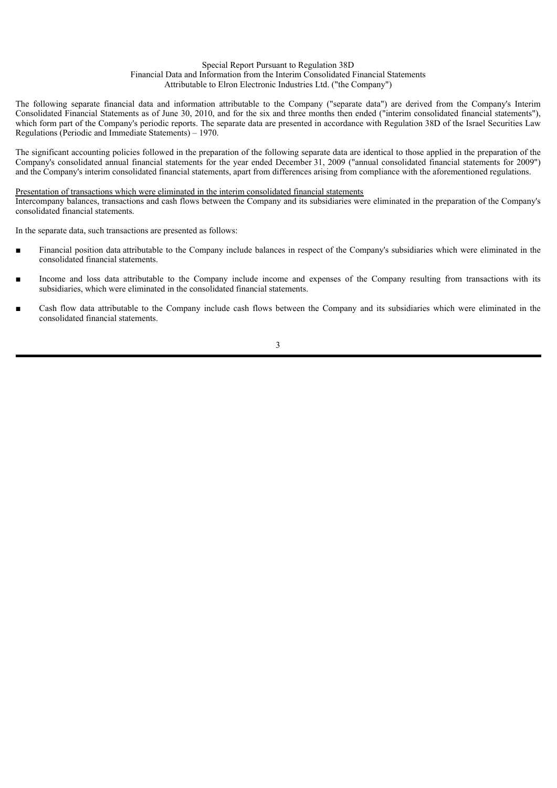#### Special Report Pursuant to Regulation 38D Financial Data and Information from the Interim Consolidated Financial Statements Attributable to Elron Electronic Industries Ltd. ("the Company")

The following separate financial data and information attributable to the Company ("separate data") are derived from the Company's Interim Consolidated Financial Statements as of June 30, 2010, and for the six and three months then ended ("interim consolidated financial statements"), which form part of the Company's periodic reports. The separate data are presented in accordance with Regulation 38D of the Israel Securities Law Regulations (Periodic and Immediate Statements) – 1970.

The significant accounting policies followed in the preparation of the following separate data are identical to those applied in the preparation of the Company's consolidated annual financial statements for the year ended December 31, 2009 ("annual consolidated financial statements for 2009") and the Company's interim consolidated financial statements, apart from differences arising from compliance with the aforementioned regulations.

Presentation of transactions which were eliminated in the interim consolidated financial statements

Intercompany balances, transactions and cash flows between the Company and its subsidiaries were eliminated in the preparation of the Company's consolidated financial statements.

In the separate data, such transactions are presented as follows:

- Financial position data attributable to the Company include balances in respect of the Company's subsidiaries which were eliminated in the consolidated financial statements.
- Income and loss data attributable to the Company include income and expenses of the Company resulting from transactions with its subsidiaries, which were eliminated in the consolidated financial statements.
- Cash flow data attributable to the Company include cash flows between the Company and its subsidiaries which were eliminated in the consolidated financial statements.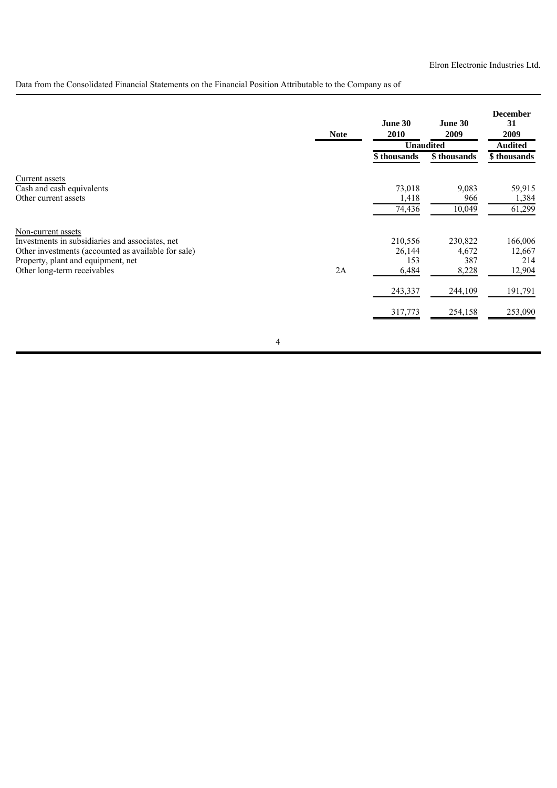Data from the Consolidated Financial Statements on the Financial Position Attributable to the Company as of

|                                                                                                                                                                                                   | <b>Note</b> | June 30<br>2010                   | June 30<br>2009<br><b>Unaudited</b> | <b>December</b><br>31<br>2009<br><b>Audited</b> |
|---------------------------------------------------------------------------------------------------------------------------------------------------------------------------------------------------|-------------|-----------------------------------|-------------------------------------|-------------------------------------------------|
|                                                                                                                                                                                                   |             | \$ thousands                      | \$thousands                         | \$thousands                                     |
| <b>Current assets</b><br>Cash and cash equivalents<br>Other current assets                                                                                                                        |             | 73,018<br>1,418<br>74,436         | 9,083<br>966<br>10,049              | 59,915<br>1,384<br>61,299                       |
| Non-current assets<br>Investments in subsidiaries and associates, net<br>Other investments (accounted as available for sale)<br>Property, plant and equipment, net<br>Other long-term receivables | 2A          | 210,556<br>26,144<br>153<br>6,484 | 230,822<br>4,672<br>387<br>8,228    | 166,006<br>12,667<br>214<br>12,904              |
|                                                                                                                                                                                                   |             | 243,337                           | 244,109                             | 191,791                                         |
|                                                                                                                                                                                                   |             | 317,773                           | 254,158                             | 253,090                                         |
|                                                                                                                                                                                                   | 4           |                                   |                                     |                                                 |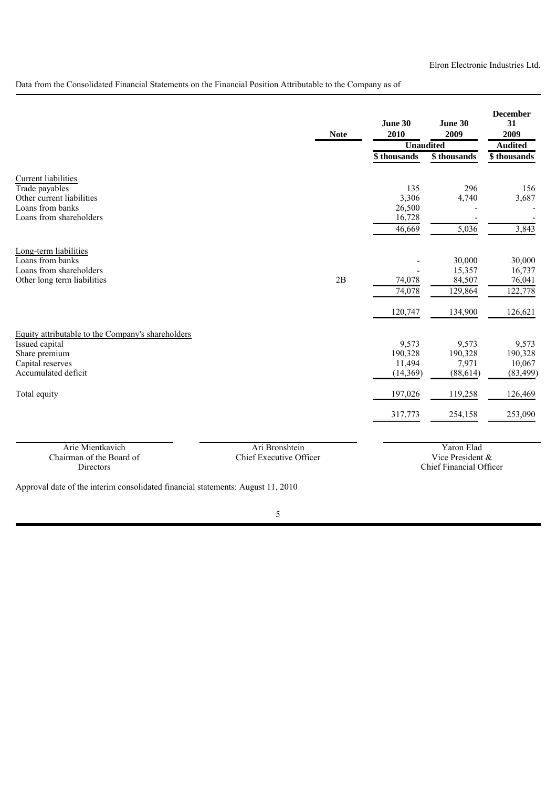Data from the Consolidated Financial Statements on the Financial Position Attributable to the Company as of

|                                                                                                                                 | <b>Note</b>                               | June 30<br>2010                         | June 30<br>2009                                           | <b>December</b><br>31<br>2009           |  |
|---------------------------------------------------------------------------------------------------------------------------------|-------------------------------------------|-----------------------------------------|-----------------------------------------------------------|-----------------------------------------|--|
|                                                                                                                                 |                                           |                                         | Unaudited                                                 | <b>Audited</b>                          |  |
|                                                                                                                                 |                                           | \$thousands                             | \$thousands                                               | \$ thousands                            |  |
| <b>Current liabilities</b><br>Trade payables<br>Other current liabilities<br>Loans from banks<br>Loans from shareholders        |                                           | 135<br>3,306<br>26,500<br>16,728        | 296<br>4,740                                              | 156<br>3,687                            |  |
|                                                                                                                                 |                                           | 46,669                                  | 5,036                                                     | 3,843                                   |  |
| Long-term liabilities<br>Loans from banks<br>Loans from shareholders<br>Other long term liabilities                             | 2B                                        | 74,078<br>74,078                        | 30,000<br>15,357<br>84,507<br>129,864                     | 30,000<br>16,737<br>76,041<br>122,778   |  |
|                                                                                                                                 |                                           | 120,747                                 | 134,900                                                   | 126,621                                 |  |
| Equity attributable to the Company's shareholders<br>Issued capital<br>Share premium<br>Capital reserves<br>Accumulated deficit |                                           | 9,573<br>190,328<br>11,494<br>(14, 369) | 9,573<br>190,328<br>7,971<br>(88, 614)                    | 9,573<br>190,328<br>10,067<br>(83, 499) |  |
| Total equity                                                                                                                    |                                           | 197,026                                 | 119,258                                                   | 126,469                                 |  |
|                                                                                                                                 |                                           | 317,773                                 | 254,158                                                   | 253,090                                 |  |
| Arie Mientkavich<br>Chairman of the Board of<br>Directors                                                                       | Ari Bronshtein<br>Chief Executive Officer |                                         | Yaron Elad<br>Vice President &<br>Chief Financial Officer |                                         |  |

Approval date of the interim consolidated financial statements: August 11, 2010

5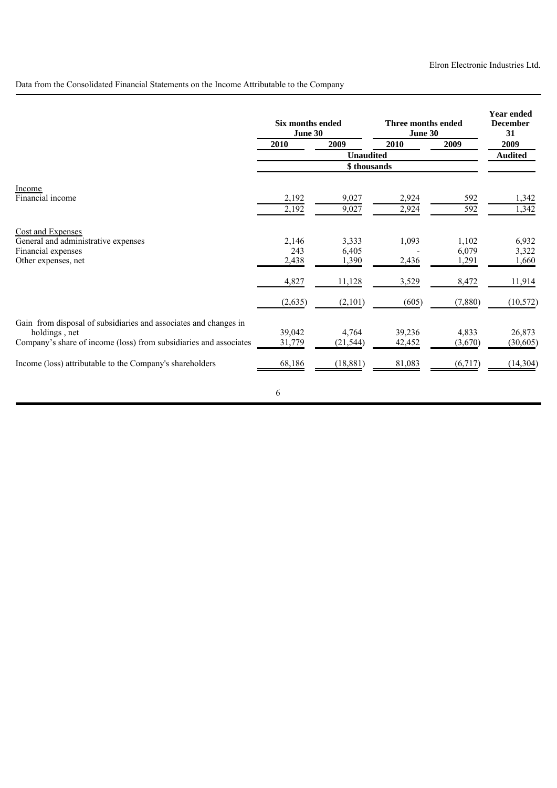Data from the Consolidated Financial Statements on the Income Attributable to the Company

|                                                                                                                                                                                                                    | Six months ended<br>June 30 |                                 | Three months ended<br><b>June 30</b> |                             | <b>Year ended</b><br><b>December</b><br>31 |
|--------------------------------------------------------------------------------------------------------------------------------------------------------------------------------------------------------------------|-----------------------------|---------------------------------|--------------------------------------|-----------------------------|--------------------------------------------|
|                                                                                                                                                                                                                    | 2010                        | 2009                            | 2010                                 | 2009                        | 2009                                       |
|                                                                                                                                                                                                                    |                             | <b>Unaudited</b>                |                                      |                             | <b>Audited</b>                             |
|                                                                                                                                                                                                                    |                             | \$thousands                     |                                      |                             |                                            |
| Income<br>Financial income                                                                                                                                                                                         | 2,192<br>2,192              | 9,027<br>9,027                  | 2,924<br>2,924                       | 592<br>$\overline{592}$     | 1,342<br>1,342                             |
| <b>Cost and Expenses</b><br>General and administrative expenses<br>Financial expenses<br>Other expenses, net                                                                                                       | 2,146<br>243<br>2,438       | 3,333<br>6,405<br>1,390         | 1,093<br>2,436                       | 1,102<br>6,079<br>1,291     | 6,932<br>3,322<br>1,660                    |
|                                                                                                                                                                                                                    | 4,827                       | 11,128                          | 3,529                                | 8,472                       | 11,914                                     |
|                                                                                                                                                                                                                    | (2,635)                     | (2,101)                         | (605)                                | (7,880)                     | (10, 572)                                  |
| Gain from disposal of subsidiaries and associates and changes in<br>holdings, net<br>Company's share of income (loss) from subsidiaries and associates<br>Income (loss) attributable to the Company's shareholders | 39,042<br>31,779<br>68,186  | 4,764<br>(21, 544)<br>(18, 881) | 39,236<br>42,452<br>81,083           | 4,833<br>(3,670)<br>(6,717) | 26,873<br>(30, 605)<br>(14, 304)           |
|                                                                                                                                                                                                                    | 6                           |                                 |                                      |                             |                                            |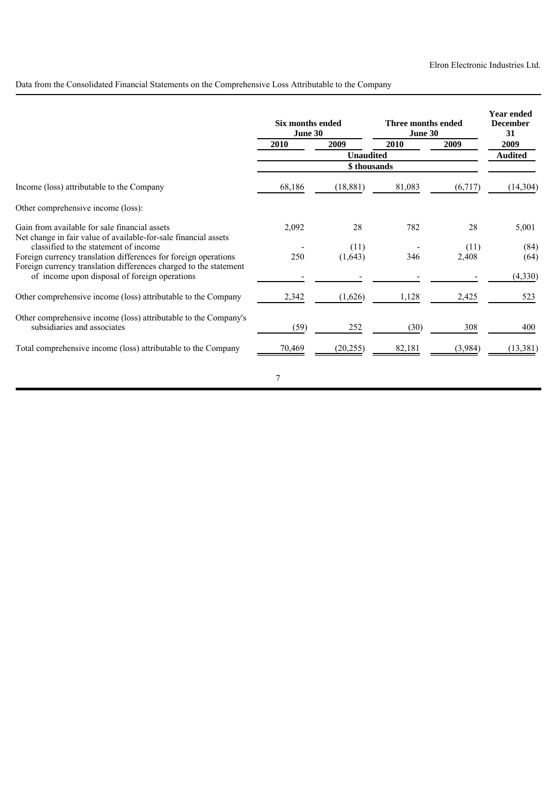Data from the Consolidated Financial Statements on the Comprehensive Loss Attributable to the Company

|                                                                                                          | Six months ended<br>June 30 |                  | Three months ended<br>June 30 |         | <b>Year ended</b><br><b>December</b><br>31 |  |
|----------------------------------------------------------------------------------------------------------|-----------------------------|------------------|-------------------------------|---------|--------------------------------------------|--|
|                                                                                                          | 2010                        | 2009             | 2010                          | 2009    | 2009                                       |  |
|                                                                                                          |                             | <b>Unaudited</b> |                               |         | <b>Audited</b>                             |  |
|                                                                                                          |                             | \$ thousands     |                               |         |                                            |  |
| Income (loss) attributable to the Company                                                                | 68,186                      | (18, 881)        | 81,083                        | (6,717) | (14,304)                                   |  |
| Other comprehensive income (loss):                                                                       |                             |                  |                               |         |                                            |  |
| Gain from available for sale financial assets                                                            | 2,092                       | 28               | 782                           | 28      | 5,001                                      |  |
| Net change in fair value of available-for-sale financial assets<br>classified to the statement of income |                             | (11)             |                               | (11)    | (84)                                       |  |
| Foreign currency translation differences for foreign operations                                          | 250                         | (1,643)          | 346                           | 2,408   | (64)                                       |  |
| Foreign currency translation differences charged to the statement                                        |                             |                  |                               |         |                                            |  |
| of income upon disposal of foreign operations                                                            |                             |                  |                               |         | (4, 330)                                   |  |
| Other comprehensive income (loss) attributable to the Company                                            | 2,342                       | (1,626)          | 1,128                         | 2,425   | 523                                        |  |
| Other comprehensive income (loss) attributable to the Company's                                          |                             |                  |                               |         |                                            |  |
| subsidiaries and associates                                                                              | (59)                        | 252              | (30)                          | 308     | 400                                        |  |
| Total comprehensive income (loss) attributable to the Company                                            | 70,469                      | (20, 255)        | 82,181                        | (3,984) | (13, 381)                                  |  |
|                                                                                                          | 7                           |                  |                               |         |                                            |  |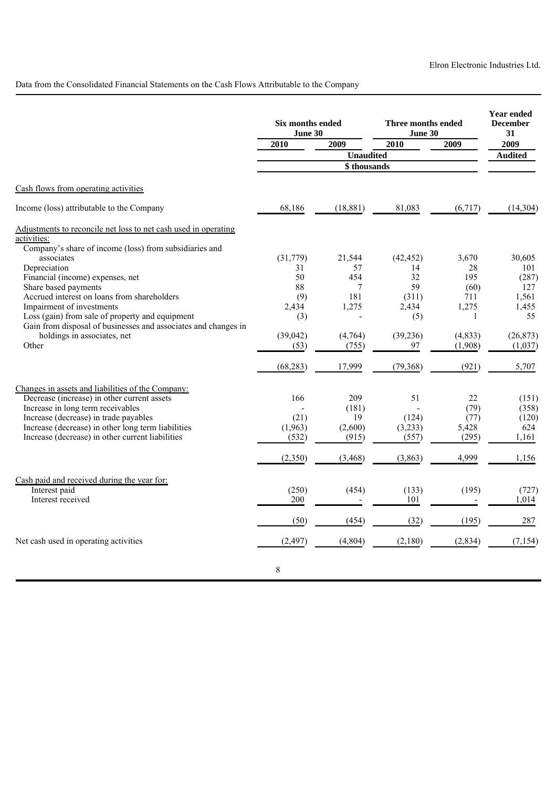Data from the Consolidated Financial Statements on the Cash Flows Attributable to the Company

|                                                                      | Six months ended<br>June 30 |                  | Three months ended<br>June 30 |              | <b>Year ended</b><br><b>December</b><br>31 |
|----------------------------------------------------------------------|-----------------------------|------------------|-------------------------------|--------------|--------------------------------------------|
|                                                                      | 2010                        | 2009             | 2010                          | 2009         | 2009                                       |
|                                                                      |                             | <b>Unaudited</b> |                               |              | <b>Audited</b>                             |
|                                                                      |                             | \$ thousands     |                               |              |                                            |
| Cash flows from operating activities                                 |                             |                  |                               |              |                                            |
| Income (loss) attributable to the Company                            | 68,186                      | (18, 881)        | 81,083                        | (6,717)      | (14, 304)                                  |
| Adjustments to reconcile net loss to net cash used in operating      |                             |                  |                               |              |                                            |
| activities:                                                          |                             |                  |                               |              |                                            |
| Company's share of income (loss) from subsidiaries and<br>associates |                             | 21,544           |                               |              | 30,605                                     |
| Depreciation                                                         | (31,779)<br>31              | 57               | (42, 452)<br>14               | 3,670<br>28  | 101                                        |
| Financial (income) expenses, net                                     | 50                          | 454              | 32                            | 195          | (287)                                      |
| Share based payments                                                 | 88                          | $\tau$           | 59                            | (60)         | 127                                        |
| Accrued interest on loans from shareholders                          | (9)                         | 181              | (311)                         | 711          | 1,561                                      |
| Impairment of investments                                            | 2,434                       | 1,275            | 2,434                         | 1,275        | 1,455                                      |
| Loss (gain) from sale of property and equipment                      | (3)                         |                  | (5)                           | $\mathbf{1}$ | 55                                         |
| Gain from disposal of businesses and associates and changes in       |                             |                  |                               |              |                                            |
| holdings in associates, net                                          | (39,042)                    | (4,764)          | (39, 236)                     | (4, 833)     | (26, 873)                                  |
| Other                                                                | (53)                        | (755)            | 97                            | (1,908)      | (1,037)                                    |
|                                                                      | (68, 283)                   | 17,999           | (79,368)                      | (921)        | 5,707                                      |
| Changes in assets and liabilities of the Company:                    |                             |                  |                               |              |                                            |
| Decrease (increase) in other current assets                          | 166                         | 209              | 51                            | 22           | (151)                                      |
| Increase in long term receivables                                    |                             | (181)            |                               | (79)         | (358)                                      |
| Increase (decrease) in trade payables                                | (21)                        | 19               | (124)                         | (77)         | (120)                                      |
| Increase (decrease) in other long term liabilities                   | (1,963)                     | (2,600)          | (3,233)                       | 5,428        | 624                                        |
| Increase (decrease) in other current liabilities                     | (532)                       | (915)            | (557)                         | (295)        | 1,161                                      |
|                                                                      | (2,350)                     | (3, 468)         | (3, 863)                      | 4,999        | 1,156                                      |
| Cash paid and received during the year for:                          |                             |                  |                               |              |                                            |
| Interest paid                                                        | (250)                       | (454)            | (133)                         | (195)        | (727)                                      |
| Interest received                                                    | 200                         |                  | 101                           |              | 1,014                                      |
|                                                                      | (50)                        | (454)            | (32)                          | (195)        | 287                                        |
| Net cash used in operating activities                                | (2, 497)                    | (4, 804)         | (2,180)                       | (2, 834)     | (7, 154)                                   |
|                                                                      | $\mathbf{8}$                |                  |                               |              |                                            |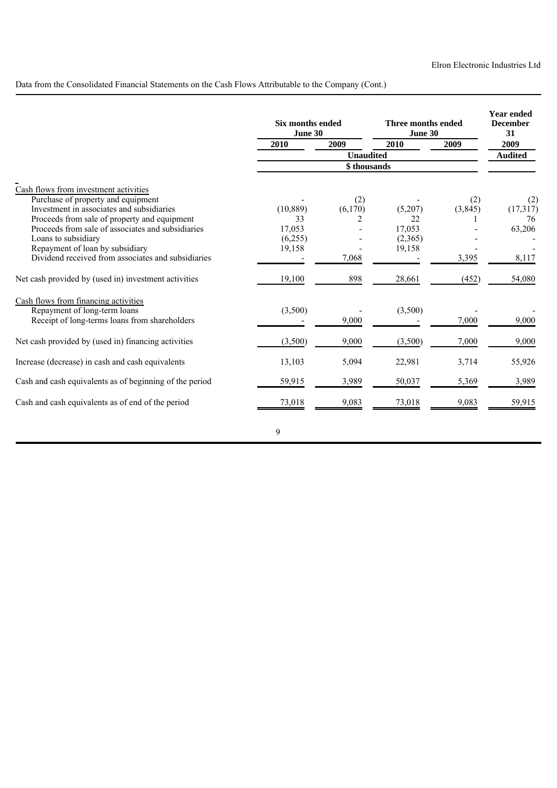Data from the Consolidated Financial Statements on the Cash Flows Attributable to the Company (Cont.)

|                                                                                       | <b>Six months ended</b><br>June 30 |                  | Three months ended<br>June 30 |          | <b>Year ended</b><br><b>December</b><br>31 |
|---------------------------------------------------------------------------------------|------------------------------------|------------------|-------------------------------|----------|--------------------------------------------|
|                                                                                       | 2010                               | 2009             | 2010                          | 2009     | 2009                                       |
|                                                                                       |                                    | <b>Unaudited</b> |                               |          | <b>Audited</b>                             |
|                                                                                       |                                    | \$thousands      |                               |          |                                            |
| Cash flows from investment activities                                                 |                                    |                  |                               |          |                                            |
| Purchase of property and equipment                                                    |                                    | (2)              |                               | (2)      | (2)                                        |
| Investment in associates and subsidiaries                                             | (10, 889)                          | (6,170)          | (5,207)                       | (3, 845) | (17,317)                                   |
| Proceeds from sale of property and equipment                                          | 33                                 | 2                | 22                            |          | 76                                         |
| Proceeds from sale of associates and subsidiaries                                     | 17,053                             |                  | 17,053                        |          | 63,206                                     |
| Loans to subsidiary                                                                   | (6,255)                            |                  | (2,365)                       |          |                                            |
| Repayment of loan by subsidiary<br>Dividend received from associates and subsidiaries | 19,158                             | 7,068            | 19,158                        |          |                                            |
|                                                                                       |                                    |                  |                               | 3,395    | 8,117                                      |
| Net cash provided by (used in) investment activities                                  | 19,100                             | 898              | 28,661                        | (452)    | 54,080                                     |
| Cash flows from financing activities                                                  |                                    |                  |                               |          |                                            |
| Repayment of long-term loans                                                          | (3,500)                            |                  | (3,500)                       |          |                                            |
| Receipt of long-terms loans from shareholders                                         |                                    | 9,000            |                               | 7,000    | 9,000                                      |
| Net cash provided by (used in) financing activities                                   | (3,500)                            | 9,000            | (3,500)                       | 7,000    | 9,000                                      |
| Increase (decrease) in cash and cash equivalents                                      | 13,103                             | 5,094            | 22,981                        | 3,714    | 55,926                                     |
| Cash and cash equivalents as of beginning of the period                               | 59,915                             | 3,989            | 50,037                        | 5,369    | 3,989                                      |
| Cash and cash equivalents as of end of the period                                     | 73,018                             | 9,083            | 73,018                        | 9,083    | 59,915                                     |
|                                                                                       | 9                                  |                  |                               |          |                                            |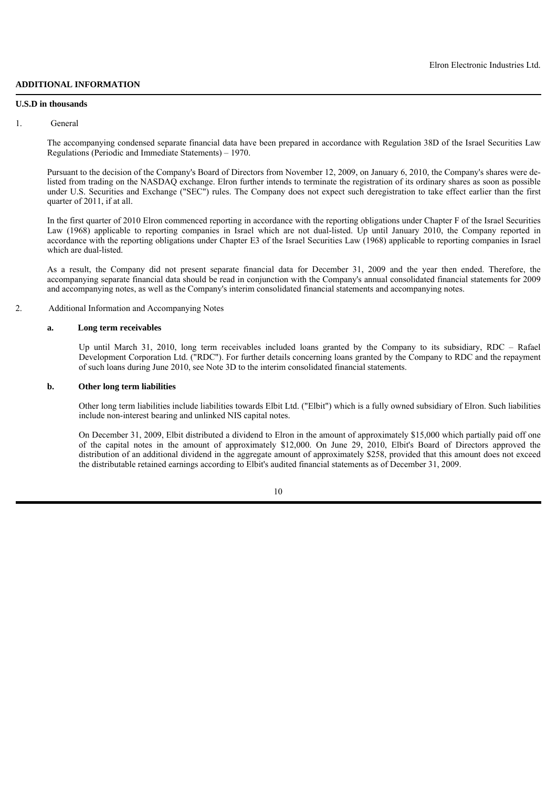# **ADDITIONAL INFORMATION**

### **U.S.D in thousands**

### 1. General

The accompanying condensed separate financial data have been prepared in accordance with Regulation 38D of the Israel Securities Law Regulations (Periodic and Immediate Statements) – 1970.

Pursuant to the decision of the Company's Board of Directors from November 12, 2009, on January 6, 2010, the Company's shares were delisted from trading on the NASDA $\hat{O}$  exchange. Elron further intends to terminate the registration of its ordinary shares as soon as possible under U.S. Securities and Exchange ("SEC") rules. The Company does not expect such deregistration to take effect earlier than the first quarter of 2011, if at all.

In the first quarter of 2010 Elron commenced reporting in accordance with the reporting obligations under Chapter F of the Israel Securities Law (1968) applicable to reporting companies in Israel which are not dual-listed. Up until January 2010, the Company reported in accordance with the reporting obligations under Chapter E3 of the Israel Securities Law (1968) applicable to reporting companies in Israel which are dual-listed.

As a result, the Company did not present separate financial data for December 31, 2009 and the year then ended. Therefore, the accompanying separate financial data should be read in conjunction with the Company's annual consolidated financial statements for 2009 and accompanying notes, as well as the Company's interim consolidated financial statements and accompanying notes.

## 2. Additional Information and Accompanying Notes

#### **a. Long term receivables**

Up until March 31, 2010, long term receivables included loans granted by the Company to its subsidiary, RDC – Rafael Development Corporation Ltd. ("RDC"). For further details concerning loans granted by the Company to RDC and the repayment of such loans during June 2010, see Note 3D to the interim consolidated financial statements.

## **b. Other long term liabilities**

Other long term liabilities include liabilities towards Elbit Ltd. ("Elbit") which is a fully owned subsidiary of Elron. Such liabilities include non-interest bearing and unlinked NIS capital notes.

On December 31, 2009, Elbit distributed a dividend to Elron in the amount of approximately \$15,000 which partially paid off one of the capital notes in the amount of approximately \$12,000. On June 29, 2010, Elbit's Board of Directors approved the distribution of an additional dividend in the aggregate amount of approximately \$258, provided that this amount does not exceed the distributable retained earnings according to Elbit's audited financial statements as of December 31, 2009.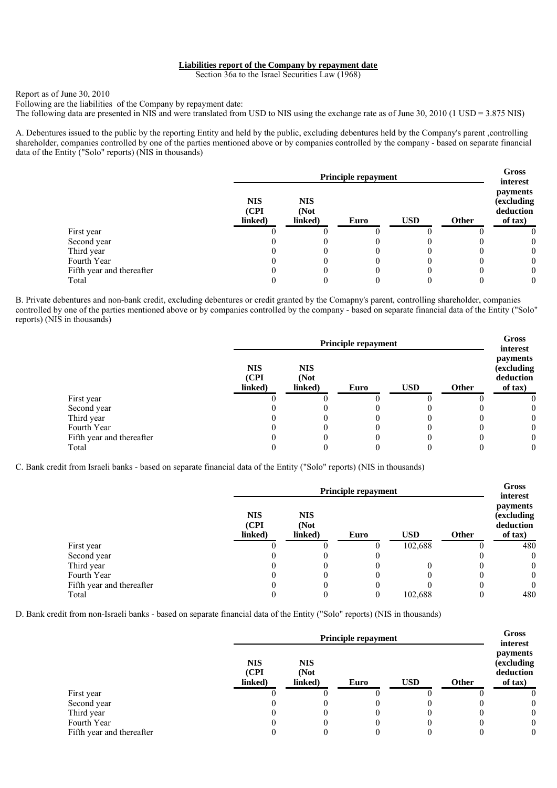### **Liabilities report of the Company by repayment date**

Section 36a to the Israel Securities Law (1968)

### Report as of June 30, 2010

Following are the liabilities of the Company by repayment date:

The following data are presented in NIS and were translated from USD to NIS using the exchange rate as of June 30, 2010 (1 USD = 3.875 NIS)

A. Debentures issued to the public by the reporting Entity and held by the public, excluding debentures held by the Company's parent ,controlling shareholder, companies controlled by one of the parties mentioned above or by companies controlled by the company - based on separate financial data of the Entity ("Solo" reports) (NIS in thousands)

|                           | Principle repayment            |                               |      |            |       |                                                            |  |
|---------------------------|--------------------------------|-------------------------------|------|------------|-------|------------------------------------------------------------|--|
|                           | <b>NIS</b><br>(CPI)<br>linked) | <b>NIS</b><br>(Not<br>linked) | Euro | <b>USD</b> | Other | interest<br>payments<br>(excluding<br>deduction<br>of tax) |  |
| First year                |                                |                               |      |            |       |                                                            |  |
| Second year               |                                |                               |      |            |       | $\theta$                                                   |  |
| Third year                |                                |                               |      |            |       | $\theta$                                                   |  |
| Fourth Year               |                                |                               |      |            |       | $\theta$                                                   |  |
| Fifth year and thereafter |                                |                               |      |            |       | $\theta$                                                   |  |
| Total                     |                                |                               |      |            |       | 0                                                          |  |

B. Private debentures and non-bank credit, excluding debentures or credit granted by the Comapny's parent, controlling shareholder, companies controlled by one of the parties mentioned above or by companies controlled by the company - based on separate financial data of the Entity ("Solo" reports) (NIS in thousands)

|                           |                                | Principle repayment           |      |            |       |                                                            |  |  |
|---------------------------|--------------------------------|-------------------------------|------|------------|-------|------------------------------------------------------------|--|--|
|                           | <b>NIS</b><br>(CPI)<br>linked) | <b>NIS</b><br>(Not<br>linked) | Euro | <b>USD</b> | Other | interest<br>payments<br>(excluding<br>deduction<br>of tax) |  |  |
| First year                |                                |                               |      |            |       |                                                            |  |  |
| Second year               |                                |                               |      |            |       | $\theta$                                                   |  |  |
| Third year                |                                |                               |      |            |       | $\theta$                                                   |  |  |
| Fourth Year               |                                |                               |      |            |       | $\theta$                                                   |  |  |
| Fifth year and thereafter |                                |                               |      |            |       | $\theta$                                                   |  |  |
| Total                     |                                |                               |      |            |       | $\theta$                                                   |  |  |

C. Bank credit from Israeli banks - based on separate financial data of the Entity ("Solo" reports) (NIS in thousands)

|                           | Principle repayment            |                               |      |            |              |                                                             |  |
|---------------------------|--------------------------------|-------------------------------|------|------------|--------------|-------------------------------------------------------------|--|
|                           | <b>NIS</b><br>(CPI)<br>linked) | <b>NIS</b><br>(Not<br>linked) | Euro | <b>USD</b> | <b>Other</b> | interest<br>payments<br>(excluding)<br>deduction<br>of tax) |  |
| First year                |                                |                               |      | 102,688    |              | 480                                                         |  |
| Second year               |                                |                               |      |            |              | $\theta$                                                    |  |
| Third year                |                                |                               |      |            |              | $\overline{0}$                                              |  |
| Fourth Year               |                                |                               |      |            |              | $\mathbf{0}$                                                |  |
| Fifth year and thereafter |                                |                               |      |            |              | $\theta$                                                    |  |
| Total                     |                                |                               |      | 102,688    |              | 480                                                         |  |

D. Bank credit from non-Israeli banks - based on separate financial data of the Entity ("Solo" reports) (NIS in thousands)

|                           |                                | <b>Principle repayment</b>    |      |            |              |                                                       |  |  |
|---------------------------|--------------------------------|-------------------------------|------|------------|--------------|-------------------------------------------------------|--|--|
|                           | <b>NIS</b><br>(CPI)<br>linked) | <b>NIS</b><br>(Not<br>linked) | Euro | <b>USD</b> | <b>Other</b> | <i>payments</i><br>(excluding<br>deduction<br>of tax) |  |  |
| First year                |                                |                               |      |            |              |                                                       |  |  |
| Second year               |                                |                               |      |            |              | 0                                                     |  |  |
| Third year                |                                |                               |      | $\theta$   |              | $\theta$                                              |  |  |
| Fourth Year               |                                |                               |      |            |              | $\theta$                                              |  |  |
| Fifth year and thereafter |                                |                               |      |            |              | 0                                                     |  |  |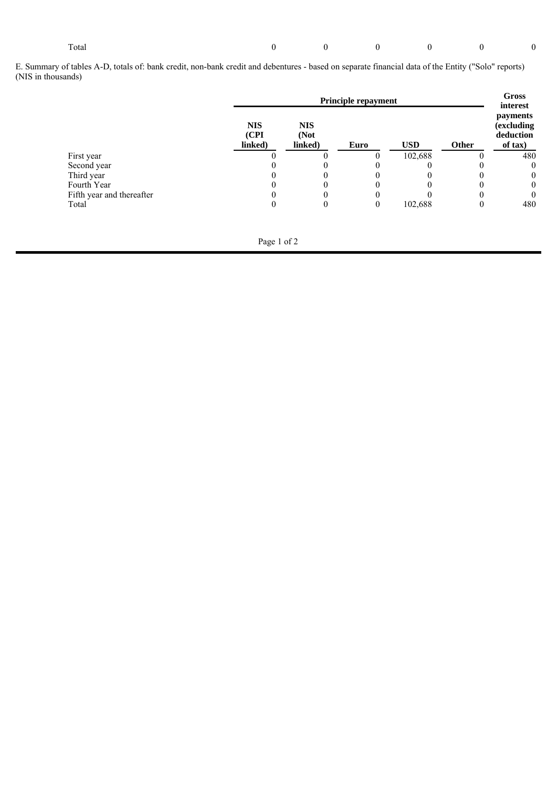#### Total 0 0 0 0 0 0

E. Summary of tables A-D, totals of: bank credit, non-bank credit and debentures - based on separate financial data of the Entity ("Solo" reports) (NIS in thousands)

|                           | Principle repayment            |                               |      |            |       |                                                                    |
|---------------------------|--------------------------------|-------------------------------|------|------------|-------|--------------------------------------------------------------------|
|                           | <b>NIS</b><br>(CPI)<br>linked) | <b>NIS</b><br>(Not<br>linked) | Euro | <b>USD</b> | Other | interest<br><i>payments</i><br>(excluding)<br>deduction<br>of tax) |
| First year                |                                |                               |      | 102,688    |       | 480                                                                |
| Second year               |                                |                               |      |            |       | $\mathbf{0}$                                                       |
| Third year                |                                |                               |      |            |       | $\mathbf{0}$                                                       |
| Fourth Year               |                                |                               |      |            |       | $\mathbf{0}$                                                       |
| Fifth year and thereafter |                                |                               |      |            |       | $\mathbf{0}$                                                       |
| Total                     |                                |                               |      | 102,688    |       | 480                                                                |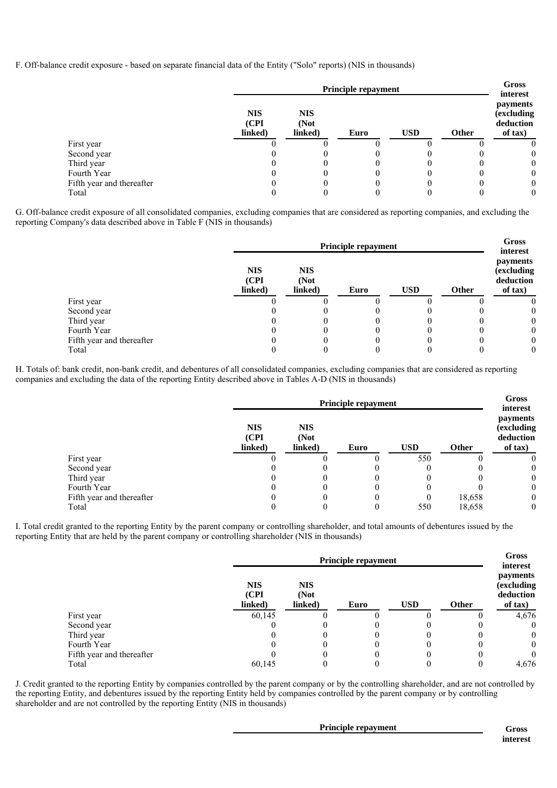F. Off-balance credit exposure - based on separate financial data of the Entity ("Solo" reports) (NIS in thousands)

|                           |                                | Principle repayment           |      |            |              |                                                            |  |  |
|---------------------------|--------------------------------|-------------------------------|------|------------|--------------|------------------------------------------------------------|--|--|
|                           | <b>NIS</b><br>(CPI)<br>linked) | <b>NIS</b><br>(Not<br>linked) | Euro | <b>USD</b> | <b>Other</b> | interest<br>payments<br>(excluding<br>deduction<br>of tax) |  |  |
| First year                |                                |                               |      |            |              |                                                            |  |  |
| Second year               |                                |                               |      |            |              |                                                            |  |  |
| Third year                |                                |                               |      |            |              |                                                            |  |  |
| Fourth Year               |                                |                               |      |            |              |                                                            |  |  |
| Fifth year and thereafter |                                |                               |      |            |              |                                                            |  |  |
| Total                     |                                |                               |      |            |              |                                                            |  |  |

G. Off-balance credit exposure of all consolidated companies, excluding companies that are considered as reporting companies, and excluding the reporting Company's data described above in Table F (NIS in thousands)

|                           | <b>Principle repayment</b>     |                               |      |            |              | Gross<br>interest                              |
|---------------------------|--------------------------------|-------------------------------|------|------------|--------------|------------------------------------------------|
|                           | <b>NIS</b><br>(CPI)<br>linked) | <b>NIS</b><br>(Not<br>linked) | Euro | <b>USD</b> | <b>Other</b> | payments<br>(excluding<br>deduction<br>of tax) |
| First year                |                                |                               |      |            |              |                                                |
| Second year               |                                |                               |      |            |              |                                                |
| Third year                |                                |                               |      |            |              |                                                |
| Fourth Year               |                                |                               |      |            |              |                                                |
| Fifth year and thereafter |                                |                               |      |            |              |                                                |
| Total                     |                                |                               |      |            |              |                                                |

H. Totals of: bank credit, non-bank credit, and debentures of all consolidated companies, excluding companies that are considered as reporting companies and excluding the data of the reporting Entity described above in Tables A-D (NIS in thousands)

|                           | Principle repayment            |                               |      |            |        | <b>Gross</b><br>interest                       |
|---------------------------|--------------------------------|-------------------------------|------|------------|--------|------------------------------------------------|
|                           | <b>NIS</b><br>(CPI)<br>linked) | <b>NIS</b><br>(Not<br>linked) | Euro | <b>USD</b> | Other  | payments<br>(excluding<br>deduction<br>of tax) |
| First year                |                                |                               |      | 550        |        | 0                                              |
| Second year               |                                |                               |      |            |        | $\mathbf{0}$                                   |
| Third year                |                                |                               |      |            |        | $\overline{0}$                                 |
| Fourth Year               |                                |                               |      |            |        | $\overline{0}$                                 |
| Fifth year and thereafter |                                |                               |      | 0          | 18,658 | $\overline{0}$                                 |
| Total                     |                                |                               |      | 550        | 18,658 | $\mathbf{0}$                                   |

I. Total credit granted to the reporting Entity by the parent company or controlling shareholder, and total amounts of debentures issued by the reporting Entity that are held by the parent company or controlling shareholder (NIS in thousands)

|                           | <b>Principle repayment</b>     |                               |      |            |       | <b>Gross</b><br>interest                       |
|---------------------------|--------------------------------|-------------------------------|------|------------|-------|------------------------------------------------|
|                           | <b>NIS</b><br>(CPI)<br>linked) | <b>NIS</b><br>(Not<br>linked) | Euro | <b>USD</b> | Other | payments<br>(excluding<br>deduction<br>of tax) |
| First year                | 60,145                         |                               |      |            |       | 4,676                                          |
| Second year               |                                |                               |      |            |       | $\theta$                                       |
| Third year                |                                |                               |      |            |       | $\theta$                                       |
| Fourth Year               |                                |                               |      |            |       | $\theta$                                       |
| Fifth year and thereafter |                                |                               |      |            |       | $\theta$                                       |
| Total                     | 60,145                         |                               |      |            |       | 4,676                                          |

J. Credit granted to the reporting Entity by companies controlled by the parent company or by the controlling shareholder, and are not controlled by the reporting Entity, and debentures issued by the reporting Entity held by companies controlled by the parent company or by controlling shareholder and are not controlled by the reporting Entity (NIS in thousands)

| <b>Principle repayment</b> | Gross    |
|----------------------------|----------|
|                            | interest |